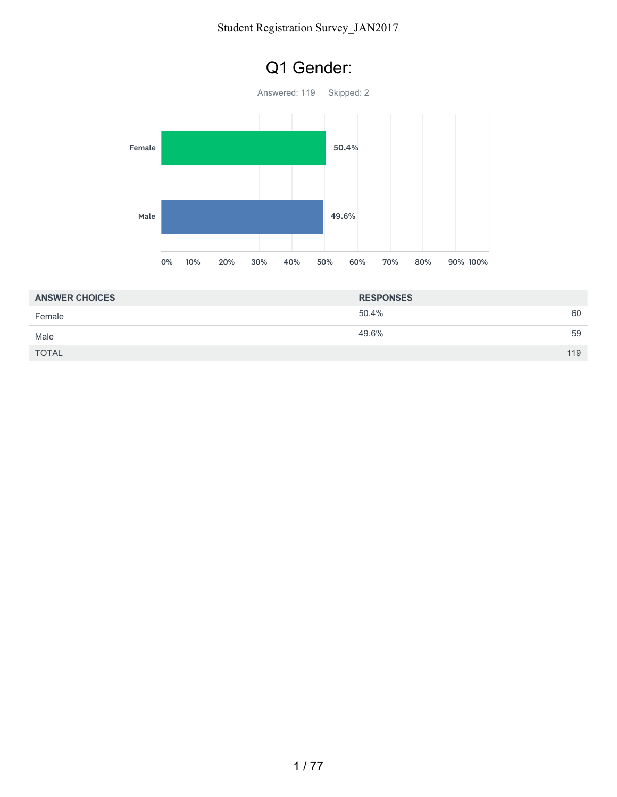

| <b>ANSWER CHOICES</b> | <b>RESPONSES</b> |     |
|-----------------------|------------------|-----|
| Female                | 50.4%            | 60  |
| Male                  | 49.6%            | 59  |
| <b>TOTAL</b>          |                  | 119 |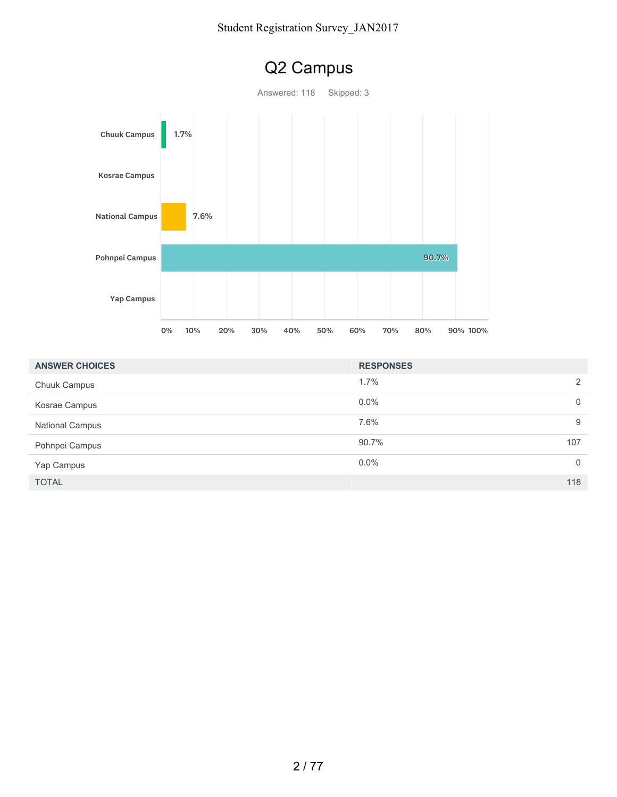

| <b>ANSWER CHOICES</b>  | <b>RESPONSES</b> |          |
|------------------------|------------------|----------|
| <b>Chuuk Campus</b>    | 1.7%             | 2        |
| Kosrae Campus          | $0.0\%$          | 0        |
| <b>National Campus</b> | 7.6%             | 9        |
| Pohnpei Campus         | 90.7%<br>107     |          |
| Yap Campus             | $0.0\%$          | $\Omega$ |
| <b>TOTAL</b>           |                  | 118      |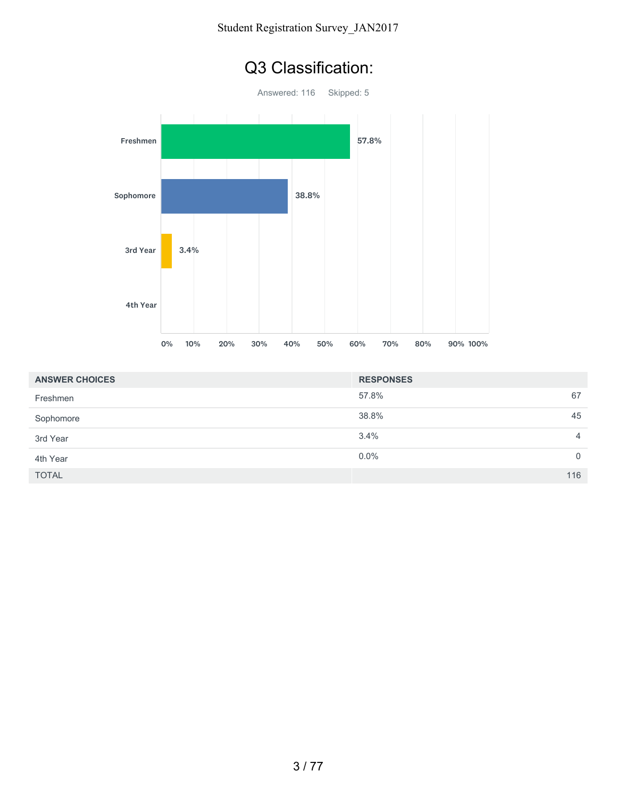

| <b>ANSWER CHOICES</b> | <b>RESPONSES</b>    |
|-----------------------|---------------------|
| Freshmen              | 67<br>57.8%         |
| Sophomore             | 45<br>38.8%         |
| 3rd Year              | 3.4%<br>4           |
| 4th Year              | $0.0\%$<br>$\Omega$ |
| <b>TOTAL</b>          | 116                 |

#### Q3 Classification: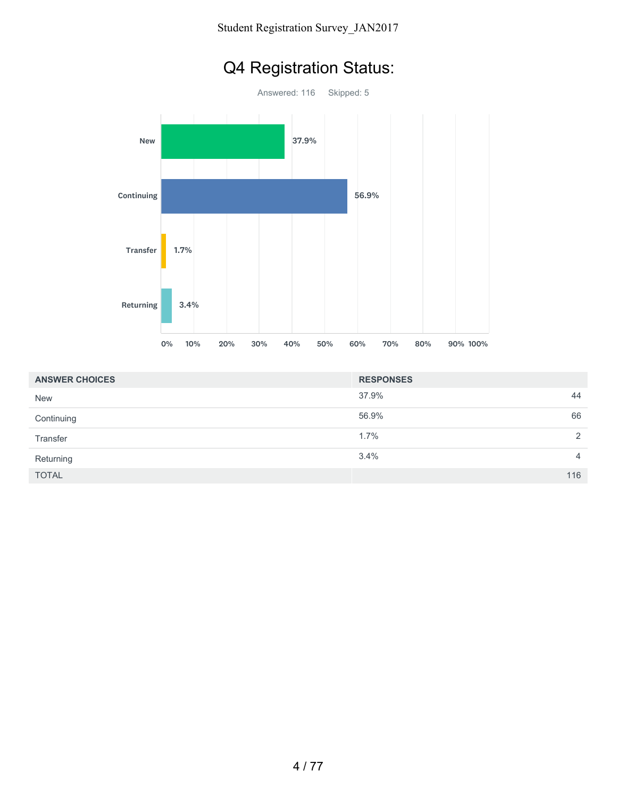

| <b>ANSWER CHOICES</b> | <b>RESPONSES</b> |                |
|-----------------------|------------------|----------------|
| <b>New</b>            | 37.9%            | 44             |
| Continuing            | 56.9%            | 66             |
| Transfer              | 1.7%             | 2              |
| Returning             | 3.4%             | $\overline{4}$ |
| <b>TOTAL</b>          |                  | 116            |

# Q4 Registration Status: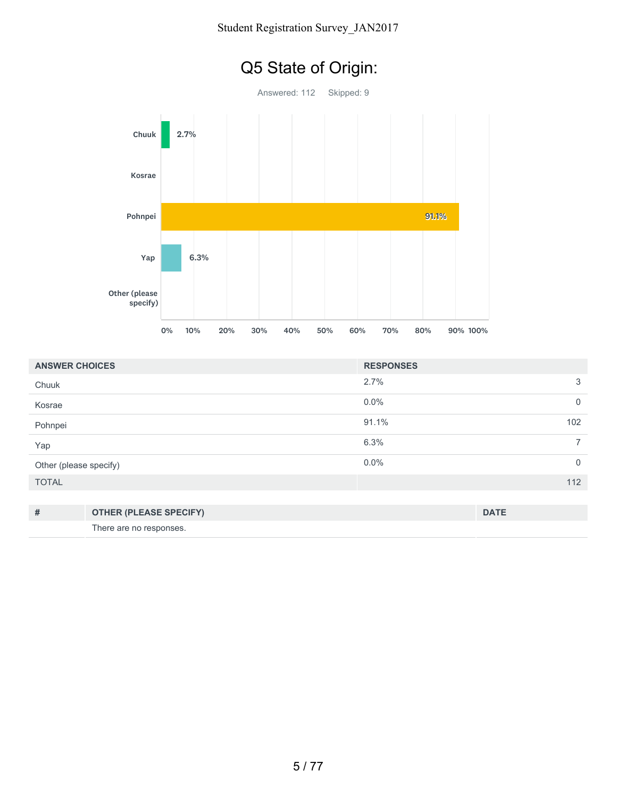

| <b>ANSWER CHOICES</b>  |                               | <b>RESPONSES</b> |                |
|------------------------|-------------------------------|------------------|----------------|
| Chuuk                  |                               | 2.7%             | 3              |
| Kosrae                 |                               | $0.0\%$          | $\mathbf 0$    |
| Pohnpei                |                               | 91.1%            | 102            |
| Yap                    |                               | 6.3%             | $\overline{7}$ |
| Other (please specify) |                               | 0.0%             | $\mathbf{0}$   |
| <b>TOTAL</b>           |                               |                  | 112            |
|                        |                               |                  |                |
| $\#$                   | <b>OTHER (PLEASE SPECIFY)</b> |                  | <b>DATE</b>    |
|                        | There are no responses.       |                  |                |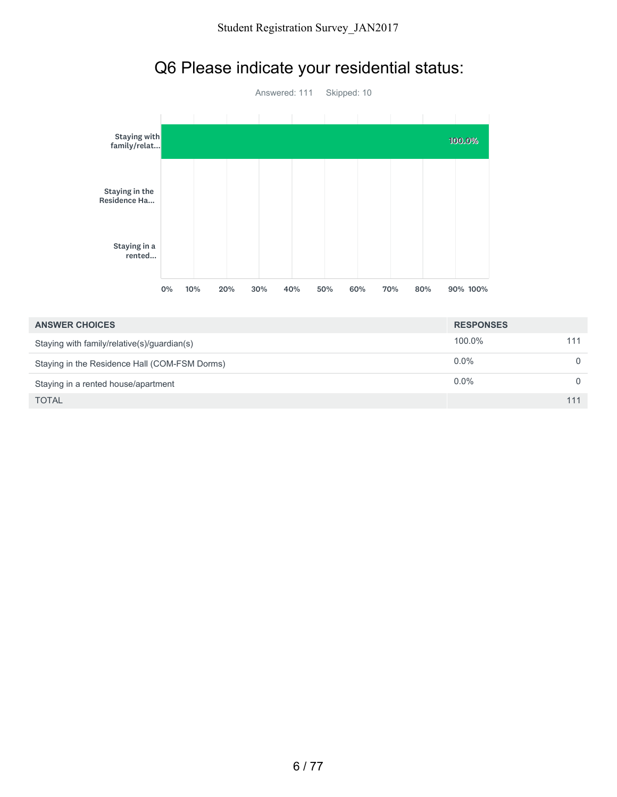

### Q6 Please indicate your residential status:

| <b>ANSWER CHOICES</b>                         | <b>RESPONSES</b> |          |
|-----------------------------------------------|------------------|----------|
| Staying with family/relative(s)/guardian(s)   | 100.0%           | 111      |
| Staying in the Residence Hall (COM-FSM Dorms) | $0.0\%$          | 0        |
| Staying in a rented house/apartment           | $0.0\%$          | $\Omega$ |
| <b>TOTAL</b>                                  |                  | 111      |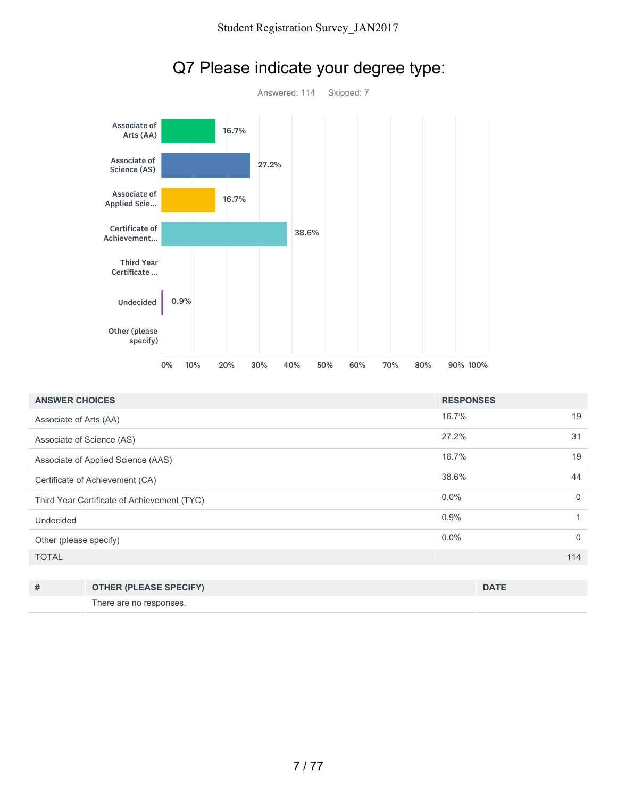

### Q7 Please indicate your degree type:

| <b>ANSWER CHOICES</b>                       |                                    | <b>RESPONSES</b> |              |
|---------------------------------------------|------------------------------------|------------------|--------------|
| Associate of Arts (AA)                      |                                    | 16.7%            | 19           |
|                                             | Associate of Science (AS)          | 27.2%            | 31           |
|                                             | Associate of Applied Science (AAS) | 16.7%            | 19           |
| Certificate of Achievement (CA)             |                                    | 38.6%            | 44           |
| Third Year Certificate of Achievement (TYC) |                                    | $0.0\%$          | $\Omega$     |
| Undecided                                   |                                    | 0.9%             | 1            |
| Other (please specify)                      |                                    | $0.0\%$          | $\mathbf{0}$ |
| <b>TOTAL</b>                                |                                    |                  | 114          |
|                                             |                                    |                  |              |
| #                                           | <b>OTHER (PLEASE SPECIFY)</b>      |                  | <b>DATE</b>  |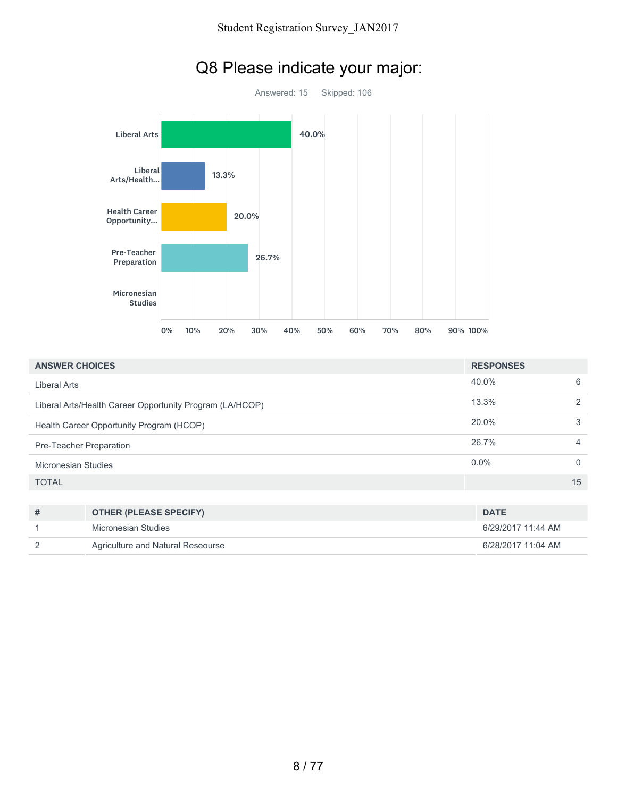

|  |  | Q8 Please indicate your major: |  |  |
|--|--|--------------------------------|--|--|
|--|--|--------------------------------|--|--|

| <b>ANSWER CHOICES</b>                                    |                               | <b>RESPONSES</b>  |                |
|----------------------------------------------------------|-------------------------------|-------------------|----------------|
| <b>Liberal Arts</b>                                      |                               | 40.0%             | 6              |
| Liberal Arts/Health Career Opportunity Program (LA/HCOP) |                               | 13.3%             | 2              |
| Health Career Opportunity Program (HCOP)                 |                               | 20.0%             | 3              |
| Pre-Teacher Preparation                                  |                               | 26.7%             | $\overline{4}$ |
| <b>Micronesian Studies</b>                               |                               | $0.0\%$           | $\Omega$       |
| <b>TOTAL</b>                                             |                               |                   | 15             |
|                                                          |                               |                   |                |
| #                                                        | <b>OTHER (PLEASE SPECIFY)</b> | <b>DATE</b>       |                |
| $\overline{A}$                                           | Micronopian Ctudion           | C10010017744.44.1 |                |

| # | <b>OTHER (PLEASE SPECIFY)</b>     | <b>DATE</b>        |
|---|-----------------------------------|--------------------|
|   | Micronesian Studies               | 6/29/2017 11:44 AM |
|   | Agriculture and Natural Reseourse | 6/28/2017 11:04 AM |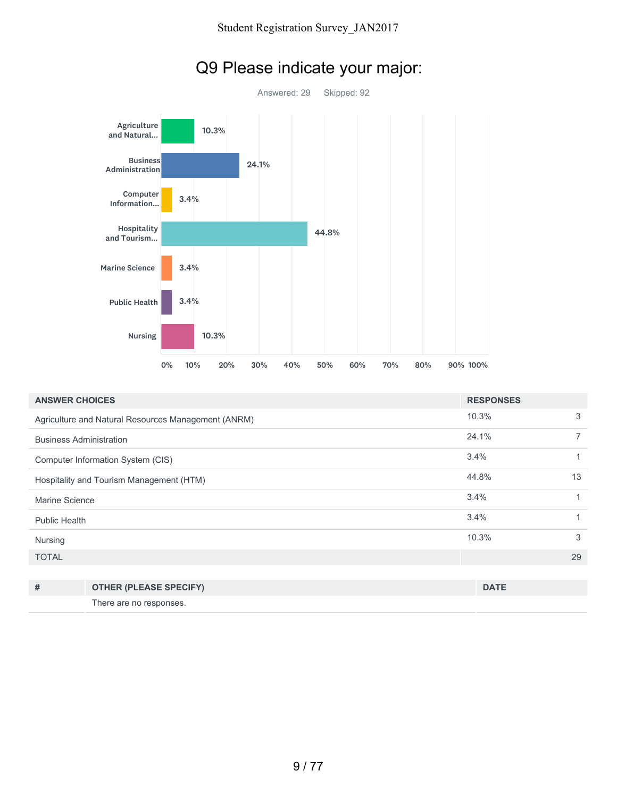

# Q9 Please indicate your major:

| <b>ANSWER CHOICES</b>                    |                                                     | <b>RESPONSES</b> |                |
|------------------------------------------|-----------------------------------------------------|------------------|----------------|
|                                          | Agriculture and Natural Resources Management (ANRM) | 10.3%            | 3              |
| <b>Business Administration</b>           |                                                     | 24.1%            | $\overline{7}$ |
| Computer Information System (CIS)        |                                                     | 3.4%             | 1              |
| Hospitality and Tourism Management (HTM) |                                                     | 44.8%            | 13             |
| Marine Science                           |                                                     | 3.4%             | 1              |
| Public Health                            |                                                     | 3.4%             | 1              |
| Nursing                                  |                                                     | 10.3%            | 3              |
| <b>TOTAL</b>                             |                                                     |                  | 29             |
|                                          |                                                     |                  |                |
| #                                        | <b>OTHER (PLEASE SPECIFY)</b>                       | <b>DATE</b>      |                |

There are no responses.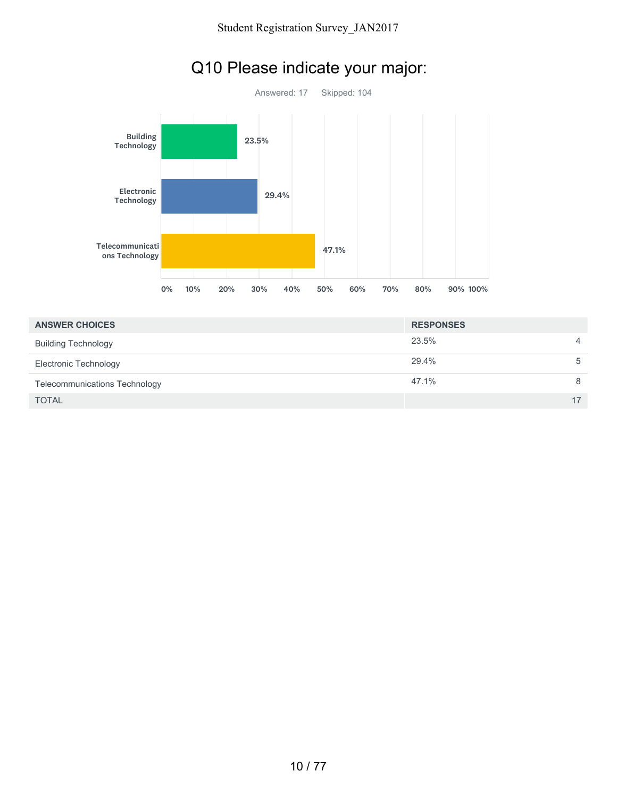

### Q10 Please indicate your major:

| <b>ANSWER CHOICES</b>                | <b>RESPONSES</b> |    |
|--------------------------------------|------------------|----|
| <b>Building Technology</b>           | 23.5%            | 4  |
| Electronic Technology                | 29.4%            | 5  |
| <b>Telecommunications Technology</b> | 47.1%            | 8  |
| <b>TOTAL</b>                         |                  | 17 |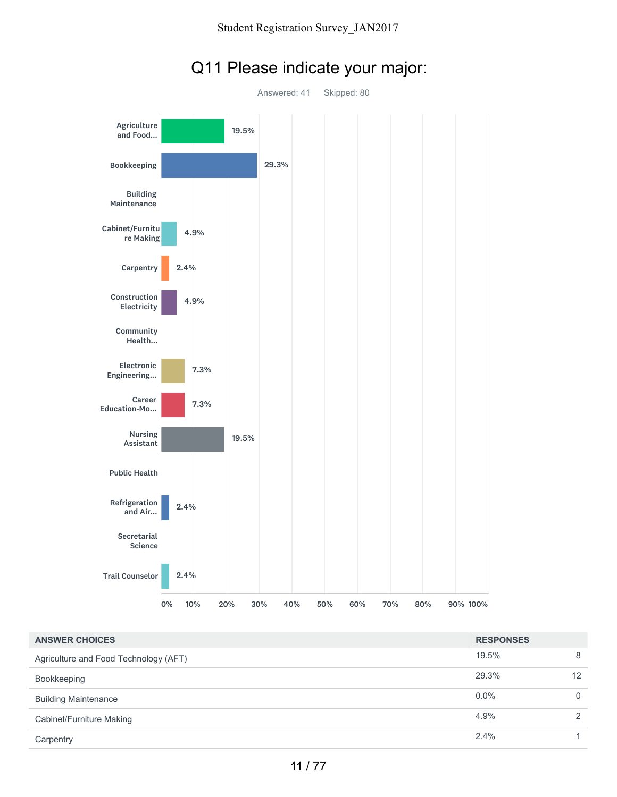

#### Q11 Please indicate your major:

| <b>ANSWER CHOICES</b>                 | <b>RESPONSES</b> |               |
|---------------------------------------|------------------|---------------|
| Agriculture and Food Technology (AFT) | 19.5%            | 8             |
| Bookkeeping                           | 29.3%            | 12            |
| <b>Building Maintenance</b>           | 0.0%             | $\Omega$      |
| Cabinet/Furniture Making              | 4.9%             | $\mathcal{P}$ |
| Carpentry                             | 2.4%             | 1.            |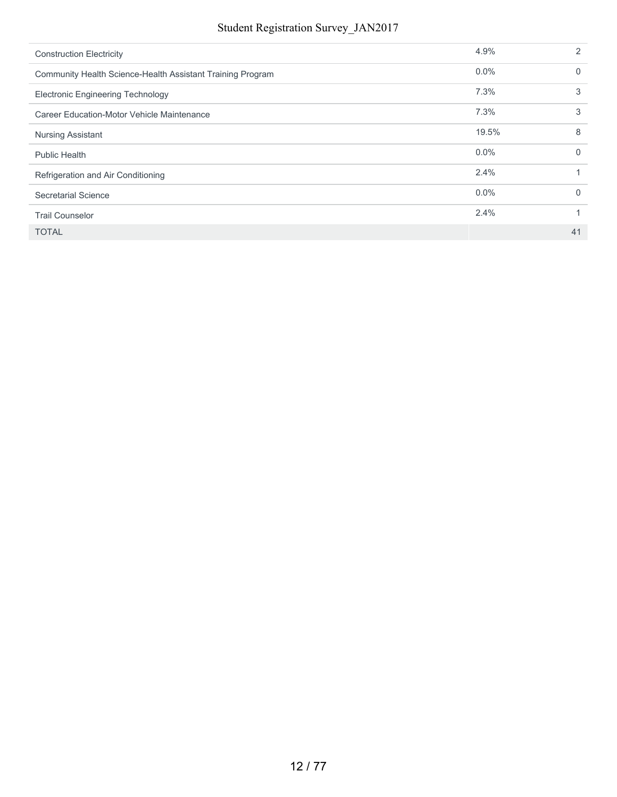| <b>Construction Electricity</b>                            | 4.9%    | $\mathcal{P}$ |
|------------------------------------------------------------|---------|---------------|
| Community Health Science-Health Assistant Training Program | $0.0\%$ | 0             |
| <b>Electronic Engineering Technology</b>                   | 7.3%    | 3             |
| Career Education-Motor Vehicle Maintenance                 | 7.3%    | 3             |
| <b>Nursing Assistant</b>                                   | 19.5%   | 8             |
| <b>Public Health</b>                                       | $0.0\%$ | $\Omega$      |
| Refrigeration and Air Conditioning                         | 2.4%    |               |
| Secretarial Science                                        | $0.0\%$ | $\Omega$      |
| <b>Trail Counselor</b>                                     | 2.4%    |               |
| <b>TOTAL</b>                                               |         | 41            |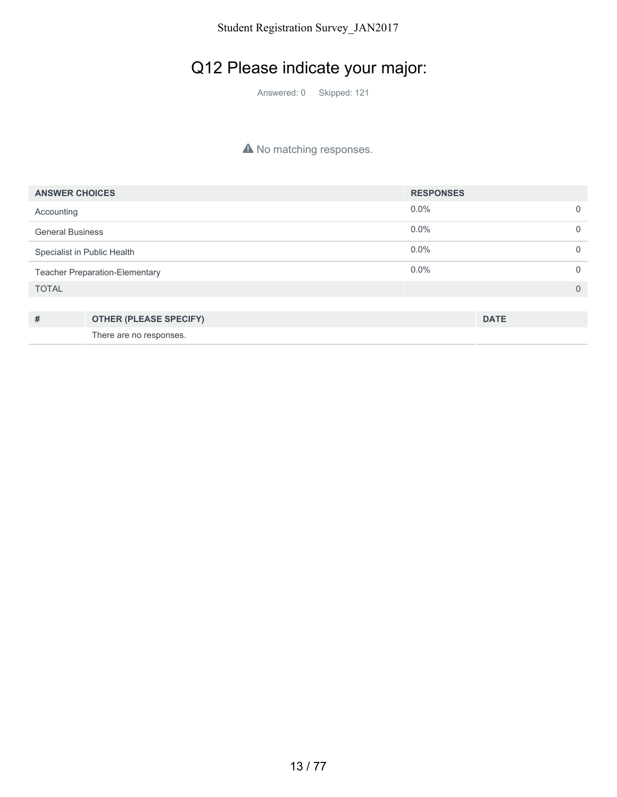### Q12 Please indicate your major:

Answered: 0 Skipped: 121

#### A No matching responses.

| <b>ANSWER CHOICES</b>                 |                               | <b>RESPONSES</b> |             |                |
|---------------------------------------|-------------------------------|------------------|-------------|----------------|
| Accounting                            |                               | $0.0\%$          |             | $\mathbf 0$    |
| <b>General Business</b>               |                               | $0.0\%$          |             | $\mathbf 0$    |
| Specialist in Public Health           |                               | $0.0\%$          |             | $\overline{0}$ |
| <b>Teacher Preparation-Elementary</b> |                               | 0.0%             |             | $\overline{0}$ |
| <b>TOTAL</b>                          |                               |                  |             | $\overline{0}$ |
|                                       |                               |                  |             |                |
| #                                     | <b>OTHER (PLEASE SPECIFY)</b> |                  | <b>DATE</b> |                |
|                                       | There are no responses.       |                  |             |                |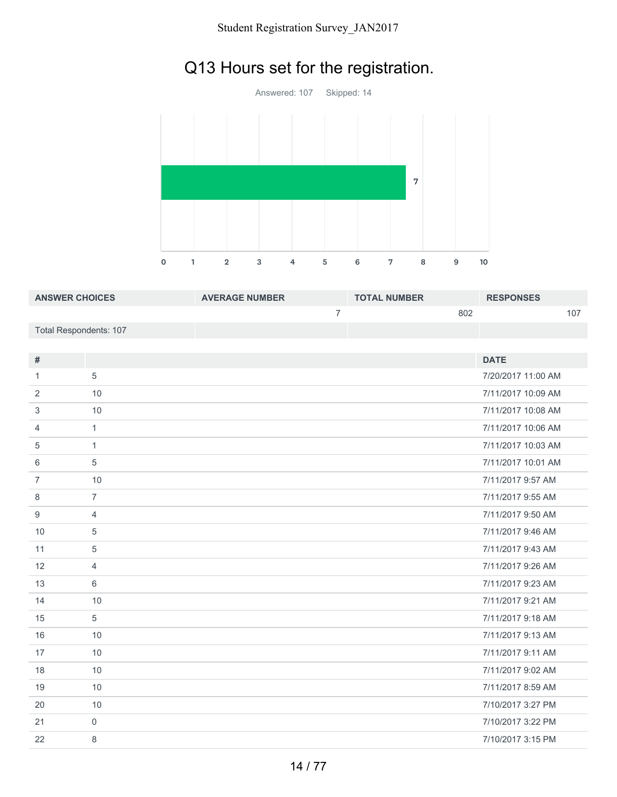## Q13 Hours set for the registration.



| <b>ANSWER CHOICES</b>  | <b>AVERAGE NUMBER</b> | <b>TOTAL NUMBER</b> | <b>RESPONSES</b> |
|------------------------|-----------------------|---------------------|------------------|
|                        |                       | 802                 |                  |
| Total Respondents: 107 |                       |                     |                  |

| #              |                | <b>DATE</b>        |
|----------------|----------------|--------------------|
|                |                |                    |
| 1              | 5              | 7/20/2017 11:00 AM |
| 2              | 10             | 7/11/2017 10:09 AM |
| 3              | 10             | 7/11/2017 10:08 AM |
| 4              | $\mathbf{1}$   | 7/11/2017 10:06 AM |
| 5              | $\mathbf{1}$   | 7/11/2017 10:03 AM |
| 6              | 5              | 7/11/2017 10:01 AM |
| $\overline{7}$ | 10             | 7/11/2017 9:57 AM  |
| 8              | $\overline{7}$ | 7/11/2017 9:55 AM  |
| 9              | $\overline{4}$ | 7/11/2017 9:50 AM  |
| 10             | 5              | 7/11/2017 9:46 AM  |
| 11             | 5              | 7/11/2017 9:43 AM  |
| 12             | $\overline{4}$ | 7/11/2017 9:26 AM  |
| 13             | 6              | 7/11/2017 9:23 AM  |
| 14             | 10             | 7/11/2017 9:21 AM  |
| 15             | 5              | 7/11/2017 9:18 AM  |
| 16             | 10             | 7/11/2017 9:13 AM  |
| 17             | 10             | 7/11/2017 9:11 AM  |
| 18             | 10             | 7/11/2017 9:02 AM  |
| 19             | 10             | 7/11/2017 8:59 AM  |
| 20             | 10             | 7/10/2017 3:27 PM  |
| 21             | $\mathbf 0$    | 7/10/2017 3:22 PM  |
| 22             | 8              | 7/10/2017 3:15 PM  |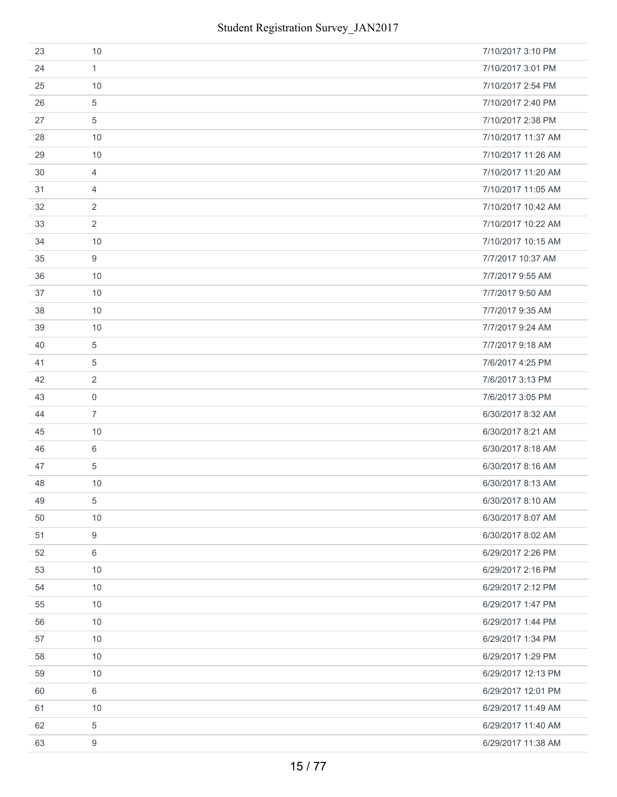| 23 | 10             | 7/10/2017 3:10 PM  |
|----|----------------|--------------------|
| 24 | $\mathbf{1}$   | 7/10/2017 3:01 PM  |
| 25 | 10             | 7/10/2017 2:54 PM  |
| 26 | 5              | 7/10/2017 2:40 PM  |
| 27 | 5              | 7/10/2017 2:38 PM  |
| 28 | 10             | 7/10/2017 11:37 AM |
| 29 | 10             | 7/10/2017 11:26 AM |
| 30 | 4              | 7/10/2017 11:20 AM |
| 31 | $\overline{4}$ | 7/10/2017 11:05 AM |
| 32 | $\overline{2}$ | 7/10/2017 10:42 AM |
| 33 | $\overline{2}$ | 7/10/2017 10:22 AM |
| 34 | 10             | 7/10/2017 10:15 AM |
| 35 | 9              | 7/7/2017 10:37 AM  |
| 36 | 10             | 7/7/2017 9:55 AM   |
| 37 | 10             | 7/7/2017 9:50 AM   |
| 38 | 10             | 7/7/2017 9:35 AM   |
| 39 | 10             | 7/7/2017 9:24 AM   |
| 40 | $\overline{5}$ | 7/7/2017 9:18 AM   |
| 41 | $\,$ 5 $\,$    | 7/6/2017 4:25 PM   |
| 42 | 2              | 7/6/2017 3:13 PM   |
| 43 | $\mathbf 0$    | 7/6/2017 3:05 PM   |
| 44 | $\overline{7}$ | 6/30/2017 8:32 AM  |
| 45 | 10             | 6/30/2017 8:21 AM  |
| 46 | 6              | 6/30/2017 8:18 AM  |
| 47 | $\overline{5}$ | 6/30/2017 8:16 AM  |
| 48 | 10             | 6/30/2017 8:13 AM  |
| 49 | 5              | 6/30/2017 8:10 AM  |
| 50 | 10             | 6/30/2017 8:07 AM  |
| 51 | 9              | 6/30/2017 8:02 AM  |
| 52 | 6              | 6/29/2017 2:26 PM  |
| 53 | 10             | 6/29/2017 2:16 PM  |
| 54 | 10             | 6/29/2017 2:12 PM  |
| 55 | 10             | 6/29/2017 1:47 PM  |
| 56 | 10             | 6/29/2017 1:44 PM  |
| 57 | 10             | 6/29/2017 1:34 PM  |
| 58 | 10             | 6/29/2017 1:29 PM  |
| 59 | 10             | 6/29/2017 12:13 PM |
| 60 | 6              | 6/29/2017 12:01 PM |
| 61 | 10             | 6/29/2017 11:49 AM |
| 62 | $\overline{5}$ | 6/29/2017 11:40 AM |
| 63 | 9              | 6/29/2017 11:38 AM |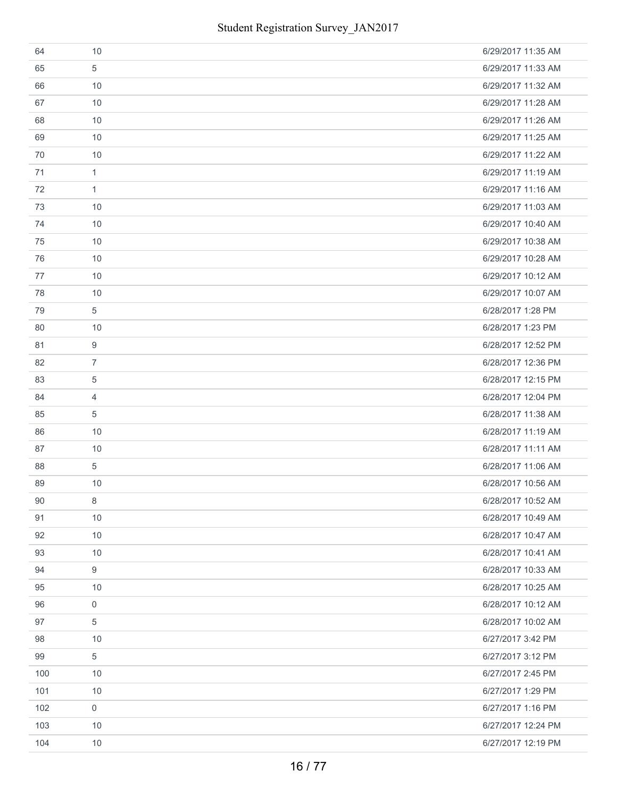| 64  | 10             | 6/29/2017 11:35 AM |
|-----|----------------|--------------------|
| 65  | 5              | 6/29/2017 11:33 AM |
| 66  | 10             | 6/29/2017 11:32 AM |
| 67  | 10             | 6/29/2017 11:28 AM |
| 68  | 10             | 6/29/2017 11:26 AM |
| 69  | 10             | 6/29/2017 11:25 AM |
| 70  | 10             | 6/29/2017 11:22 AM |
| 71  | $\mathbf{1}$   | 6/29/2017 11:19 AM |
| 72  | $\mathbf{1}$   | 6/29/2017 11:16 AM |
| 73  | 10             | 6/29/2017 11:03 AM |
| 74  | 10             | 6/29/2017 10:40 AM |
| 75  | 10             | 6/29/2017 10:38 AM |
| 76  | 10             | 6/29/2017 10:28 AM |
| 77  | 10             | 6/29/2017 10:12 AM |
| 78  | 10             | 6/29/2017 10:07 AM |
| 79  | 5              | 6/28/2017 1:28 PM  |
| 80  | 10             | 6/28/2017 1:23 PM  |
| 81  | 9              | 6/28/2017 12:52 PM |
| 82  | $\overline{7}$ | 6/28/2017 12:36 PM |
| 83  | $\overline{5}$ | 6/28/2017 12:15 PM |
| 84  | $\overline{4}$ | 6/28/2017 12:04 PM |
| 85  | 5              | 6/28/2017 11:38 AM |
| 86  | 10             | 6/28/2017 11:19 AM |
| 87  | 10             | 6/28/2017 11:11 AM |
| 88  | $\overline{5}$ | 6/28/2017 11:06 AM |
| 89  | 10             | 6/28/2017 10:56 AM |
| 90  | 8              | 6/28/2017 10:52 AM |
| 91  | 10             | 6/28/2017 10:49 AM |
| 92  | 10             | 6/28/2017 10:47 AM |
| 93  | 10             | 6/28/2017 10:41 AM |
| 94  | 9              | 6/28/2017 10:33 AM |
| 95  | 10             | 6/28/2017 10:25 AM |
| 96  | $\mathbf 0$    | 6/28/2017 10:12 AM |
| 97  | 5              | 6/28/2017 10:02 AM |
| 98  | 10             | 6/27/2017 3:42 PM  |
| 99  | $\overline{5}$ | 6/27/2017 3:12 PM  |
| 100 | 10             | 6/27/2017 2:45 PM  |
| 101 | 10             | 6/27/2017 1:29 PM  |
| 102 | $\mathbf 0$    | 6/27/2017 1:16 PM  |
| 103 | 10             | 6/27/2017 12:24 PM |
| 104 | 10             | 6/27/2017 12:19 PM |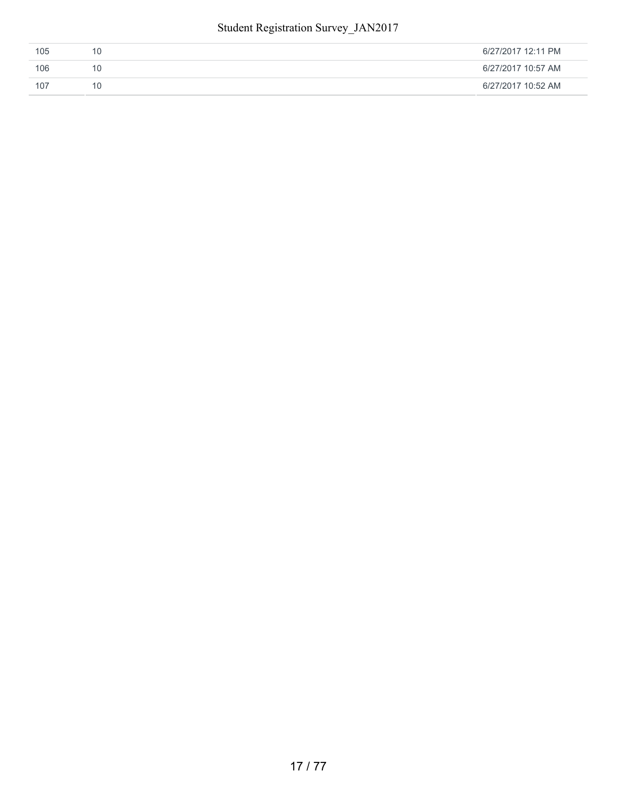| 105 | 6/27/2017 12:11 PM |
|-----|--------------------|
| 106 | 6/27/2017 10:57 AM |
| 107 | 6/27/2017 10:52 AM |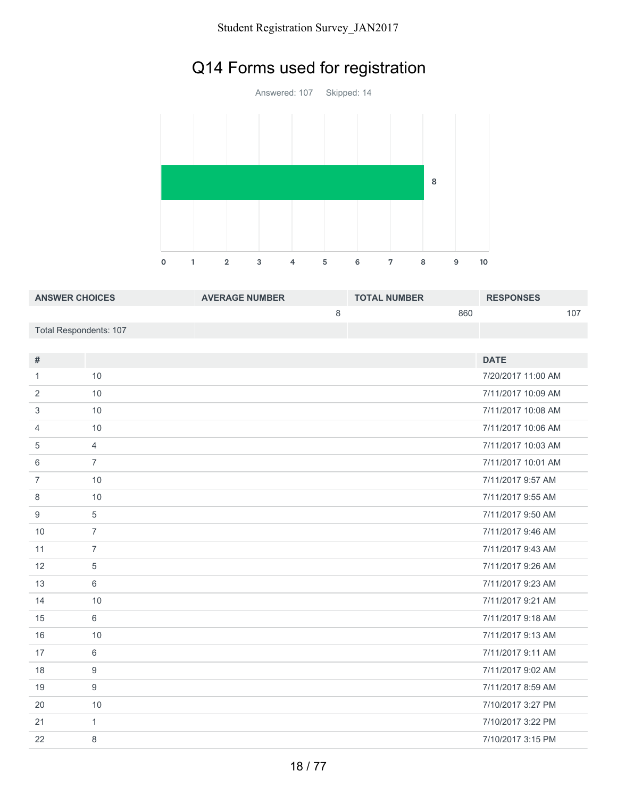# Q14 Forms used for registration

Answered: 107 Skipped: 14 1 2 3 4 5 6 7 8 9 10 

| <b>ANSWER CHOICES</b>  | <b>AVERAGE NUMBER</b> | <b>TOTAL NUMBER</b> | <b>RESPONSES</b> |
|------------------------|-----------------------|---------------------|------------------|
|                        |                       | 860                 | 107              |
| Total Respondents: 107 |                       |                     |                  |

| $\#$           |                | <b>DATE</b>        |
|----------------|----------------|--------------------|
| 1              | 10             | 7/20/2017 11:00 AM |
|                |                |                    |
| 2              | 10             | 7/11/2017 10:09 AM |
| 3              | 10             | 7/11/2017 10:08 AM |
| $\overline{4}$ | 10             | 7/11/2017 10:06 AM |
| 5              | $\overline{4}$ | 7/11/2017 10:03 AM |
| 6              | $\overline{7}$ | 7/11/2017 10:01 AM |
| $\overline{7}$ | 10             | 7/11/2017 9:57 AM  |
| 8              | 10             | 7/11/2017 9:55 AM  |
| 9              | 5              | 7/11/2017 9:50 AM  |
| 10             | $\overline{7}$ | 7/11/2017 9:46 AM  |
| 11             | $\overline{7}$ | 7/11/2017 9:43 AM  |
| 12             | 5              | 7/11/2017 9:26 AM  |
| 13             | 6              | 7/11/2017 9:23 AM  |
| 14             | 10             | 7/11/2017 9:21 AM  |
| 15             | 6              | 7/11/2017 9:18 AM  |
| 16             | 10             | 7/11/2017 9:13 AM  |
| 17             | 6              | 7/11/2017 9:11 AM  |
| 18             | 9              | 7/11/2017 9:02 AM  |
| 19             | 9              | 7/11/2017 8:59 AM  |
| 20             | 10             | 7/10/2017 3:27 PM  |
| 21             | $\mathbf{1}$   | 7/10/2017 3:22 PM  |
| 22             | 8              | 7/10/2017 3:15 PM  |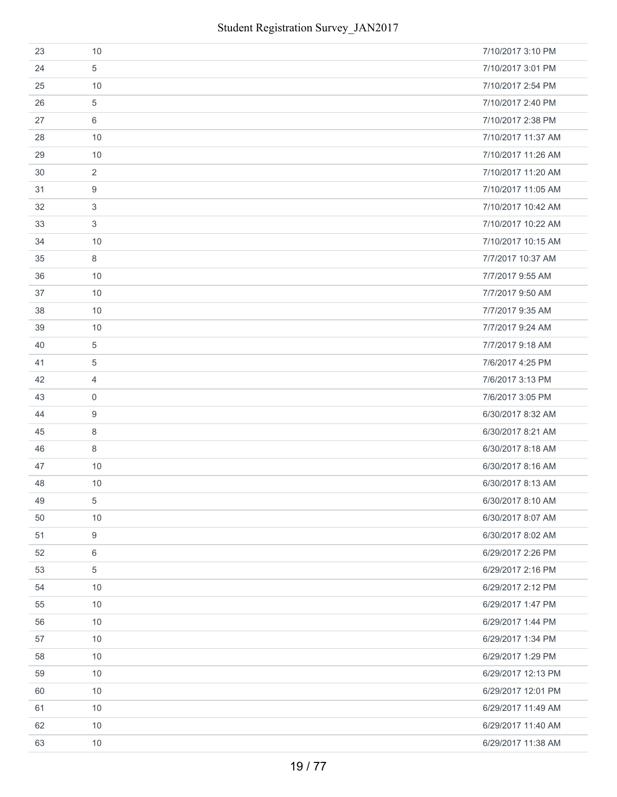| 23 | 10               | 7/10/2017 3:10 PM  |
|----|------------------|--------------------|
| 24 | 5                | 7/10/2017 3:01 PM  |
| 25 | 10               | 7/10/2017 2:54 PM  |
| 26 | 5                | 7/10/2017 2:40 PM  |
| 27 | 6                | 7/10/2017 2:38 PM  |
| 28 | 10               | 7/10/2017 11:37 AM |
| 29 | 10               | 7/10/2017 11:26 AM |
| 30 | 2                | 7/10/2017 11:20 AM |
| 31 | 9                | 7/10/2017 11:05 AM |
| 32 | 3                | 7/10/2017 10:42 AM |
| 33 | 3                | 7/10/2017 10:22 AM |
| 34 | 10               | 7/10/2017 10:15 AM |
| 35 | 8                | 7/7/2017 10:37 AM  |
| 36 | 10               | 7/7/2017 9:55 AM   |
| 37 | 10               | 7/7/2017 9:50 AM   |
| 38 | 10               | 7/7/2017 9:35 AM   |
| 39 | 10               | 7/7/2017 9:24 AM   |
| 40 | 5                | 7/7/2017 9:18 AM   |
| 41 | $\overline{5}$   | 7/6/2017 4:25 PM   |
| 42 | $\overline{4}$   | 7/6/2017 3:13 PM   |
| 43 | $\boldsymbol{0}$ | 7/6/2017 3:05 PM   |
| 44 | 9                | 6/30/2017 8:32 AM  |
| 45 | 8                | 6/30/2017 8:21 AM  |
| 46 | 8                | 6/30/2017 8:18 AM  |
| 47 | 10               | 6/30/2017 8:16 AM  |
| 48 | 10               | 6/30/2017 8:13 AM  |
| 49 | 5                | 6/30/2017 8:10 AM  |
| 50 | 10               | 6/30/2017 8:07 AM  |
| 51 | 9                | 6/30/2017 8:02 AM  |
| 52 | $\,6\,$          | 6/29/2017 2:26 PM  |
| 53 | 5                | 6/29/2017 2:16 PM  |
| 54 | 10               | 6/29/2017 2:12 PM  |
| 55 | 10               | 6/29/2017 1:47 PM  |
| 56 | 10               | 6/29/2017 1:44 PM  |
| 57 | 10               | 6/29/2017 1:34 PM  |
| 58 | 10               | 6/29/2017 1:29 PM  |
| 59 | 10               | 6/29/2017 12:13 PM |
| 60 | 10               | 6/29/2017 12:01 PM |
| 61 | 10               | 6/29/2017 11:49 AM |
| 62 | 10               | 6/29/2017 11:40 AM |
| 63 | 10               | 6/29/2017 11:38 AM |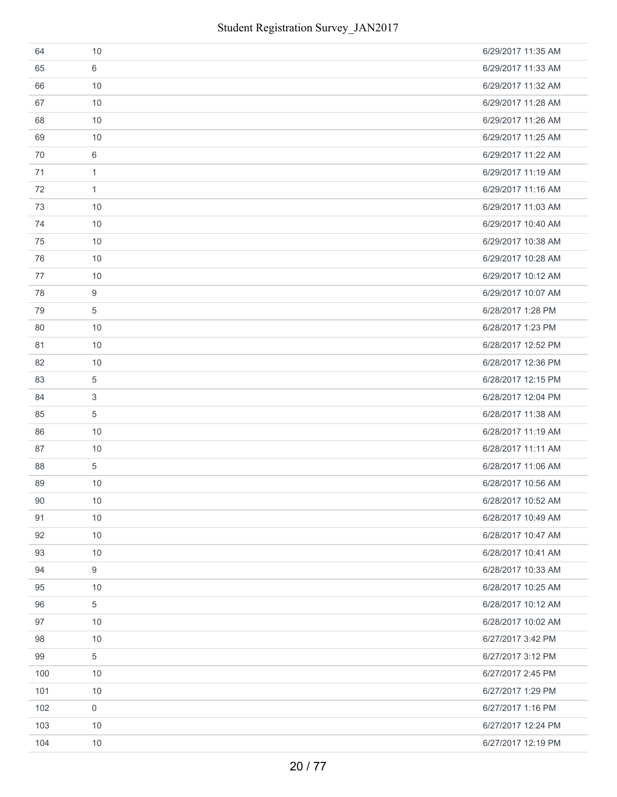| 64  | 10             | 6/29/2017 11:35 AM |
|-----|----------------|--------------------|
| 65  | 6              | 6/29/2017 11:33 AM |
| 66  | 10             | 6/29/2017 11:32 AM |
| 67  | 10             | 6/29/2017 11:28 AM |
| 68  | 10             | 6/29/2017 11:26 AM |
| 69  | 10             | 6/29/2017 11:25 AM |
| 70  | 6              | 6/29/2017 11:22 AM |
| 71  | 1              | 6/29/2017 11:19 AM |
| 72  | $\mathbf{1}$   | 6/29/2017 11:16 AM |
| 73  | 10             | 6/29/2017 11:03 AM |
| 74  | 10             | 6/29/2017 10:40 AM |
| 75  | 10             | 6/29/2017 10:38 AM |
| 76  | 10             | 6/29/2017 10:28 AM |
| 77  | 10             | 6/29/2017 10:12 AM |
| 78  | 9              | 6/29/2017 10:07 AM |
| 79  | 5              | 6/28/2017 1:28 PM  |
| 80  | 10             | 6/28/2017 1:23 PM  |
| 81  | 10             | 6/28/2017 12:52 PM |
| 82  | 10             | 6/28/2017 12:36 PM |
| 83  | $\,$ 5 $\,$    | 6/28/2017 12:15 PM |
| 84  | 3              | 6/28/2017 12:04 PM |
| 85  | 5              | 6/28/2017 11:38 AM |
| 86  | 10             | 6/28/2017 11:19 AM |
| 87  | 10             | 6/28/2017 11:11 AM |
| 88  | $\overline{5}$ | 6/28/2017 11:06 AM |
| 89  | 10             | 6/28/2017 10:56 AM |
| 90  | 10             | 6/28/2017 10:52 AM |
| 91  | 10             | 6/28/2017 10:49 AM |
| 92  | 10             | 6/28/2017 10:47 AM |
| 93  | 10             | 6/28/2017 10:41 AM |
| 94  | 9              | 6/28/2017 10:33 AM |
| 95  | 10             | 6/28/2017 10:25 AM |
| 96  | $\sqrt{5}$     | 6/28/2017 10:12 AM |
| 97  | 10             | 6/28/2017 10:02 AM |
| 98  | 10             | 6/27/2017 3:42 PM  |
| 99  | 5              | 6/27/2017 3:12 PM  |
| 100 | 10             | 6/27/2017 2:45 PM  |
| 101 | 10             | 6/27/2017 1:29 PM  |
| 102 | $\mathbf 0$    | 6/27/2017 1:16 PM  |
| 103 | 10             | 6/27/2017 12:24 PM |
| 104 | 10             | 6/27/2017 12:19 PM |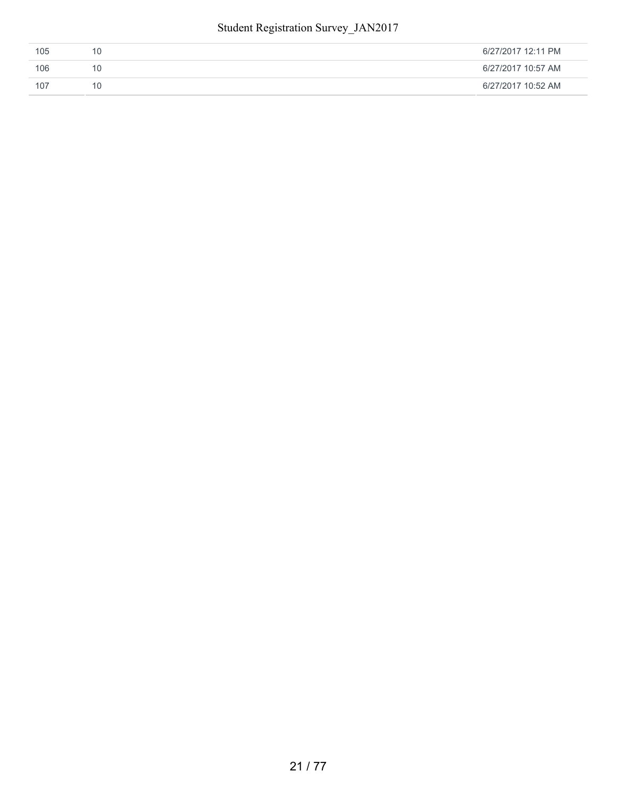| 105 | 6/27/2017 12:11 PM |
|-----|--------------------|
| 106 | 6/27/2017 10:57 AM |
| 107 | 6/27/2017 10:52 AM |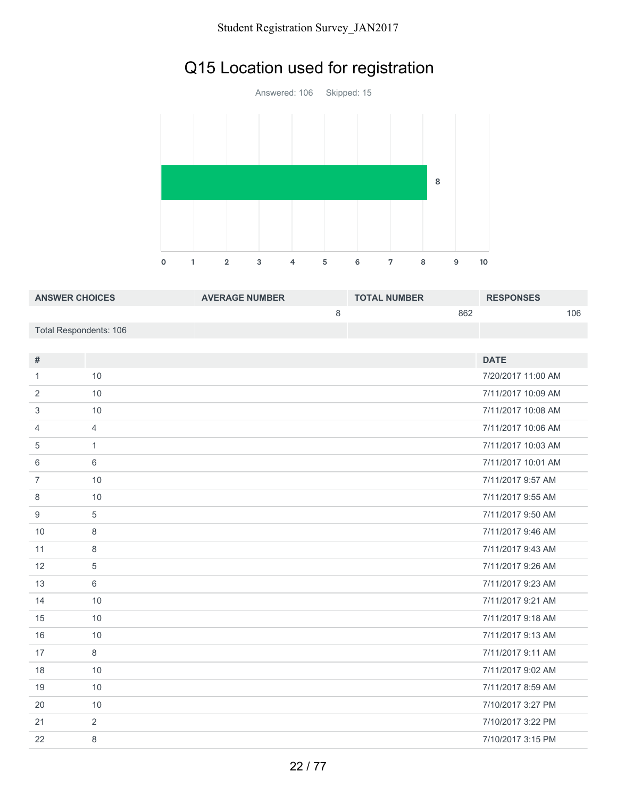## Q15 Location used for registration

Answered: 106 Skipped: 15 1 2 3 4 5 6 7 8 9 10 

| <b>ANSWER CHOICES</b>  | <b>AVERAGE NUMBER</b> | <b>TOTAL NUMBER</b> | <b>RESPONSES</b> |
|------------------------|-----------------------|---------------------|------------------|
|                        |                       | 862                 | 106              |
| Total Respondents: 106 |                       |                     |                  |

| $\#$           |                | <b>DATE</b>        |
|----------------|----------------|--------------------|
| 1              | 10             | 7/20/2017 11:00 AM |
| 2              | 10             | 7/11/2017 10:09 AM |
| 3              | 10             | 7/11/2017 10:08 AM |
| $\overline{4}$ | $\overline{4}$ | 7/11/2017 10:06 AM |
| 5              | $\mathbf{1}$   | 7/11/2017 10:03 AM |
| 6              | 6              | 7/11/2017 10:01 AM |
| $\overline{7}$ | 10             | 7/11/2017 9:57 AM  |
| 8              | 10             | 7/11/2017 9:55 AM  |
| 9              | 5              | 7/11/2017 9:50 AM  |
| 10             | 8              | 7/11/2017 9:46 AM  |
| 11             | 8              | 7/11/2017 9:43 AM  |
| 12             | 5              | 7/11/2017 9:26 AM  |
| 13             | 6              | 7/11/2017 9:23 AM  |
| 14             | 10             | 7/11/2017 9:21 AM  |
| 15             | 10             | 7/11/2017 9:18 AM  |
| 16             | 10             | 7/11/2017 9:13 AM  |
| 17             | 8              | 7/11/2017 9:11 AM  |
| 18             | 10             | 7/11/2017 9:02 AM  |
| 19             | 10             | 7/11/2017 8:59 AM  |
| 20             | 10             | 7/10/2017 3:27 PM  |
| 21             | 2              | 7/10/2017 3:22 PM  |
| 22             | 8              | 7/10/2017 3:15 PM  |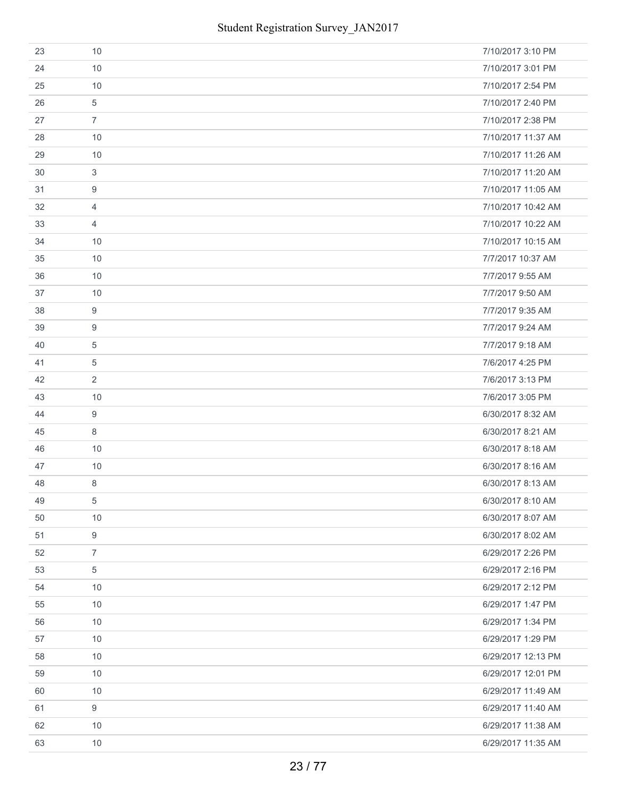| 23 | 10               | 7/10/2017 3:10 PM  |
|----|------------------|--------------------|
| 24 | 10               | 7/10/2017 3:01 PM  |
| 25 | 10               | 7/10/2017 2:54 PM  |
| 26 | 5                | 7/10/2017 2:40 PM  |
| 27 | $\overline{7}$   | 7/10/2017 2:38 PM  |
| 28 | 10               | 7/10/2017 11:37 AM |
| 29 | 10               | 7/10/2017 11:26 AM |
| 30 | 3                | 7/10/2017 11:20 AM |
| 31 | 9                | 7/10/2017 11:05 AM |
| 32 | $\overline{4}$   | 7/10/2017 10:42 AM |
| 33 | $\overline{4}$   | 7/10/2017 10:22 AM |
| 34 | 10               | 7/10/2017 10:15 AM |
| 35 | 10               | 7/7/2017 10:37 AM  |
| 36 | 10               | 7/7/2017 9:55 AM   |
| 37 | 10               | 7/7/2017 9:50 AM   |
| 38 | 9                | 7/7/2017 9:35 AM   |
| 39 | 9                | 7/7/2017 9:24 AM   |
| 40 | 5                | 7/7/2017 9:18 AM   |
| 41 | $\overline{5}$   | 7/6/2017 4:25 PM   |
| 42 | 2                | 7/6/2017 3:13 PM   |
| 43 | 10               | 7/6/2017 3:05 PM   |
| 44 | 9                | 6/30/2017 8:32 AM  |
| 45 | 8                | 6/30/2017 8:21 AM  |
| 46 | 10               | 6/30/2017 8:18 AM  |
| 47 | 10               | 6/30/2017 8:16 AM  |
| 48 | 8                | 6/30/2017 8:13 AM  |
| 49 | 5                | 6/30/2017 8:10 AM  |
| 50 | 10               | 6/30/2017 8:07 AM  |
| 51 | $\boldsymbol{9}$ | 6/30/2017 8:02 AM  |
| 52 | $\overline{7}$   | 6/29/2017 2:26 PM  |
| 53 | 5                | 6/29/2017 2:16 PM  |
| 54 | 10               | 6/29/2017 2:12 PM  |
| 55 | 10               | 6/29/2017 1:47 PM  |
| 56 | 10               | 6/29/2017 1:34 PM  |
| 57 | 10               | 6/29/2017 1:29 PM  |
| 58 | 10               | 6/29/2017 12:13 PM |
| 59 | 10               | 6/29/2017 12:01 PM |
| 60 | 10               | 6/29/2017 11:49 AM |
| 61 | $\boldsymbol{9}$ | 6/29/2017 11:40 AM |
| 62 | 10               | 6/29/2017 11:38 AM |
| 63 | 10               | 6/29/2017 11:35 AM |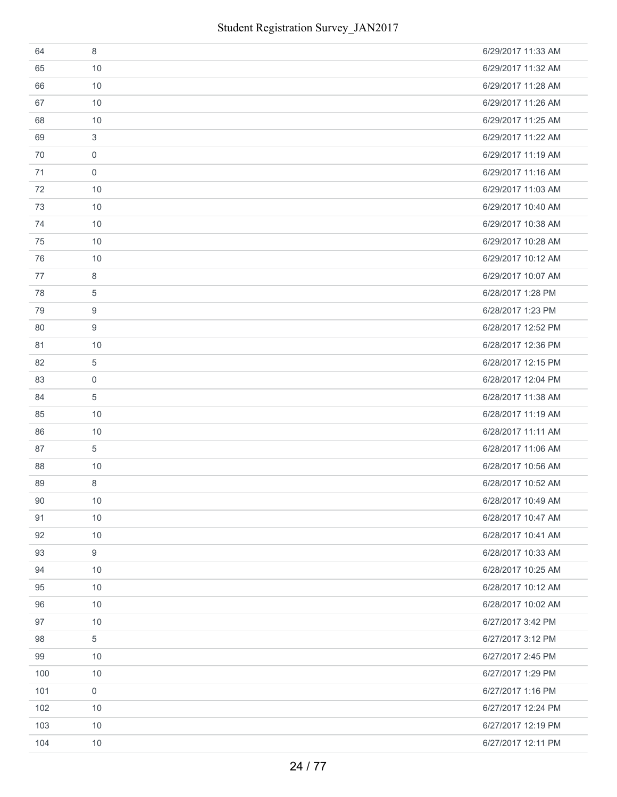| 64  | 8                   | 6/29/2017 11:33 AM |
|-----|---------------------|--------------------|
| 65  | 10                  | 6/29/2017 11:32 AM |
| 66  | 10                  | 6/29/2017 11:28 AM |
| 67  | 10                  | 6/29/2017 11:26 AM |
| 68  | 10                  | 6/29/2017 11:25 AM |
| 69  | 3                   | 6/29/2017 11:22 AM |
| 70  | $\mathbf 0$         | 6/29/2017 11:19 AM |
| 71  | $\mathbf 0$         | 6/29/2017 11:16 AM |
| 72  | 10                  | 6/29/2017 11:03 AM |
| 73  | 10                  | 6/29/2017 10:40 AM |
| 74  | 10                  | 6/29/2017 10:38 AM |
| 75  | 10                  | 6/29/2017 10:28 AM |
| 76  | 10                  | 6/29/2017 10:12 AM |
| 77  | 8                   | 6/29/2017 10:07 AM |
| 78  | 5                   | 6/28/2017 1:28 PM  |
| 79  | 9                   | 6/28/2017 1:23 PM  |
| 80  | 9                   | 6/28/2017 12:52 PM |
| 81  | 10                  | 6/28/2017 12:36 PM |
| 82  | 5                   | 6/28/2017 12:15 PM |
| 83  | $\mathbf 0$         | 6/28/2017 12:04 PM |
| 84  | 5                   | 6/28/2017 11:38 AM |
| 85  | 10                  | 6/28/2017 11:19 AM |
| 86  | 10                  | 6/28/2017 11:11 AM |
| 87  | 5                   | 6/28/2017 11:06 AM |
| 88  | 10                  | 6/28/2017 10:56 AM |
| 89  | 8                   | 6/28/2017 10:52 AM |
| 90  | $10$                | 6/28/2017 10:49 AM |
| 91  | 10                  | 6/28/2017 10:47 AM |
| 92  | 10                  | 6/28/2017 10:41 AM |
| 93  | 9                   | 6/28/2017 10:33 AM |
| 94  | 10                  | 6/28/2017 10:25 AM |
| 95  | 10                  | 6/28/2017 10:12 AM |
| 96  | 10                  | 6/28/2017 10:02 AM |
| 97  | 10                  | 6/27/2017 3:42 PM  |
| 98  | 5                   | 6/27/2017 3:12 PM  |
| 99  | 10                  | 6/27/2017 2:45 PM  |
| 100 | 10                  | 6/27/2017 1:29 PM  |
| 101 | $\mathsf{O}\xspace$ | 6/27/2017 1:16 PM  |
| 102 | 10                  | 6/27/2017 12:24 PM |
| 103 | 10                  | 6/27/2017 12:19 PM |
| 104 | 10                  | 6/27/2017 12:11 PM |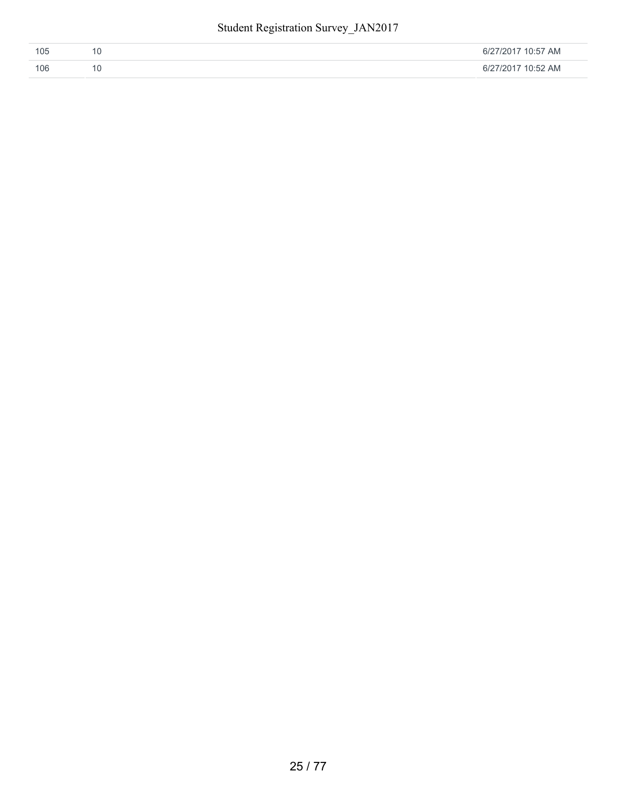| 105 | 6/27/2017 10:57 AM |
|-----|--------------------|
| 106 | 6/27/2017 10:52 AM |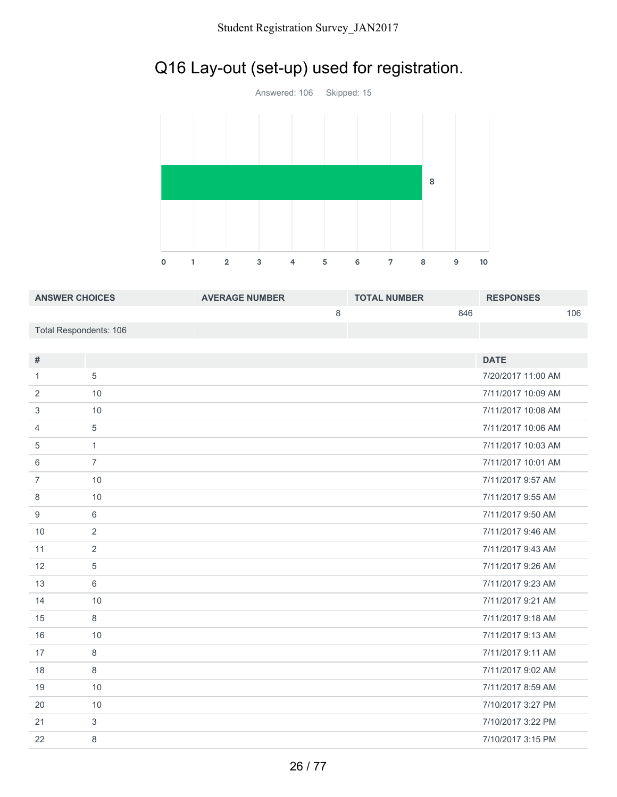## Q16 Lay-out (set-up) used for registration.



| <b>ANSWER CHOICES</b>  | <b>AVERAGE NUMBER</b> | <b>TOTAL NUMBER</b> | <b>RESPONSES</b> |
|------------------------|-----------------------|---------------------|------------------|
|                        |                       | 846                 | 106              |
| Total Respondents: 106 |                       |                     |                  |

| #              |                | <b>DATE</b>        |
|----------------|----------------|--------------------|
|                |                |                    |
| 1              | 5              | 7/20/2017 11:00 AM |
| 2              | 10             | 7/11/2017 10:09 AM |
| 3              | 10             | 7/11/2017 10:08 AM |
| 4              | 5              | 7/11/2017 10:06 AM |
| 5              | $\mathbf{1}$   | 7/11/2017 10:03 AM |
| 6              | $\overline{7}$ | 7/11/2017 10:01 AM |
| $\overline{7}$ | 10             | 7/11/2017 9:57 AM  |
| 8              | 10             | 7/11/2017 9:55 AM  |
| 9              | 6              | 7/11/2017 9:50 AM  |
| 10             | 2              | 7/11/2017 9:46 AM  |
| 11             | 2              | 7/11/2017 9:43 AM  |
| 12             | 5              | 7/11/2017 9:26 AM  |
| 13             | 6              | 7/11/2017 9:23 AM  |
| 14             | 10             | 7/11/2017 9:21 AM  |
| 15             | 8              | 7/11/2017 9:18 AM  |
| 16             | 10             | 7/11/2017 9:13 AM  |
| 17             | 8              | 7/11/2017 9:11 AM  |
| 18             | 8              | 7/11/2017 9:02 AM  |
| 19             | 10             | 7/11/2017 8:59 AM  |
| 20             | 10             | 7/10/2017 3:27 PM  |
| 21             | 3              | 7/10/2017 3:22 PM  |
| 22             | 8              | 7/10/2017 3:15 PM  |
|                |                |                    |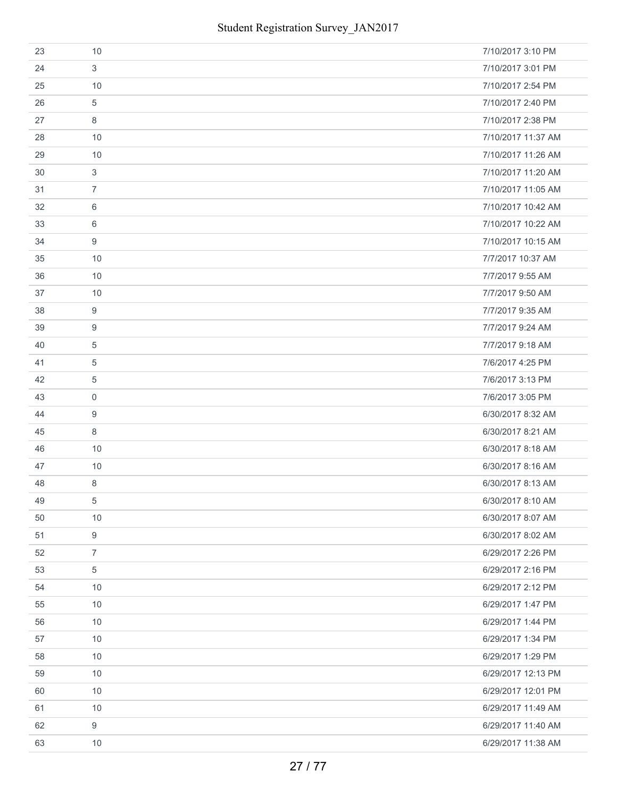| 23 | 10             | 7/10/2017 3:10 PM  |
|----|----------------|--------------------|
| 24 | 3              | 7/10/2017 3:01 PM  |
| 25 | 10             | 7/10/2017 2:54 PM  |
| 26 | 5              | 7/10/2017 2:40 PM  |
| 27 | 8              | 7/10/2017 2:38 PM  |
| 28 | 10             | 7/10/2017 11:37 AM |
| 29 | 10             | 7/10/2017 11:26 AM |
| 30 | 3              | 7/10/2017 11:20 AM |
| 31 | $\overline{7}$ | 7/10/2017 11:05 AM |
| 32 | 6              | 7/10/2017 10:42 AM |
| 33 | 6              | 7/10/2017 10:22 AM |
| 34 | 9              | 7/10/2017 10:15 AM |
| 35 | 10             | 7/7/2017 10:37 AM  |
| 36 | 10             | 7/7/2017 9:55 AM   |
| 37 | 10             | 7/7/2017 9:50 AM   |
| 38 | 9              | 7/7/2017 9:35 AM   |
| 39 | 9              | 7/7/2017 9:24 AM   |
| 40 | 5              | 7/7/2017 9:18 AM   |
| 41 | $\overline{5}$ | 7/6/2017 4:25 PM   |
| 42 | 5              | 7/6/2017 3:13 PM   |
| 43 | $\mathbf 0$    | 7/6/2017 3:05 PM   |
| 44 | 9              | 6/30/2017 8:32 AM  |
| 45 | 8              | 6/30/2017 8:21 AM  |
| 46 | 10             | 6/30/2017 8:18 AM  |
| 47 | 10             | 6/30/2017 8:16 AM  |
| 48 | 8              | 6/30/2017 8:13 AM  |
| 49 | 5              | 6/30/2017 8:10 AM  |
| 50 | 10             | 6/30/2017 8:07 AM  |
| 51 | 9              | 6/30/2017 8:02 AM  |
| 52 | $\overline{7}$ | 6/29/2017 2:26 PM  |
| 53 | $\overline{5}$ | 6/29/2017 2:16 PM  |
| 54 | 10             | 6/29/2017 2:12 PM  |
| 55 | 10             | 6/29/2017 1:47 PM  |
| 56 | 10             | 6/29/2017 1:44 PM  |
| 57 | 10             | 6/29/2017 1:34 PM  |
| 58 | 10             | 6/29/2017 1:29 PM  |
| 59 | 10             | 6/29/2017 12:13 PM |
| 60 | 10             | 6/29/2017 12:01 PM |
| 61 | 10             | 6/29/2017 11:49 AM |
| 62 | 9              | 6/29/2017 11:40 AM |
| 63 | 10             | 6/29/2017 11:38 AM |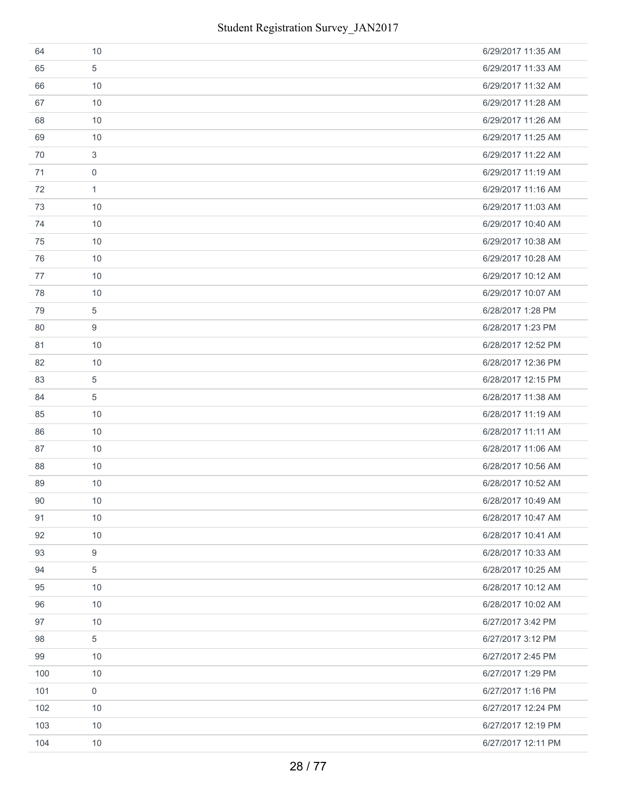| 64  | 10             | 6/29/2017 11:35 AM |
|-----|----------------|--------------------|
| 65  | 5              | 6/29/2017 11:33 AM |
| 66  | 10             | 6/29/2017 11:32 AM |
| 67  | 10             | 6/29/2017 11:28 AM |
| 68  | 10             | 6/29/2017 11:26 AM |
| 69  | 10             | 6/29/2017 11:25 AM |
| 70  | 3              | 6/29/2017 11:22 AM |
| 71  | $\mathbf 0$    | 6/29/2017 11:19 AM |
| 72  | $\mathbf{1}$   | 6/29/2017 11:16 AM |
| 73  | 10             | 6/29/2017 11:03 AM |
| 74  | 10             | 6/29/2017 10:40 AM |
| 75  | 10             | 6/29/2017 10:38 AM |
| 76  | 10             | 6/29/2017 10:28 AM |
| 77  | 10             | 6/29/2017 10:12 AM |
| 78  | 10             | 6/29/2017 10:07 AM |
| 79  | 5              | 6/28/2017 1:28 PM  |
| 80  | 9              | 6/28/2017 1:23 PM  |
| 81  | 10             | 6/28/2017 12:52 PM |
| 82  | 10             | 6/28/2017 12:36 PM |
| 83  | $\overline{5}$ | 6/28/2017 12:15 PM |
| 84  | $\overline{5}$ | 6/28/2017 11:38 AM |
| 85  | 10             | 6/28/2017 11:19 AM |
| 86  | 10             | 6/28/2017 11:11 AM |
| 87  | 10             | 6/28/2017 11:06 AM |
| 88  | 10             | 6/28/2017 10:56 AM |
| 89  | 10             | 6/28/2017 10:52 AM |
| 90  | 10             | 6/28/2017 10:49 AM |
| 91  | 10             | 6/28/2017 10:47 AM |
| 92  | 10             | 6/28/2017 10:41 AM |
| 93  | 9              | 6/28/2017 10:33 AM |
| 94  | 5              | 6/28/2017 10:25 AM |
| 95  | 10             | 6/28/2017 10:12 AM |
| 96  | 10             | 6/28/2017 10:02 AM |
| 97  | 10             | 6/27/2017 3:42 PM  |
| 98  | 5              | 6/27/2017 3:12 PM  |
| 99  | 10             | 6/27/2017 2:45 PM  |
| 100 | 10             | 6/27/2017 1:29 PM  |
| 101 | $\mathbf 0$    | 6/27/2017 1:16 PM  |
| 102 | 10             | 6/27/2017 12:24 PM |
| 103 | 10             | 6/27/2017 12:19 PM |
| 104 | 10             | 6/27/2017 12:11 PM |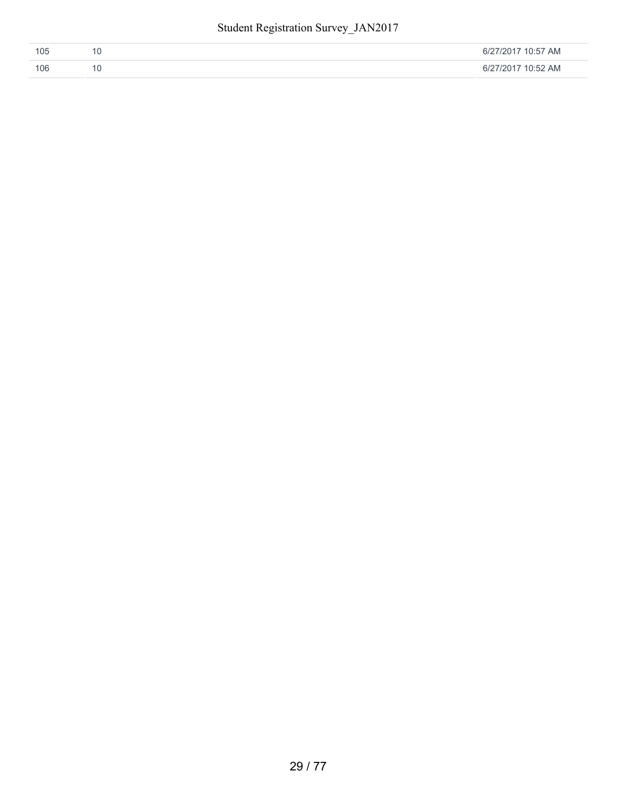| 105 | 6/27/2017 10:57 AM |
|-----|--------------------|
| 106 | 6/27/2017 10:52 AM |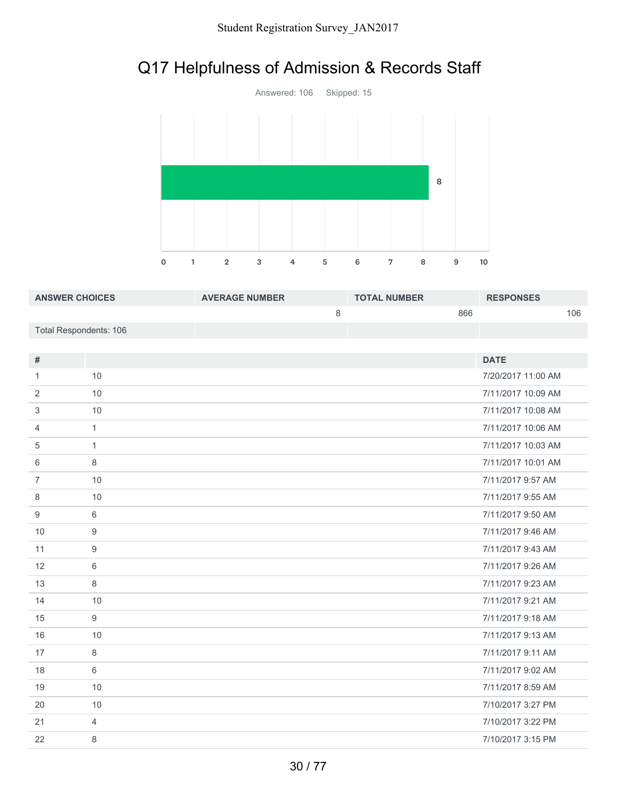## Q17 Helpfulness of Admission & Records Staff



| <b>ANSWER CHOICES</b>  | <b>AVERAGE NUMBER</b> | <b>TOTAL NUMBER</b> | <b>RESPONSES</b> |
|------------------------|-----------------------|---------------------|------------------|
|                        |                       | 866                 | 106              |
| Total Respondents: 106 |                       |                     |                  |

| #              |                | <b>DATE</b>        |
|----------------|----------------|--------------------|
| 1              | 10             | 7/20/2017 11:00 AM |
| 2              | 10             | 7/11/2017 10:09 AM |
| 3              | 10             | 7/11/2017 10:08 AM |
| 4              | $\mathbf{1}$   | 7/11/2017 10:06 AM |
| 5              | $\mathbf{1}$   | 7/11/2017 10:03 AM |
| 6              | 8              | 7/11/2017 10:01 AM |
| $\overline{7}$ | 10             | 7/11/2017 9:57 AM  |
| 8              | 10             | 7/11/2017 9:55 AM  |
| 9              | 6              | 7/11/2017 9:50 AM  |
| 10             | 9              | 7/11/2017 9:46 AM  |
| 11             | 9              | 7/11/2017 9:43 AM  |
| 12             | 6              | 7/11/2017 9:26 AM  |
| 13             | 8              | 7/11/2017 9:23 AM  |
| 14             | 10             | 7/11/2017 9:21 AM  |
| 15             | 9              | 7/11/2017 9:18 AM  |
| 16             | 10             | 7/11/2017 9:13 AM  |
| 17             | 8              | 7/11/2017 9:11 AM  |
| 18             | 6              | 7/11/2017 9:02 AM  |
| 19             | 10             | 7/11/2017 8:59 AM  |
| 20             | 10             | 7/10/2017 3:27 PM  |
| 21             | $\overline{4}$ | 7/10/2017 3:22 PM  |
| 22             | 8              | 7/10/2017 3:15 PM  |
|                |                |                    |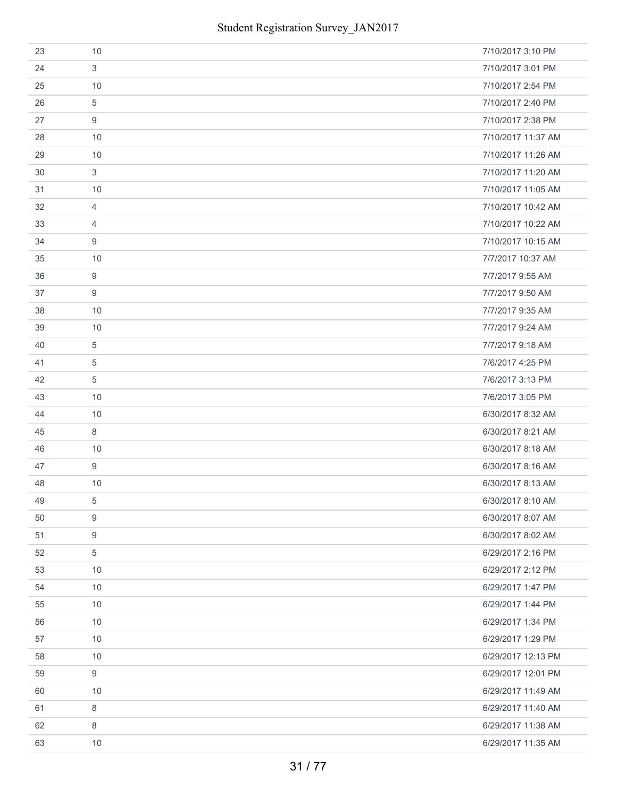| 23 | 10             | 7/10/2017 3:10 PM  |
|----|----------------|--------------------|
| 24 | 3              | 7/10/2017 3:01 PM  |
| 25 | 10             | 7/10/2017 2:54 PM  |
| 26 | 5              | 7/10/2017 2:40 PM  |
| 27 | 9              | 7/10/2017 2:38 PM  |
| 28 | 10             | 7/10/2017 11:37 AM |
| 29 | 10             | 7/10/2017 11:26 AM |
| 30 | 3              | 7/10/2017 11:20 AM |
| 31 | 10             | 7/10/2017 11:05 AM |
| 32 | $\overline{4}$ | 7/10/2017 10:42 AM |
| 33 | $\overline{4}$ | 7/10/2017 10:22 AM |
| 34 | 9              | 7/10/2017 10:15 AM |
| 35 | 10             | 7/7/2017 10:37 AM  |
| 36 | 9              | 7/7/2017 9:55 AM   |
| 37 | 9              | 7/7/2017 9:50 AM   |
| 38 | 10             | 7/7/2017 9:35 AM   |
| 39 | 10             | 7/7/2017 9:24 AM   |
| 40 | 5              | 7/7/2017 9:18 AM   |
| 41 | $\overline{5}$ | 7/6/2017 4:25 PM   |
| 42 | 5              | 7/6/2017 3:13 PM   |
| 43 | 10             | 7/6/2017 3:05 PM   |
| 44 | 10             | 6/30/2017 8:32 AM  |
| 45 | 8              | 6/30/2017 8:21 AM  |
| 46 | 10             | 6/30/2017 8:18 AM  |
| 47 | 9              | 6/30/2017 8:16 AM  |
| 48 | 10             | 6/30/2017 8:13 AM  |
| 49 | 5              | 6/30/2017 8:10 AM  |
| 50 | 9              | 6/30/2017 8:07 AM  |
| 51 | 9              | 6/30/2017 8:02 AM  |
| 52 | 5              | 6/29/2017 2:16 PM  |
| 53 | 10             | 6/29/2017 2:12 PM  |
| 54 | 10             | 6/29/2017 1:47 PM  |
| 55 | 10             | 6/29/2017 1:44 PM  |
| 56 | 10             | 6/29/2017 1:34 PM  |
| 57 | 10             | 6/29/2017 1:29 PM  |
| 58 | 10             | 6/29/2017 12:13 PM |
| 59 | 9              | 6/29/2017 12:01 PM |
| 60 | 10             | 6/29/2017 11:49 AM |
| 61 | 8              | 6/29/2017 11:40 AM |
| 62 | 8              | 6/29/2017 11:38 AM |
| 63 | 10             | 6/29/2017 11:35 AM |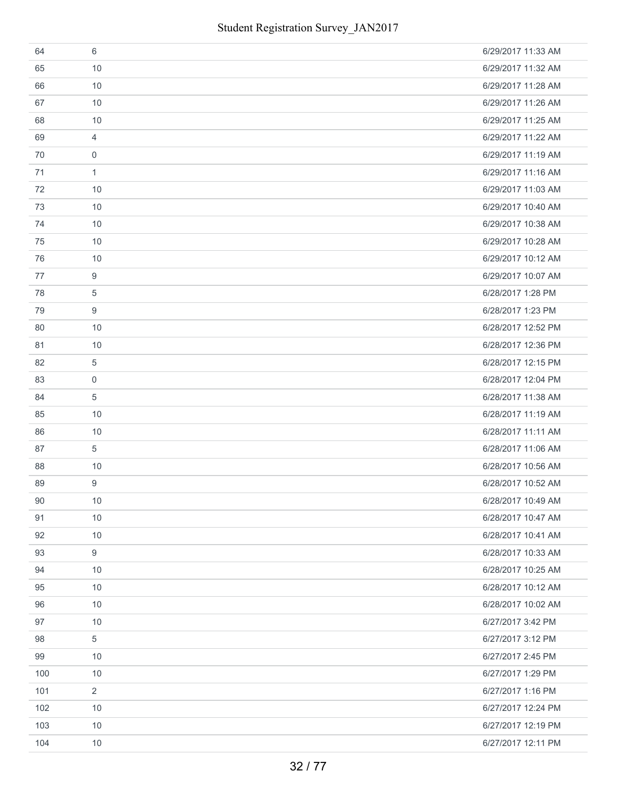| 64  | 6              | 6/29/2017 11:33 AM |
|-----|----------------|--------------------|
| 65  | 10             | 6/29/2017 11:32 AM |
| 66  | 10             | 6/29/2017 11:28 AM |
| 67  | 10             | 6/29/2017 11:26 AM |
| 68  | 10             | 6/29/2017 11:25 AM |
| 69  | 4              | 6/29/2017 11:22 AM |
| 70  | $\mathbf 0$    | 6/29/2017 11:19 AM |
| 71  | $\mathbf{1}$   | 6/29/2017 11:16 AM |
| 72  | 10             | 6/29/2017 11:03 AM |
| 73  | 10             | 6/29/2017 10:40 AM |
| 74  | 10             | 6/29/2017 10:38 AM |
| 75  | 10             | 6/29/2017 10:28 AM |
| 76  | 10             | 6/29/2017 10:12 AM |
| 77  | 9              | 6/29/2017 10:07 AM |
| 78  | 5              | 6/28/2017 1:28 PM  |
| 79  | 9              | 6/28/2017 1:23 PM  |
| 80  | 10             | 6/28/2017 12:52 PM |
| 81  | 10             | 6/28/2017 12:36 PM |
| 82  | 5              | 6/28/2017 12:15 PM |
| 83  | $\mathbf 0$    | 6/28/2017 12:04 PM |
| 84  | 5              | 6/28/2017 11:38 AM |
| 85  | 10             | 6/28/2017 11:19 AM |
| 86  | 10             | 6/28/2017 11:11 AM |
| 87  | 5              | 6/28/2017 11:06 AM |
| 88  | 10             | 6/28/2017 10:56 AM |
| 89  | 9              | 6/28/2017 10:52 AM |
| 90  | 10             | 6/28/2017 10:49 AM |
| 91  | 10             | 6/28/2017 10:47 AM |
| 92  | 10             | 6/28/2017 10:41 AM |
| 93  | 9              | 6/28/2017 10:33 AM |
| 94  | 10             | 6/28/2017 10:25 AM |
| 95  | 10             | 6/28/2017 10:12 AM |
| 96  | 10             | 6/28/2017 10:02 AM |
| 97  | 10             | 6/27/2017 3:42 PM  |
| 98  | 5              | 6/27/2017 3:12 PM  |
| 99  | 10             | 6/27/2017 2:45 PM  |
| 100 | 10             | 6/27/2017 1:29 PM  |
| 101 | $\overline{2}$ | 6/27/2017 1:16 PM  |
| 102 | 10             | 6/27/2017 12:24 PM |
| 103 | 10             | 6/27/2017 12:19 PM |
| 104 | 10             | 6/27/2017 12:11 PM |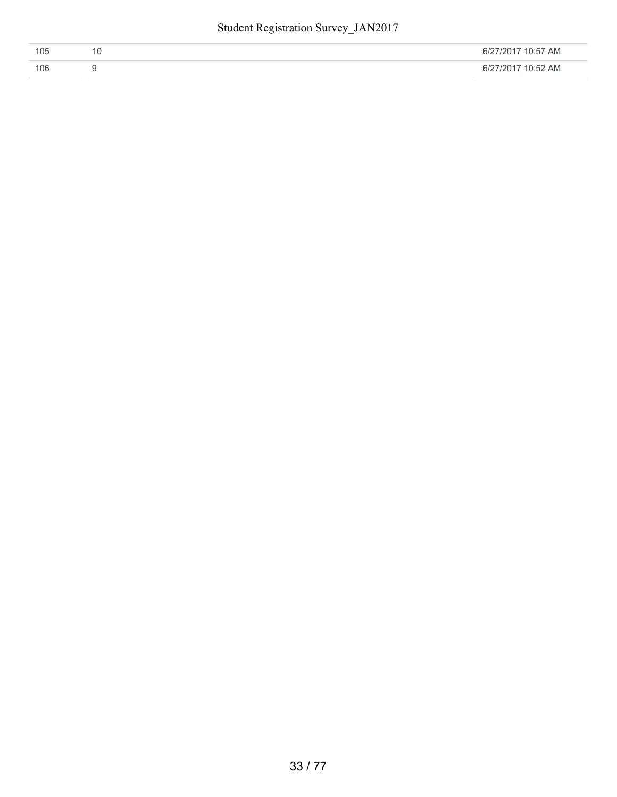| 105 | 6/27/2017 10:57 AM |
|-----|--------------------|
| 106 | 6/27/2017 10:52 AM |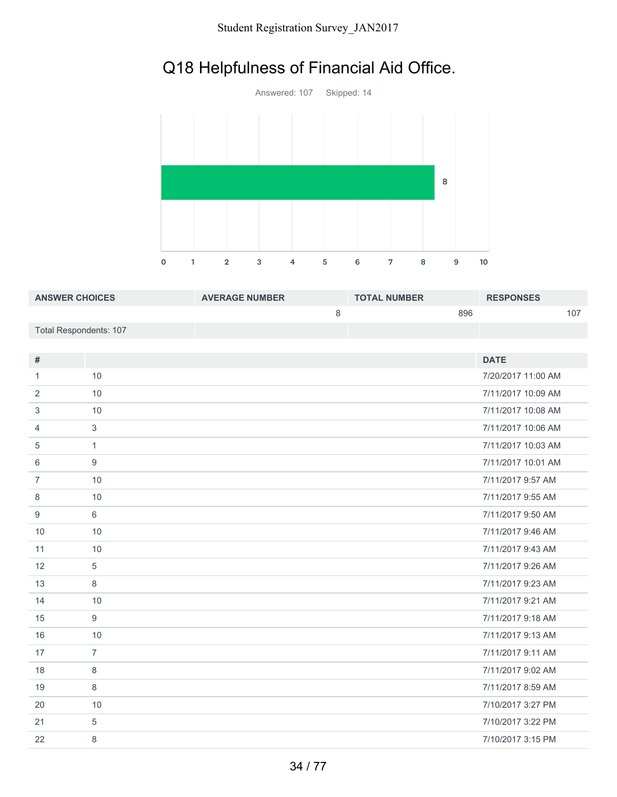## Q18 Helpfulness of Financial Aid Office.



| <b>ANSWER CHOICES</b>  | <b>AVERAGE NUMBER</b> | <b>TOTAL NUMBER</b> | <b>RESPONSES</b> |
|------------------------|-----------------------|---------------------|------------------|
|                        |                       | 896                 |                  |
| Total Respondents: 107 |                       |                     |                  |

| #              |                | <b>DATE</b>        |
|----------------|----------------|--------------------|
|                |                |                    |
| 1              | 10             | 7/20/2017 11:00 AM |
| 2              | 10             | 7/11/2017 10:09 AM |
| 3              | 10             | 7/11/2017 10:08 AM |
| 4              | 3              | 7/11/2017 10:06 AM |
| 5              | $\mathbf{1}$   | 7/11/2017 10:03 AM |
| 6              | 9              | 7/11/2017 10:01 AM |
| $\overline{7}$ | 10             | 7/11/2017 9:57 AM  |
| 8              | 10             | 7/11/2017 9:55 AM  |
| 9              | 6              | 7/11/2017 9:50 AM  |
| 10             | 10             | 7/11/2017 9:46 AM  |
| 11             | 10             | 7/11/2017 9:43 AM  |
| 12             | 5              | 7/11/2017 9:26 AM  |
| 13             | 8              | 7/11/2017 9:23 AM  |
| 14             | 10             | 7/11/2017 9:21 AM  |
| 15             | 9              | 7/11/2017 9:18 AM  |
| 16             | 10             | 7/11/2017 9:13 AM  |
| 17             | $\overline{7}$ | 7/11/2017 9:11 AM  |
| 18             | 8              | 7/11/2017 9:02 AM  |
| 19             | 8              | 7/11/2017 8:59 AM  |
| 20             | 10             | 7/10/2017 3:27 PM  |
| 21             | 5              | 7/10/2017 3:22 PM  |
| 22             | 8              | 7/10/2017 3:15 PM  |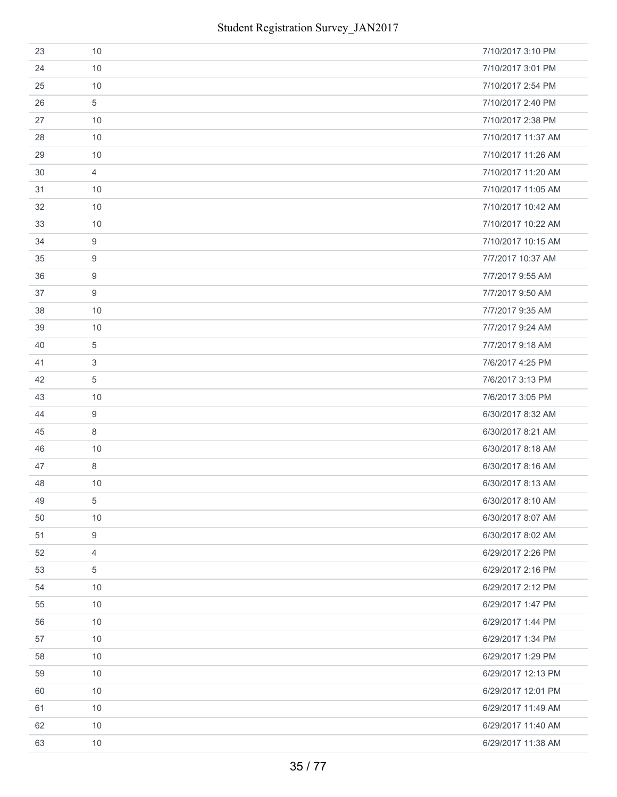| 23 | 10               | 7/10/2017 3:10 PM  |
|----|------------------|--------------------|
| 24 | 10               | 7/10/2017 3:01 PM  |
| 25 | 10               | 7/10/2017 2:54 PM  |
| 26 | 5                | 7/10/2017 2:40 PM  |
| 27 | 10               | 7/10/2017 2:38 PM  |
| 28 | 10               | 7/10/2017 11:37 AM |
| 29 | 10               | 7/10/2017 11:26 AM |
| 30 | $\overline{4}$   | 7/10/2017 11:20 AM |
| 31 | 10               | 7/10/2017 11:05 AM |
| 32 | 10               | 7/10/2017 10:42 AM |
| 33 | 10               | 7/10/2017 10:22 AM |
| 34 | $\boldsymbol{9}$ | 7/10/2017 10:15 AM |
| 35 | $\boldsymbol{9}$ | 7/7/2017 10:37 AM  |
| 36 | 9                | 7/7/2017 9:55 AM   |
| 37 | $9\,$            | 7/7/2017 9:50 AM   |
| 38 | 10               | 7/7/2017 9:35 AM   |
| 39 | 10               | 7/7/2017 9:24 AM   |
| 40 | $\sqrt{5}$       | 7/7/2017 9:18 AM   |
| 41 | $\mathfrak{S}$   | 7/6/2017 4:25 PM   |
| 42 | $\sqrt{5}$       | 7/6/2017 3:13 PM   |
| 43 | 10               | 7/6/2017 3:05 PM   |
| 44 | 9                | 6/30/2017 8:32 AM  |
| 45 | $\,8\,$          | 6/30/2017 8:21 AM  |
| 46 | 10               | 6/30/2017 8:18 AM  |
| 47 | 8                | 6/30/2017 8:16 AM  |
| 48 | 10               | 6/30/2017 8:13 AM  |
| 49 | 5                | 6/30/2017 8:10 AM  |
| 50 | 10               | 6/30/2017 8:07 AM  |
| 51 | $9\,$            | 6/30/2017 8:02 AM  |
| 52 | $\overline{4}$   | 6/29/2017 2:26 PM  |
| 53 | $\sqrt{5}$       | 6/29/2017 2:16 PM  |
| 54 | 10               | 6/29/2017 2:12 PM  |
| 55 | 10               | 6/29/2017 1:47 PM  |
| 56 | 10               | 6/29/2017 1:44 PM  |
| 57 | 10               | 6/29/2017 1:34 PM  |
| 58 | 10               | 6/29/2017 1:29 PM  |
| 59 | 10               | 6/29/2017 12:13 PM |
| 60 | 10               | 6/29/2017 12:01 PM |
| 61 | 10               | 6/29/2017 11:49 AM |
| 62 | 10               | 6/29/2017 11:40 AM |
| 63 | $10$             | 6/29/2017 11:38 AM |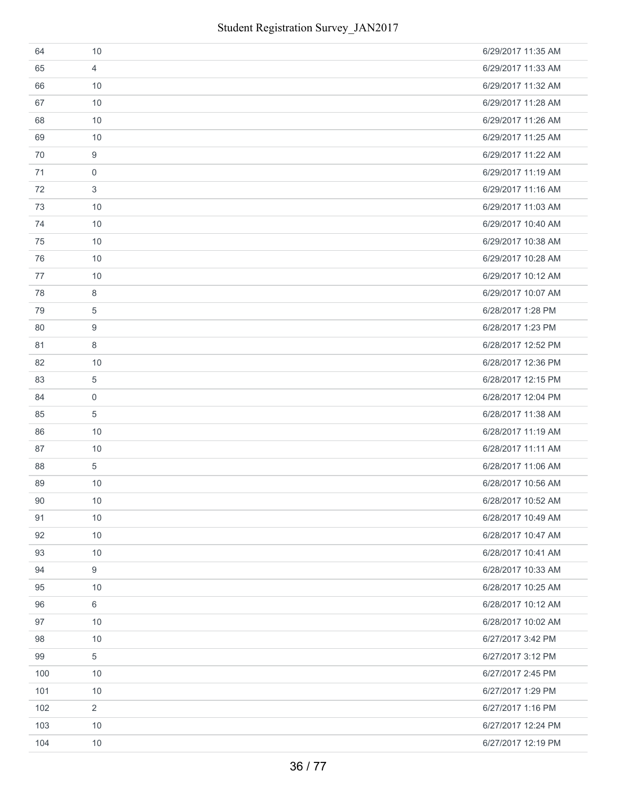| 64  | 10               | 6/29/2017 11:35 AM |
|-----|------------------|--------------------|
| 65  | $\overline{4}$   | 6/29/2017 11:33 AM |
| 66  | 10               | 6/29/2017 11:32 AM |
| 67  | 10               | 6/29/2017 11:28 AM |
| 68  | 10               | 6/29/2017 11:26 AM |
| 69  | 10               | 6/29/2017 11:25 AM |
| 70  | $\boldsymbol{9}$ | 6/29/2017 11:22 AM |
| 71  | $\mathbf 0$      | 6/29/2017 11:19 AM |
| 72  | $\sqrt{3}$       | 6/29/2017 11:16 AM |
| 73  | 10               | 6/29/2017 11:03 AM |
| 74  | 10               | 6/29/2017 10:40 AM |
| 75  | 10               | 6/29/2017 10:38 AM |
| 76  | 10               | 6/29/2017 10:28 AM |
| 77  | 10               | 6/29/2017 10:12 AM |
| 78  | 8                | 6/29/2017 10:07 AM |
| 79  | 5                | 6/28/2017 1:28 PM  |
| 80  | $\boldsymbol{9}$ | 6/28/2017 1:23 PM  |
| 81  | 8                | 6/28/2017 12:52 PM |
| 82  | 10               | 6/28/2017 12:36 PM |
| 83  | $\sqrt{5}$       | 6/28/2017 12:15 PM |
| 84  | $\mathbf 0$      | 6/28/2017 12:04 PM |
| 85  | $\sqrt{5}$       | 6/28/2017 11:38 AM |
| 86  | 10               | 6/28/2017 11:19 AM |
| 87  | 10               | 6/28/2017 11:11 AM |
| 88  | $\sqrt{5}$       | 6/28/2017 11:06 AM |
| 89  | 10               | 6/28/2017 10:56 AM |
| 90  | $10$             | 6/28/2017 10:52 AM |
| 91  | 10               | 6/28/2017 10:49 AM |
| 92  | 10               | 6/28/2017 10:47 AM |
| 93  | 10               | 6/28/2017 10:41 AM |
| 94  | 9                | 6/28/2017 10:33 AM |
| 95  | 10               | 6/28/2017 10:25 AM |
| 96  | $6\,$            | 6/28/2017 10:12 AM |
| 97  | 10               | 6/28/2017 10:02 AM |
| 98  | 10               | 6/27/2017 3:42 PM  |
| 99  | $\sqrt{5}$       | 6/27/2017 3:12 PM  |
| 100 | 10               | 6/27/2017 2:45 PM  |
| 101 | 10               | 6/27/2017 1:29 PM  |
| 102 | $\overline{2}$   | 6/27/2017 1:16 PM  |
| 103 | 10               | 6/27/2017 12:24 PM |
| 104 | $10$             | 6/27/2017 12:19 PM |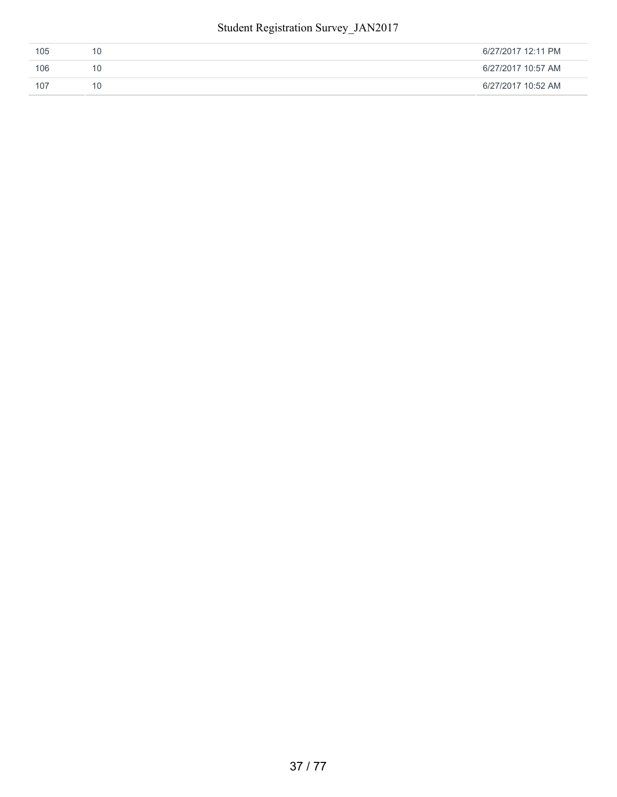#### Student Registration Survey\_JAN2017

| 105 | 6/27/2017 12:11 PM |
|-----|--------------------|
| 106 | 6/27/2017 10:57 AM |
| 107 | 6/27/2017 10:52 AM |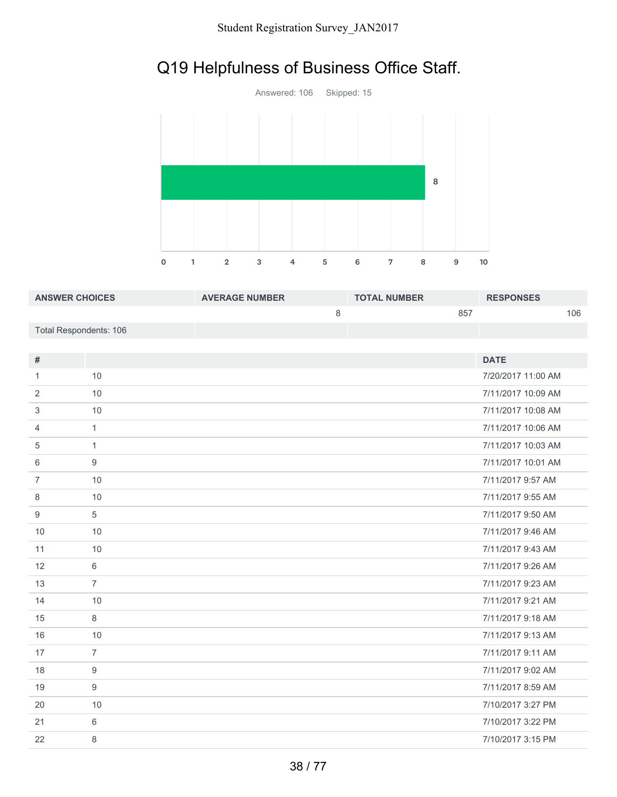# Q19 Helpfulness of Business Office Staff.



| <b>ANSWER CHOICES</b>  | <b>AVERAGE NUMBER</b> | <b>TOTAL NUMBER</b> | <b>RESPONSES</b> |     |
|------------------------|-----------------------|---------------------|------------------|-----|
|                        |                       |                     | 857              | 106 |
| Total Respondents: 106 |                       |                     |                  |     |

| #              |                | <b>DATE</b>        |
|----------------|----------------|--------------------|
| 1              | 10             | 7/20/2017 11:00 AM |
| 2              | 10             | 7/11/2017 10:09 AM |
| 3              | 10             | 7/11/2017 10:08 AM |
| 4              | $\mathbf{1}$   | 7/11/2017 10:06 AM |
| 5              | $\mathbf{1}$   | 7/11/2017 10:03 AM |
| 6              | 9              | 7/11/2017 10:01 AM |
| $\overline{7}$ | 10             | 7/11/2017 9:57 AM  |
| 8              | 10             | 7/11/2017 9:55 AM  |
| 9              | 5              | 7/11/2017 9:50 AM  |
| 10             | 10             | 7/11/2017 9:46 AM  |
| 11             | 10             | 7/11/2017 9:43 AM  |
| 12             | 6              | 7/11/2017 9:26 AM  |
| 13             | $\overline{7}$ | 7/11/2017 9:23 AM  |
| 14             | 10             | 7/11/2017 9:21 AM  |
| 15             | 8              | 7/11/2017 9:18 AM  |
| 16             | 10             | 7/11/2017 9:13 AM  |
| 17             | $\overline{7}$ | 7/11/2017 9:11 AM  |
| 18             | 9              | 7/11/2017 9:02 AM  |
| 19             | 9              | 7/11/2017 8:59 AM  |
| 20             | 10             | 7/10/2017 3:27 PM  |
| 21             | 6              | 7/10/2017 3:22 PM  |
| 22             | 8              | 7/10/2017 3:15 PM  |
|                |                |                    |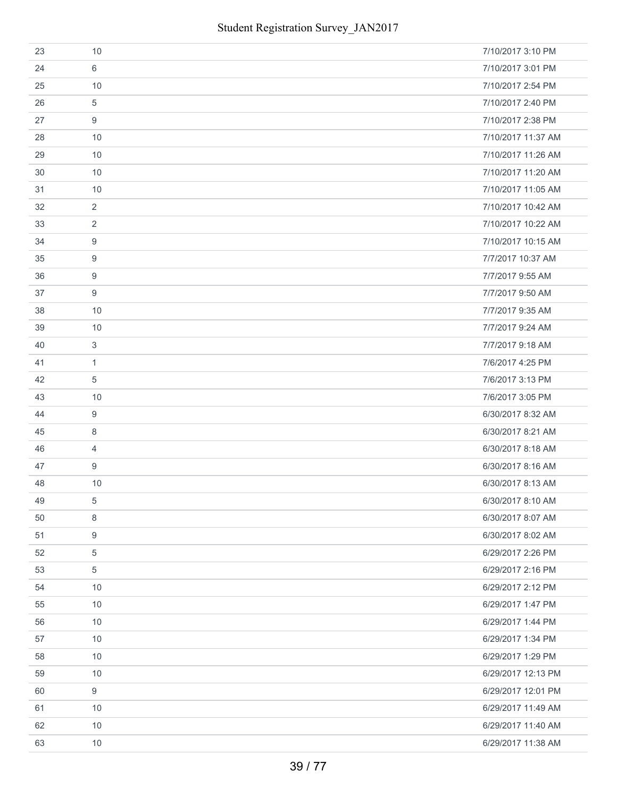| 23 | 10               | 7/10/2017 3:10 PM  |
|----|------------------|--------------------|
| 24 | 6                | 7/10/2017 3:01 PM  |
| 25 | 10               | 7/10/2017 2:54 PM  |
| 26 | 5                | 7/10/2017 2:40 PM  |
| 27 | 9                | 7/10/2017 2:38 PM  |
| 28 | 10               | 7/10/2017 11:37 AM |
| 29 | 10               | 7/10/2017 11:26 AM |
| 30 | 10               | 7/10/2017 11:20 AM |
| 31 | 10               | 7/10/2017 11:05 AM |
| 32 | $\overline{2}$   | 7/10/2017 10:42 AM |
| 33 | 2                | 7/10/2017 10:22 AM |
| 34 | 9                | 7/10/2017 10:15 AM |
| 35 | 9                | 7/7/2017 10:37 AM  |
| 36 | 9                | 7/7/2017 9:55 AM   |
| 37 | 9                | 7/7/2017 9:50 AM   |
| 38 | 10               | 7/7/2017 9:35 AM   |
| 39 | 10               | 7/7/2017 9:24 AM   |
| 40 | 3                | 7/7/2017 9:18 AM   |
| 41 | $\mathbf{1}$     | 7/6/2017 4:25 PM   |
| 42 | 5                | 7/6/2017 3:13 PM   |
| 43 | 10               | 7/6/2017 3:05 PM   |
| 44 | 9                | 6/30/2017 8:32 AM  |
| 45 | 8                | 6/30/2017 8:21 AM  |
| 46 | $\overline{4}$   | 6/30/2017 8:18 AM  |
| 47 | 9                | 6/30/2017 8:16 AM  |
| 48 | 10               | 6/30/2017 8:13 AM  |
| 49 | 5                | 6/30/2017 8:10 AM  |
| 50 | 8                | 6/30/2017 8:07 AM  |
| 51 | 9                | 6/30/2017 8:02 AM  |
| 52 | $\sqrt{5}$       | 6/29/2017 2:26 PM  |
| 53 | $\overline{5}$   | 6/29/2017 2:16 PM  |
| 54 | 10               | 6/29/2017 2:12 PM  |
| 55 | 10               | 6/29/2017 1:47 PM  |
| 56 | 10               | 6/29/2017 1:44 PM  |
| 57 | 10               | 6/29/2017 1:34 PM  |
| 58 | 10               | 6/29/2017 1:29 PM  |
| 59 | 10               | 6/29/2017 12:13 PM |
| 60 | $\boldsymbol{9}$ | 6/29/2017 12:01 PM |
| 61 | 10               | 6/29/2017 11:49 AM |
| 62 | 10               | 6/29/2017 11:40 AM |
| 63 | 10               | 6/29/2017 11:38 AM |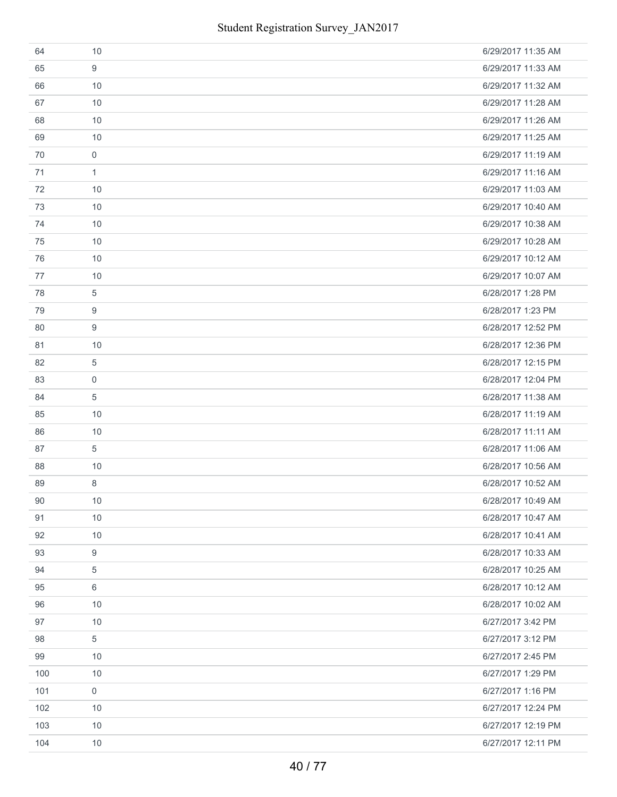| 64  | 10             | 6/29/2017 11:35 AM |
|-----|----------------|--------------------|
| 65  | 9              | 6/29/2017 11:33 AM |
| 66  | 10             | 6/29/2017 11:32 AM |
| 67  | 10             | 6/29/2017 11:28 AM |
| 68  | 10             | 6/29/2017 11:26 AM |
| 69  | 10             | 6/29/2017 11:25 AM |
| 70  | $\mathbf 0$    | 6/29/2017 11:19 AM |
| 71  | $\mathbf{1}$   | 6/29/2017 11:16 AM |
| 72  | 10             | 6/29/2017 11:03 AM |
| 73  | 10             | 6/29/2017 10:40 AM |
| 74  | 10             | 6/29/2017 10:38 AM |
| 75  | 10             | 6/29/2017 10:28 AM |
| 76  | 10             | 6/29/2017 10:12 AM |
| 77  | 10             | 6/29/2017 10:07 AM |
| 78  | 5              | 6/28/2017 1:28 PM  |
| 79  | 9              | 6/28/2017 1:23 PM  |
| 80  | 9              | 6/28/2017 12:52 PM |
| 81  | 10             | 6/28/2017 12:36 PM |
| 82  | 5              | 6/28/2017 12:15 PM |
| 83  | $\mathbf 0$    | 6/28/2017 12:04 PM |
| 84  | $\overline{5}$ | 6/28/2017 11:38 AM |
| 85  | 10             | 6/28/2017 11:19 AM |
| 86  | 10             | 6/28/2017 11:11 AM |
| 87  | 5              | 6/28/2017 11:06 AM |
| 88  | 10             | 6/28/2017 10:56 AM |
| 89  | 8              | 6/28/2017 10:52 AM |
| 90  | 10             | 6/28/2017 10:49 AM |
| 91  | 10             | 6/28/2017 10:47 AM |
| 92  | 10             | 6/28/2017 10:41 AM |
| 93  | 9              | 6/28/2017 10:33 AM |
| 94  | 5              | 6/28/2017 10:25 AM |
| 95  | 6              | 6/28/2017 10:12 AM |
| 96  | 10             | 6/28/2017 10:02 AM |
| 97  | 10             | 6/27/2017 3:42 PM  |
| 98  | 5              | 6/27/2017 3:12 PM  |
| 99  | 10             | 6/27/2017 2:45 PM  |
| 100 | 10             | 6/27/2017 1:29 PM  |
| 101 | $\mathbf 0$    | 6/27/2017 1:16 PM  |
| 102 | 10             | 6/27/2017 12:24 PM |
| 103 | 10             | 6/27/2017 12:19 PM |
| 104 | 10             | 6/27/2017 12:11 PM |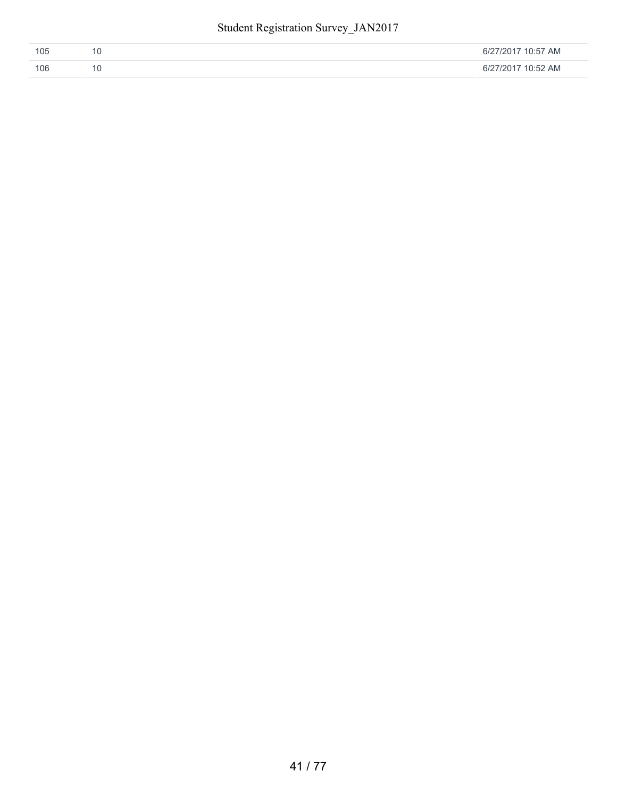| 105 | 6/27/2017 10:57 AM |
|-----|--------------------|
| 106 | 6/27/2017 10:52 AM |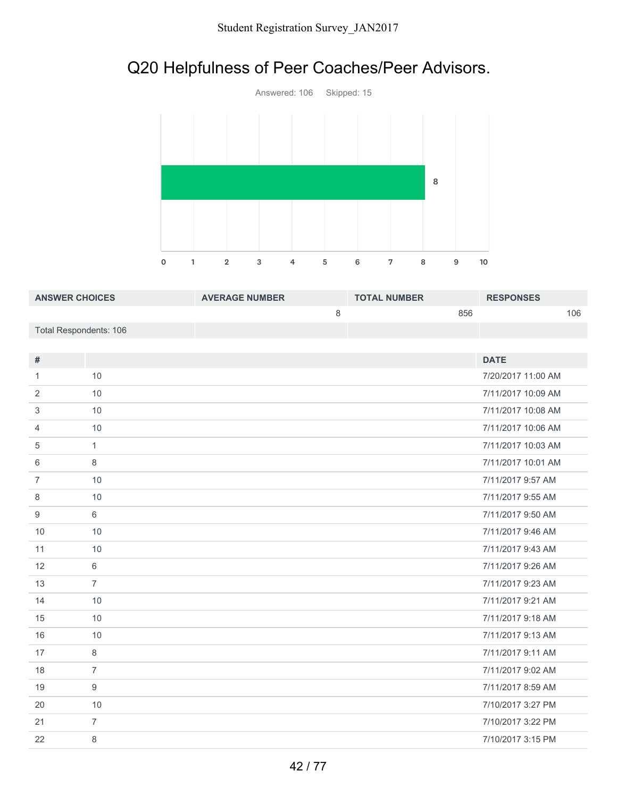# Q20 Helpfulness of Peer Coaches/Peer Advisors.



| <b>ANSWER CHOICES</b>  | <b>AVERAGE NUMBER</b> | <b>TOTAL NUMBER</b> | <b>RESPONSES</b> |
|------------------------|-----------------------|---------------------|------------------|
|                        |                       | 856                 | 106              |
| Total Respondents: 106 |                       |                     |                  |

| #              |                | <b>DATE</b>        |
|----------------|----------------|--------------------|
| 1              | 10             | 7/20/2017 11:00 AM |
| 2              | 10             | 7/11/2017 10:09 AM |
| 3              | 10             | 7/11/2017 10:08 AM |
| 4              | 10             | 7/11/2017 10:06 AM |
| 5              | $\mathbf{1}$   | 7/11/2017 10:03 AM |
| 6              | 8              | 7/11/2017 10:01 AM |
| $\overline{7}$ | 10             | 7/11/2017 9:57 AM  |
| 8              | 10             | 7/11/2017 9:55 AM  |
| 9              | 6              | 7/11/2017 9:50 AM  |
| 10             | 10             | 7/11/2017 9:46 AM  |
| 11             | 10             | 7/11/2017 9:43 AM  |
| 12             | 6              | 7/11/2017 9:26 AM  |
| 13             | $\overline{7}$ | 7/11/2017 9:23 AM  |
| 14             | 10             | 7/11/2017 9:21 AM  |
| 15             | 10             | 7/11/2017 9:18 AM  |
| 16             | 10             | 7/11/2017 9:13 AM  |
| 17             | 8              | 7/11/2017 9:11 AM  |
| 18             | $\overline{7}$ | 7/11/2017 9:02 AM  |
| 19             | 9              | 7/11/2017 8:59 AM  |
| 20             | 10             | 7/10/2017 3:27 PM  |
| 21             | $\overline{7}$ | 7/10/2017 3:22 PM  |
| 22             | 8              | 7/10/2017 3:15 PM  |
|                |                |                    |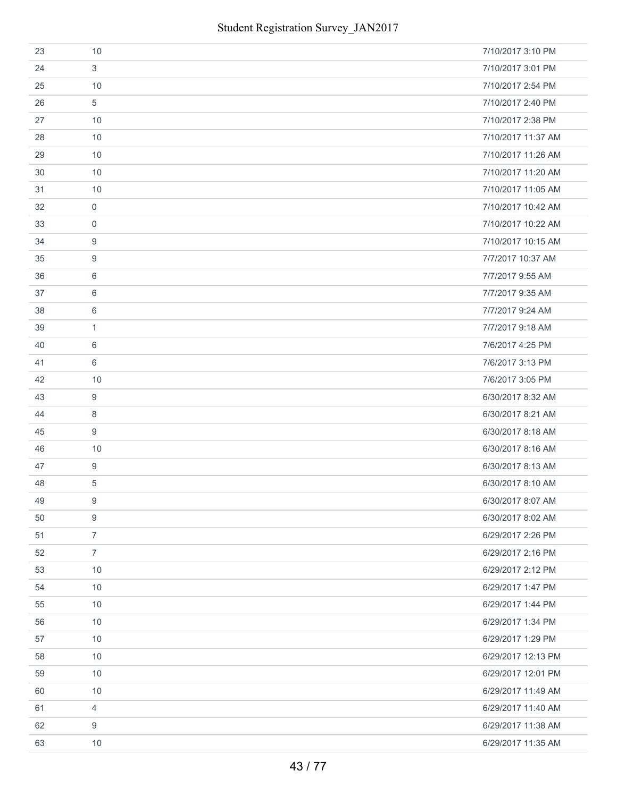| 23 | 10               | 7/10/2017 3:10 PM  |
|----|------------------|--------------------|
| 24 | 3                | 7/10/2017 3:01 PM  |
| 25 | 10               | 7/10/2017 2:54 PM  |
| 26 | 5                | 7/10/2017 2:40 PM  |
| 27 | 10               | 7/10/2017 2:38 PM  |
| 28 | 10               | 7/10/2017 11:37 AM |
| 29 | 10               | 7/10/2017 11:26 AM |
| 30 | 10               | 7/10/2017 11:20 AM |
| 31 | 10               | 7/10/2017 11:05 AM |
| 32 | $\mathbf 0$      | 7/10/2017 10:42 AM |
| 33 | $\mathbf 0$      | 7/10/2017 10:22 AM |
| 34 | 9                | 7/10/2017 10:15 AM |
| 35 | 9                | 7/7/2017 10:37 AM  |
| 36 | 6                | 7/7/2017 9:55 AM   |
| 37 | 6                | 7/7/2017 9:35 AM   |
| 38 | 6                | 7/7/2017 9:24 AM   |
| 39 | $\mathbf{1}$     | 7/7/2017 9:18 AM   |
| 40 | 6                | 7/6/2017 4:25 PM   |
| 41 | 6                | 7/6/2017 3:13 PM   |
| 42 | 10               | 7/6/2017 3:05 PM   |
| 43 | 9                | 6/30/2017 8:32 AM  |
| 44 | 8                | 6/30/2017 8:21 AM  |
| 45 | 9                | 6/30/2017 8:18 AM  |
| 46 | 10               | 6/30/2017 8:16 AM  |
| 47 | $\boldsymbol{9}$ | 6/30/2017 8:13 AM  |
| 48 | 5                | 6/30/2017 8:10 AM  |
| 49 | 9                | 6/30/2017 8:07 AM  |
| 50 | $\boldsymbol{9}$ | 6/30/2017 8:02 AM  |
| 51 | $\overline{7}$   | 6/29/2017 2:26 PM  |
| 52 | $\overline{7}$   | 6/29/2017 2:16 PM  |
| 53 | 10               | 6/29/2017 2:12 PM  |
| 54 | 10               | 6/29/2017 1:47 PM  |
| 55 | 10               | 6/29/2017 1:44 PM  |
| 56 | 10               | 6/29/2017 1:34 PM  |
| 57 | 10               | 6/29/2017 1:29 PM  |
| 58 | 10               | 6/29/2017 12:13 PM |
| 59 | 10               | 6/29/2017 12:01 PM |
| 60 | 10               | 6/29/2017 11:49 AM |
| 61 | $\overline{4}$   | 6/29/2017 11:40 AM |
| 62 | 9                | 6/29/2017 11:38 AM |
| 63 | 10               | 6/29/2017 11:35 AM |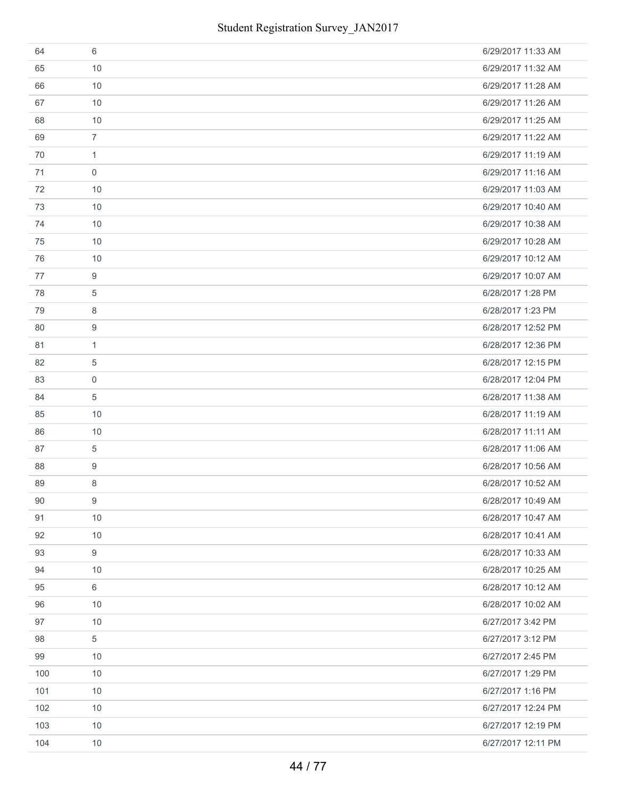| 64  | 6              | 6/29/2017 11:33 AM |
|-----|----------------|--------------------|
| 65  | 10             | 6/29/2017 11:32 AM |
| 66  | 10             | 6/29/2017 11:28 AM |
| 67  | 10             | 6/29/2017 11:26 AM |
| 68  | 10             | 6/29/2017 11:25 AM |
| 69  | $\overline{7}$ | 6/29/2017 11:22 AM |
| 70  | $\mathbf{1}$   | 6/29/2017 11:19 AM |
| 71  | $\mathbf 0$    | 6/29/2017 11:16 AM |
| 72  | 10             | 6/29/2017 11:03 AM |
| 73  | 10             | 6/29/2017 10:40 AM |
| 74  | 10             | 6/29/2017 10:38 AM |
| 75  | 10             | 6/29/2017 10:28 AM |
| 76  | 10             | 6/29/2017 10:12 AM |
| 77  | 9              | 6/29/2017 10:07 AM |
| 78  | 5              | 6/28/2017 1:28 PM  |
| 79  | 8              | 6/28/2017 1:23 PM  |
| 80  | 9              | 6/28/2017 12:52 PM |
| 81  | $\mathbf{1}$   | 6/28/2017 12:36 PM |
| 82  | 5              | 6/28/2017 12:15 PM |
| 83  | $\mathbf 0$    | 6/28/2017 12:04 PM |
| 84  | 5              | 6/28/2017 11:38 AM |
| 85  | 10             | 6/28/2017 11:19 AM |
| 86  | 10             | 6/28/2017 11:11 AM |
| 87  | 5              | 6/28/2017 11:06 AM |
| 88  | 9              | 6/28/2017 10:56 AM |
| 89  | 8              | 6/28/2017 10:52 AM |
| 90  | 9              | 6/28/2017 10:49 AM |
| 91  | 10             | 6/28/2017 10:47 AM |
| 92  | 10             | 6/28/2017 10:41 AM |
| 93  | 9              | 6/28/2017 10:33 AM |
| 94  | 10             | 6/28/2017 10:25 AM |
| 95  | 6              | 6/28/2017 10:12 AM |
| 96  | 10             | 6/28/2017 10:02 AM |
| 97  | 10             | 6/27/2017 3:42 PM  |
| 98  | 5              | 6/27/2017 3:12 PM  |
| 99  | 10             | 6/27/2017 2:45 PM  |
| 100 | 10             | 6/27/2017 1:29 PM  |
| 101 | 10             | 6/27/2017 1:16 PM  |
| 102 | 10             | 6/27/2017 12:24 PM |
| 103 | 10             | 6/27/2017 12:19 PM |
| 104 | 10             | 6/27/2017 12:11 PM |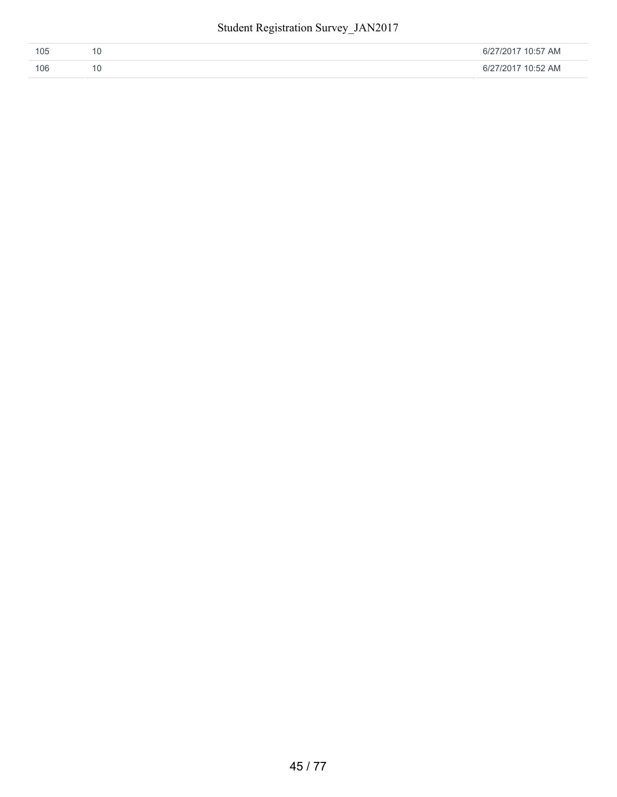| 105 | 6/27/2017 10:57 AM |
|-----|--------------------|
| 106 | 6/27/2017 10:52 AM |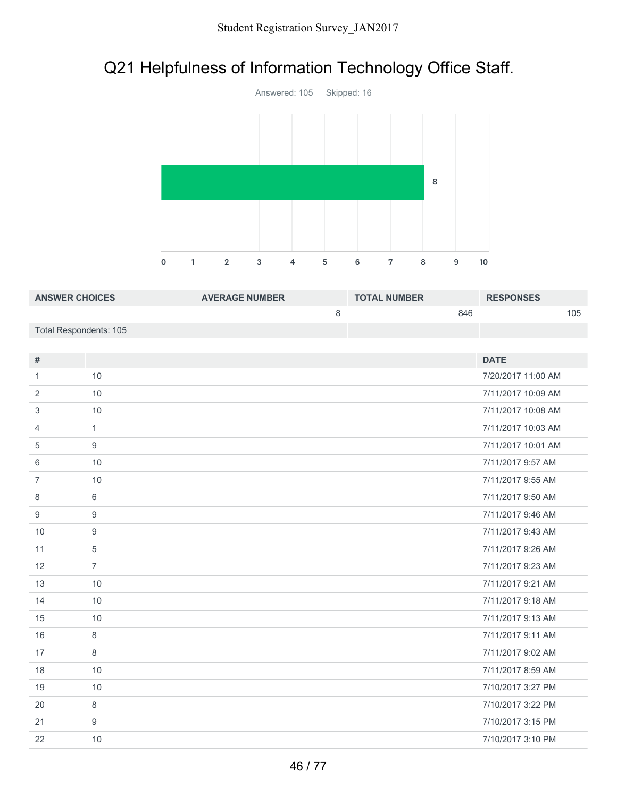# Q21 Helpfulness of Information Technology Office Staff.



| <b>ANSWER CHOICES</b>  | <b>AVERAGE NUMBER</b> | <b>TOTAL NUMBER</b> | <b>RESPONSES</b> |
|------------------------|-----------------------|---------------------|------------------|
|                        |                       | 846                 | 105              |
| Total Respondents: 105 |                       |                     |                  |

| $\#$           |                | <b>DATE</b>        |
|----------------|----------------|--------------------|
| 1              | 10             | 7/20/2017 11:00 AM |
| 2              | 10             | 7/11/2017 10:09 AM |
| 3              | 10             | 7/11/2017 10:08 AM |
| 4              | $\mathbf{1}$   | 7/11/2017 10:03 AM |
| 5              | 9              | 7/11/2017 10:01 AM |
| 6              | 10             | 7/11/2017 9:57 AM  |
| $\overline{7}$ | 10             | 7/11/2017 9:55 AM  |
| 8              | 6              | 7/11/2017 9:50 AM  |
| 9              | 9              | 7/11/2017 9:46 AM  |
| 10             | 9              | 7/11/2017 9:43 AM  |
| 11             | 5              | 7/11/2017 9:26 AM  |
| 12             | $\overline{7}$ | 7/11/2017 9:23 AM  |
| 13             | 10             | 7/11/2017 9:21 AM  |
| 14             | 10             | 7/11/2017 9:18 AM  |
| 15             | 10             | 7/11/2017 9:13 AM  |
| 16             | 8              | 7/11/2017 9:11 AM  |
| 17             | 8              | 7/11/2017 9:02 AM  |
| 18             | 10             | 7/11/2017 8:59 AM  |
| 19             | 10             | 7/10/2017 3:27 PM  |
| 20             | 8              | 7/10/2017 3:22 PM  |
| 21             | 9              | 7/10/2017 3:15 PM  |
| 22             | 10             | 7/10/2017 3:10 PM  |
|                |                |                    |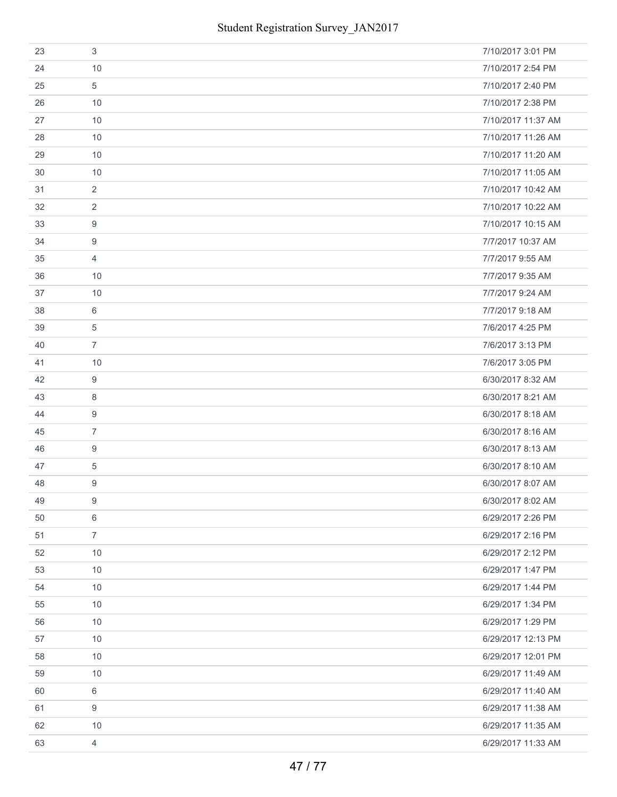| 23 | 3              | 7/10/2017 3:01 PM  |
|----|----------------|--------------------|
| 24 | 10             | 7/10/2017 2:54 PM  |
| 25 | 5              | 7/10/2017 2:40 PM  |
| 26 | 10             | 7/10/2017 2:38 PM  |
| 27 | 10             | 7/10/2017 11:37 AM |
| 28 | 10             | 7/10/2017 11:26 AM |
| 29 | 10             | 7/10/2017 11:20 AM |
| 30 | 10             | 7/10/2017 11:05 AM |
| 31 | $\overline{2}$ | 7/10/2017 10:42 AM |
| 32 | 2              | 7/10/2017 10:22 AM |
| 33 | 9              | 7/10/2017 10:15 AM |
| 34 | 9              | 7/7/2017 10:37 AM  |
| 35 | 4              | 7/7/2017 9:55 AM   |
| 36 | 10             | 7/7/2017 9:35 AM   |
| 37 | 10             | 7/7/2017 9:24 AM   |
| 38 | 6              | 7/7/2017 9:18 AM   |
| 39 | 5              | 7/6/2017 4:25 PM   |
| 40 | $\overline{7}$ | 7/6/2017 3:13 PM   |
| 41 | 10             | 7/6/2017 3:05 PM   |
| 42 | 9              | 6/30/2017 8:32 AM  |
| 43 | 8              | 6/30/2017 8:21 AM  |
| 44 | 9              | 6/30/2017 8:18 AM  |
| 45 | $\overline{7}$ | 6/30/2017 8:16 AM  |
| 46 | 9              | 6/30/2017 8:13 AM  |
| 47 | 5              | 6/30/2017 8:10 AM  |
| 48 | 9              | 6/30/2017 8:07 AM  |
| 49 | 9              | 6/30/2017 8:02 AM  |
| 50 | 6              | 6/29/2017 2:26 PM  |
| 51 | $\overline{7}$ | 6/29/2017 2:16 PM  |
| 52 | 10             | 6/29/2017 2:12 PM  |
| 53 | 10             | 6/29/2017 1:47 PM  |
| 54 | 10             | 6/29/2017 1:44 PM  |
| 55 | 10             | 6/29/2017 1:34 PM  |
| 56 | 10             | 6/29/2017 1:29 PM  |
| 57 | 10             | 6/29/2017 12:13 PM |
| 58 | 10             | 6/29/2017 12:01 PM |
| 59 | 10             | 6/29/2017 11:49 AM |
| 60 | 6              | 6/29/2017 11:40 AM |
| 61 | 9              | 6/29/2017 11:38 AM |
| 62 | 10             | 6/29/2017 11:35 AM |
| 63 | $\overline{4}$ | 6/29/2017 11:33 AM |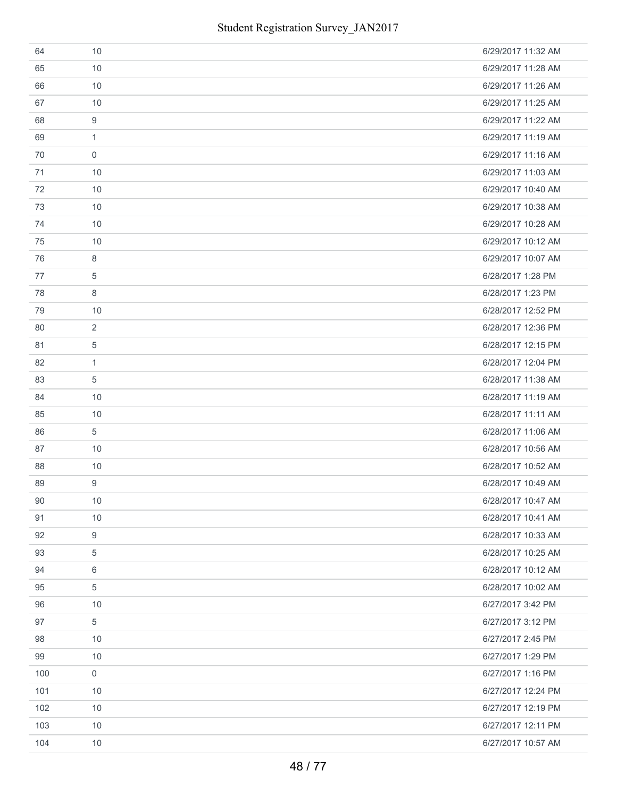| 64  | 10               | 6/29/2017 11:32 AM |
|-----|------------------|--------------------|
| 65  | 10               | 6/29/2017 11:28 AM |
| 66  | 10               | 6/29/2017 11:26 AM |
| 67  | 10               | 6/29/2017 11:25 AM |
| 68  | 9                | 6/29/2017 11:22 AM |
| 69  | $\mathbf{1}$     | 6/29/2017 11:19 AM |
| 70  | $\mathbf 0$      | 6/29/2017 11:16 AM |
| 71  | 10               | 6/29/2017 11:03 AM |
| 72  | 10               | 6/29/2017 10:40 AM |
| 73  | 10               | 6/29/2017 10:38 AM |
| 74  | 10               | 6/29/2017 10:28 AM |
| 75  | 10               | 6/29/2017 10:12 AM |
| 76  | 8                | 6/29/2017 10:07 AM |
| 77  | 5                | 6/28/2017 1:28 PM  |
| 78  | 8                | 6/28/2017 1:23 PM  |
| 79  | 10               | 6/28/2017 12:52 PM |
| 80  | $\overline{2}$   | 6/28/2017 12:36 PM |
| 81  | $\overline{5}$   | 6/28/2017 12:15 PM |
| 82  | $\mathbf{1}$     | 6/28/2017 12:04 PM |
| 83  | $\overline{5}$   | 6/28/2017 11:38 AM |
| 84  | 10               | 6/28/2017 11:19 AM |
| 85  | 10               | 6/28/2017 11:11 AM |
| 86  | 5                | 6/28/2017 11:06 AM |
| 87  | 10               | 6/28/2017 10:56 AM |
| 88  | 10               | 6/28/2017 10:52 AM |
| 89  | $\boldsymbol{9}$ | 6/28/2017 10:49 AM |
| 90  | 10               | 6/28/2017 10:47 AM |
| 91  | 10               | 6/28/2017 10:41 AM |
| 92  | 9                | 6/28/2017 10:33 AM |
| 93  | 5                | 6/28/2017 10:25 AM |
| 94  | 6                | 6/28/2017 10:12 AM |
| 95  | 5                | 6/28/2017 10:02 AM |
| 96  | 10               | 6/27/2017 3:42 PM  |
| 97  | $\,$ 5 $\,$      | 6/27/2017 3:12 PM  |
| 98  | 10               | 6/27/2017 2:45 PM  |
| 99  | 10               | 6/27/2017 1:29 PM  |
| 100 | $\mathbf 0$      | 6/27/2017 1:16 PM  |
| 101 | 10               | 6/27/2017 12:24 PM |
| 102 | 10               | 6/27/2017 12:19 PM |
| 103 | 10               | 6/27/2017 12:11 PM |
| 104 | 10               | 6/27/2017 10:57 AM |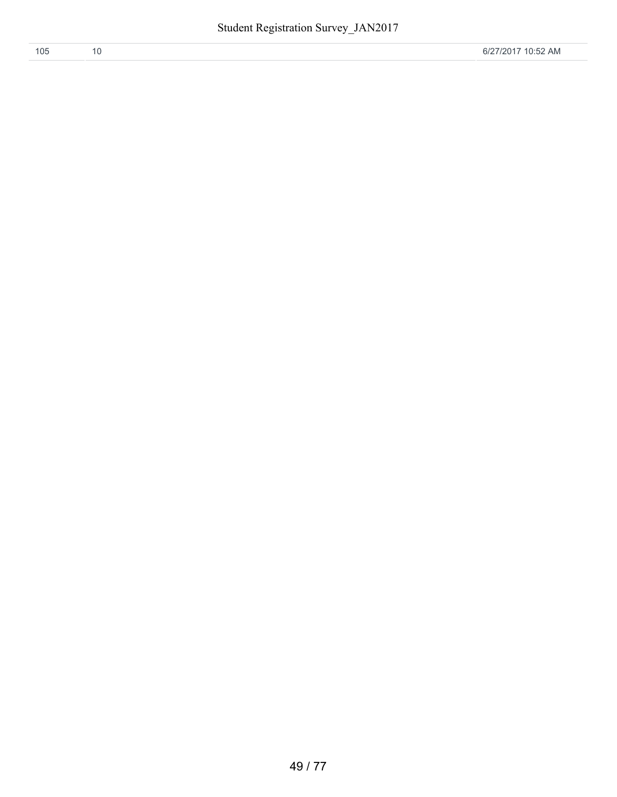| 105 |  | 6/27/2017 10:52 AM |
|-----|--|--------------------|
|     |  |                    |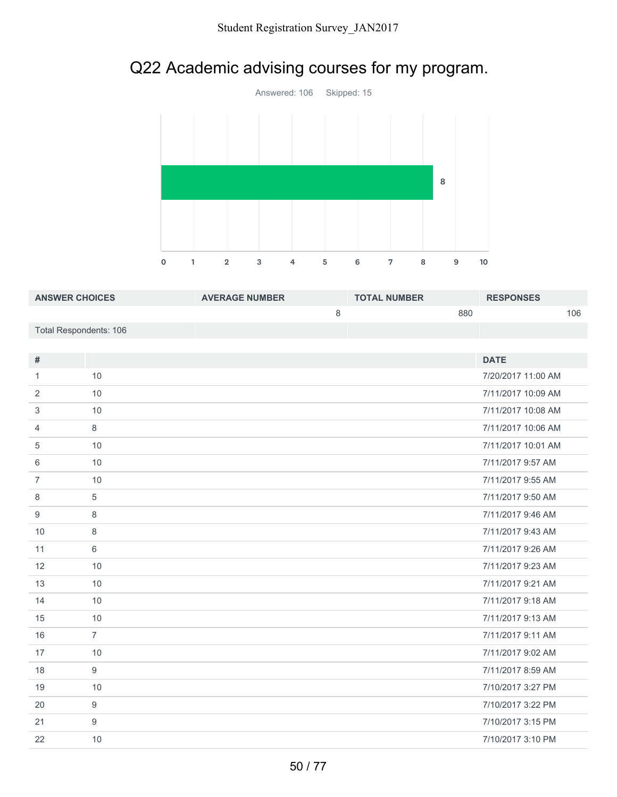# Q22 Academic advising courses for my program.



| <b>ANSWER CHOICES</b>  | <b>AVERAGE NUMBER</b> | <b>TOTAL NUMBER</b> | <b>RESPONSES</b> |
|------------------------|-----------------------|---------------------|------------------|
|                        |                       | 880                 | 106              |
| Total Respondents: 106 |                       |                     |                  |

| #              |                | <b>DATE</b>        |
|----------------|----------------|--------------------|
| 1              | 10             | 7/20/2017 11:00 AM |
| 2              | 10             | 7/11/2017 10:09 AM |
| 3              | 10             | 7/11/2017 10:08 AM |
| 4              | 8              | 7/11/2017 10:06 AM |
| 5              | 10             | 7/11/2017 10:01 AM |
| 6              | 10             | 7/11/2017 9:57 AM  |
| $\overline{7}$ | 10             | 7/11/2017 9:55 AM  |
| 8              | 5              | 7/11/2017 9:50 AM  |
| 9              | 8              | 7/11/2017 9:46 AM  |
| 10             | 8              | 7/11/2017 9:43 AM  |
| 11             | 6              | 7/11/2017 9:26 AM  |
| 12             | 10             | 7/11/2017 9:23 AM  |
| 13             | 10             | 7/11/2017 9:21 AM  |
| 14             | 10             | 7/11/2017 9:18 AM  |
| 15             | 10             | 7/11/2017 9:13 AM  |
| 16             | $\overline{7}$ | 7/11/2017 9:11 AM  |
| 17             | 10             | 7/11/2017 9:02 AM  |
| 18             | 9              | 7/11/2017 8:59 AM  |
| 19             | 10             | 7/10/2017 3:27 PM  |
| 20             | 9              | 7/10/2017 3:22 PM  |
| 21             | 9              | 7/10/2017 3:15 PM  |
| 22             | 10             | 7/10/2017 3:10 PM  |
|                |                |                    |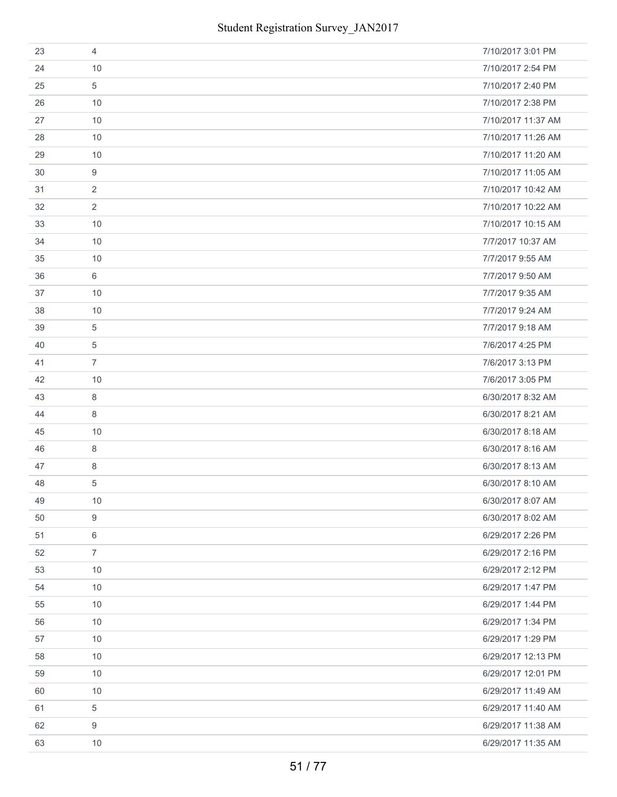| 23 | 4              | 7/10/2017 3:01 PM  |
|----|----------------|--------------------|
| 24 | 10             | 7/10/2017 2:54 PM  |
| 25 | 5              | 7/10/2017 2:40 PM  |
| 26 | 10             | 7/10/2017 2:38 PM  |
| 27 | 10             | 7/10/2017 11:37 AM |
| 28 | 10             | 7/10/2017 11:26 AM |
| 29 | 10             | 7/10/2017 11:20 AM |
| 30 | 9              | 7/10/2017 11:05 AM |
| 31 | 2              | 7/10/2017 10:42 AM |
| 32 | $\overline{2}$ | 7/10/2017 10:22 AM |
| 33 | 10             | 7/10/2017 10:15 AM |
| 34 | 10             | 7/7/2017 10:37 AM  |
| 35 | 10             | 7/7/2017 9:55 AM   |
| 36 | 6              | 7/7/2017 9:50 AM   |
| 37 | 10             | 7/7/2017 9:35 AM   |
| 38 | 10             | 7/7/2017 9:24 AM   |
| 39 | 5              | 7/7/2017 9:18 AM   |
| 40 | 5              | 7/6/2017 4:25 PM   |
| 41 | $\overline{7}$ | 7/6/2017 3:13 PM   |
| 42 | 10             | 7/6/2017 3:05 PM   |
| 43 | 8              | 6/30/2017 8:32 AM  |
| 44 | 8              | 6/30/2017 8:21 AM  |
| 45 | 10             | 6/30/2017 8:18 AM  |
| 46 | 8              | 6/30/2017 8:16 AM  |
| 47 | 8              | 6/30/2017 8:13 AM  |
| 48 | 5              | 6/30/2017 8:10 AM  |
| 49 | $10$           | 6/30/2017 8:07 AM  |
| 50 | 9              | 6/30/2017 8:02 AM  |
| 51 | 6              | 6/29/2017 2:26 PM  |
| 52 | $\overline{7}$ | 6/29/2017 2:16 PM  |
| 53 | 10             | 6/29/2017 2:12 PM  |
| 54 | 10             | 6/29/2017 1:47 PM  |
| 55 | 10             | 6/29/2017 1:44 PM  |
| 56 | 10             | 6/29/2017 1:34 PM  |
| 57 | 10             | 6/29/2017 1:29 PM  |
| 58 | 10             | 6/29/2017 12:13 PM |
| 59 | 10             | 6/29/2017 12:01 PM |
| 60 | 10             | 6/29/2017 11:49 AM |
| 61 | 5              | 6/29/2017 11:40 AM |
| 62 | 9              | 6/29/2017 11:38 AM |
| 63 | 10             | 6/29/2017 11:35 AM |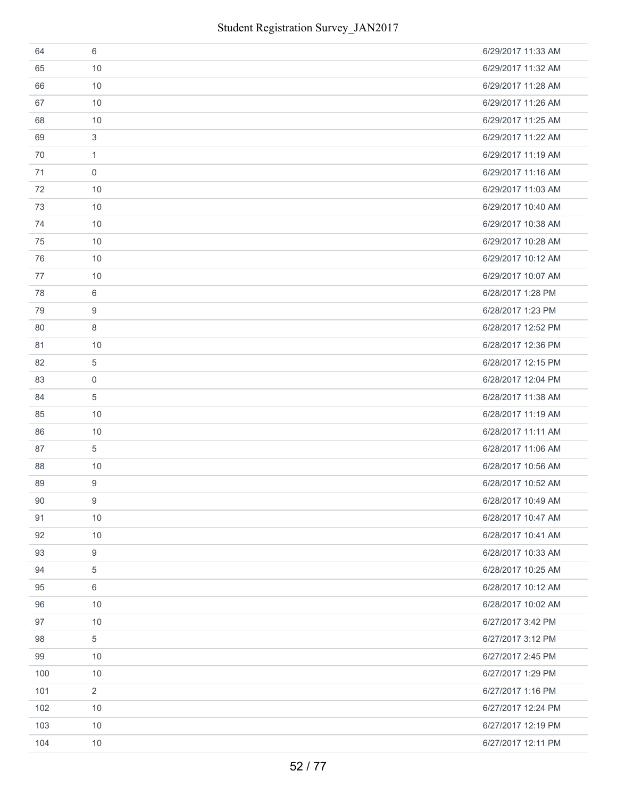| 64  | 6              | 6/29/2017 11:33 AM |
|-----|----------------|--------------------|
| 65  | 10             | 6/29/2017 11:32 AM |
| 66  | 10             | 6/29/2017 11:28 AM |
| 67  | 10             | 6/29/2017 11:26 AM |
| 68  | 10             | 6/29/2017 11:25 AM |
| 69  | 3              | 6/29/2017 11:22 AM |
| 70  | $\mathbf{1}$   | 6/29/2017 11:19 AM |
| 71  | $\mathbf 0$    | 6/29/2017 11:16 AM |
| 72  | 10             | 6/29/2017 11:03 AM |
| 73  | 10             | 6/29/2017 10:40 AM |
| 74  | 10             | 6/29/2017 10:38 AM |
| 75  | 10             | 6/29/2017 10:28 AM |
| 76  | 10             | 6/29/2017 10:12 AM |
| 77  | 10             | 6/29/2017 10:07 AM |
| 78  | 6              | 6/28/2017 1:28 PM  |
| 79  | 9              | 6/28/2017 1:23 PM  |
| 80  | 8              | 6/28/2017 12:52 PM |
| 81  | 10             | 6/28/2017 12:36 PM |
| 82  | 5              | 6/28/2017 12:15 PM |
| 83  | $\mathbf 0$    | 6/28/2017 12:04 PM |
| 84  | 5              | 6/28/2017 11:38 AM |
| 85  | 10             | 6/28/2017 11:19 AM |
| 86  | 10             | 6/28/2017 11:11 AM |
| 87  | 5              | 6/28/2017 11:06 AM |
| 88  | 10             | 6/28/2017 10:56 AM |
| 89  | 9              | 6/28/2017 10:52 AM |
| 90  | 9              | 6/28/2017 10:49 AM |
| 91  | 10             | 6/28/2017 10:47 AM |
| 92  | 10             | 6/28/2017 10:41 AM |
| 93  | 9              | 6/28/2017 10:33 AM |
| 94  | 5              | 6/28/2017 10:25 AM |
| 95  | 6              | 6/28/2017 10:12 AM |
| 96  | 10             | 6/28/2017 10:02 AM |
| 97  | 10             | 6/27/2017 3:42 PM  |
| 98  | 5              | 6/27/2017 3:12 PM  |
| 99  | 10             | 6/27/2017 2:45 PM  |
| 100 | 10             | 6/27/2017 1:29 PM  |
| 101 | $\overline{2}$ | 6/27/2017 1:16 PM  |
| 102 | 10             | 6/27/2017 12:24 PM |
| 103 | 10             | 6/27/2017 12:19 PM |
| 104 | 10             | 6/27/2017 12:11 PM |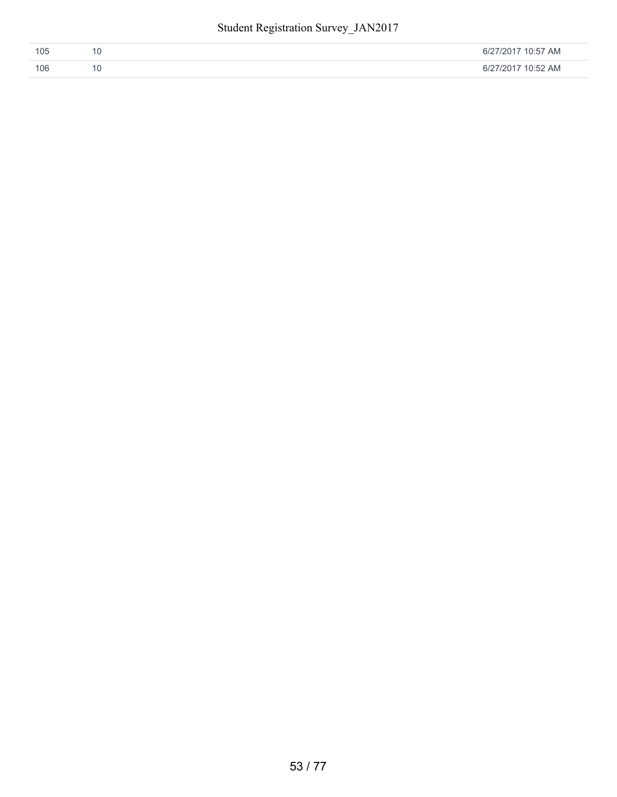| 105 | 6/27/2017 10:57 AM |
|-----|--------------------|
| 106 | 6/27/2017 10:52 AM |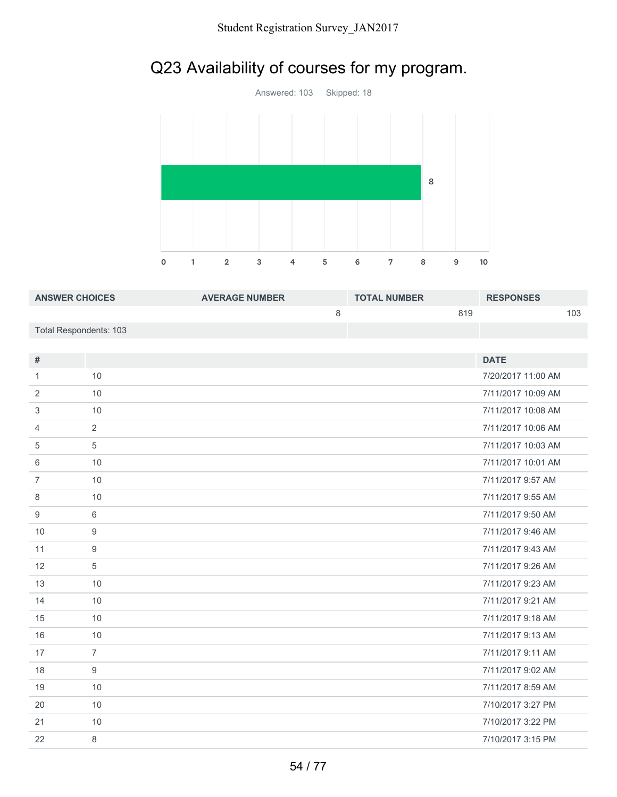# Q23 Availability of courses for my program.



| <b>ANSWER CHOICES</b>  | <b>AVERAGE NUMBER</b> | <b>TOTAL NUMBER</b> | <b>RESPONSES</b> |
|------------------------|-----------------------|---------------------|------------------|
|                        |                       | 819                 | 103              |
| Total Respondents: 103 |                       |                     |                  |

| $\#$           |                | <b>DATE</b>        |
|----------------|----------------|--------------------|
| 1              | 10             | 7/20/2017 11:00 AM |
| 2              | 10             | 7/11/2017 10:09 AM |
| 3              | 10             | 7/11/2017 10:08 AM |
| 4              | $\overline{2}$ | 7/11/2017 10:06 AM |
| 5              | 5              | 7/11/2017 10:03 AM |
| 6              | 10             | 7/11/2017 10:01 AM |
| $\overline{7}$ | 10             | 7/11/2017 9:57 AM  |
| 8              | 10             | 7/11/2017 9:55 AM  |
| 9              | 6              | 7/11/2017 9:50 AM  |
| 10             | 9              | 7/11/2017 9:46 AM  |
| 11             | 9              | 7/11/2017 9:43 AM  |
| 12             | 5              | 7/11/2017 9:26 AM  |
| 13             | 10             | 7/11/2017 9:23 AM  |
| 14             | 10             | 7/11/2017 9:21 AM  |
| 15             | 10             | 7/11/2017 9:18 AM  |
| 16             | 10             | 7/11/2017 9:13 AM  |
| 17             | $\overline{7}$ | 7/11/2017 9:11 AM  |
| 18             | 9              | 7/11/2017 9:02 AM  |
| 19             | 10             | 7/11/2017 8:59 AM  |
| 20             | 10             | 7/10/2017 3:27 PM  |
| 21             | 10             | 7/10/2017 3:22 PM  |
| 22             | 8              | 7/10/2017 3:15 PM  |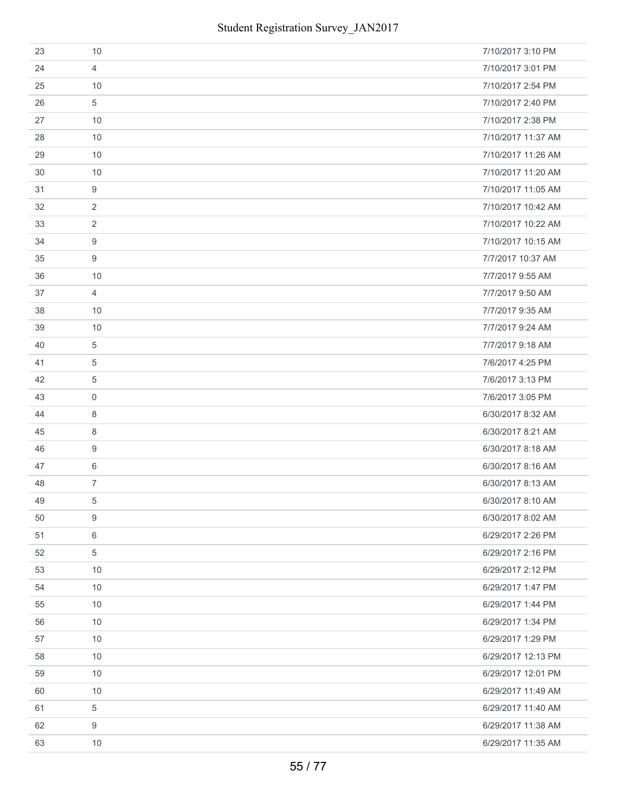| 23 | 10             | 7/10/2017 3:10 PM  |
|----|----------------|--------------------|
| 24 | $\overline{4}$ | 7/10/2017 3:01 PM  |
| 25 | 10             | 7/10/2017 2:54 PM  |
| 26 | 5              | 7/10/2017 2:40 PM  |
| 27 | 10             | 7/10/2017 2:38 PM  |
| 28 | 10             | 7/10/2017 11:37 AM |
| 29 | 10             | 7/10/2017 11:26 AM |
| 30 | 10             | 7/10/2017 11:20 AM |
| 31 | 9              | 7/10/2017 11:05 AM |
| 32 | $\overline{2}$ | 7/10/2017 10:42 AM |
| 33 | $\overline{2}$ | 7/10/2017 10:22 AM |
| 34 | 9              | 7/10/2017 10:15 AM |
| 35 | 9              | 7/7/2017 10:37 AM  |
| 36 | 10             | 7/7/2017 9:55 AM   |
| 37 | 4              | 7/7/2017 9:50 AM   |
| 38 | 10             | 7/7/2017 9:35 AM   |
| 39 | 10             | 7/7/2017 9:24 AM   |
| 40 | $\overline{5}$ | 7/7/2017 9:18 AM   |
| 41 | 5              | 7/6/2017 4:25 PM   |
| 42 | 5              | 7/6/2017 3:13 PM   |
| 43 | $\mathbf 0$    | 7/6/2017 3:05 PM   |
| 44 | 8              | 6/30/2017 8:32 AM  |
| 45 | 8              | 6/30/2017 8:21 AM  |
| 46 | 9              | 6/30/2017 8:18 AM  |
| 47 | 6              | 6/30/2017 8:16 AM  |
| 48 | $\overline{7}$ | 6/30/2017 8:13 AM  |
| 49 | 5              | 6/30/2017 8:10 AM  |
| 50 | 9              | 6/30/2017 8:02 AM  |
| 51 | 6              | 6/29/2017 2:26 PM  |
| 52 | $\,$ 5 $\,$    | 6/29/2017 2:16 PM  |
| 53 | 10             | 6/29/2017 2:12 PM  |
| 54 | 10             | 6/29/2017 1:47 PM  |
| 55 | 10             | 6/29/2017 1:44 PM  |
| 56 | 10             | 6/29/2017 1:34 PM  |
| 57 | 10             | 6/29/2017 1:29 PM  |
| 58 | 10             | 6/29/2017 12:13 PM |
| 59 | 10             | 6/29/2017 12:01 PM |
| 60 | 10             | 6/29/2017 11:49 AM |
| 61 | $\,$ 5 $\,$    | 6/29/2017 11:40 AM |
| 62 | 9              | 6/29/2017 11:38 AM |
| 63 | 10             | 6/29/2017 11:35 AM |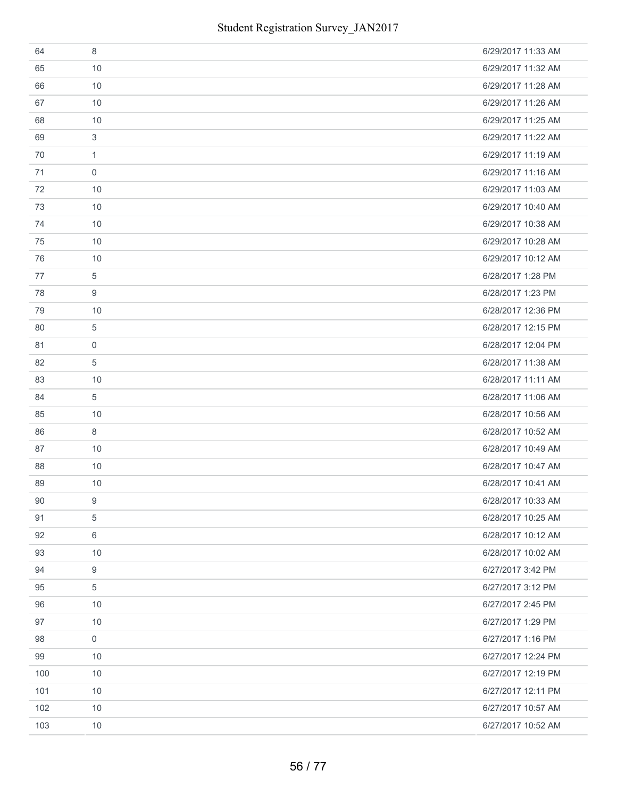| 64  | 8            | 6/29/2017 11:33 AM |
|-----|--------------|--------------------|
| 65  | 10           | 6/29/2017 11:32 AM |
| 66  | 10           | 6/29/2017 11:28 AM |
| 67  | 10           | 6/29/2017 11:26 AM |
| 68  | 10           | 6/29/2017 11:25 AM |
| 69  | 3            | 6/29/2017 11:22 AM |
| 70  | $\mathbf{1}$ | 6/29/2017 11:19 AM |
| 71  | $\mathbf 0$  | 6/29/2017 11:16 AM |
| 72  | 10           | 6/29/2017 11:03 AM |
| 73  | 10           | 6/29/2017 10:40 AM |
| 74  | 10           | 6/29/2017 10:38 AM |
| 75  | 10           | 6/29/2017 10:28 AM |
| 76  | 10           | 6/29/2017 10:12 AM |
| 77  | 5            | 6/28/2017 1:28 PM  |
| 78  | 9            | 6/28/2017 1:23 PM  |
| 79  | 10           | 6/28/2017 12:36 PM |
| 80  | 5            | 6/28/2017 12:15 PM |
| 81  | $\mathbf 0$  | 6/28/2017 12:04 PM |
| 82  | 5            | 6/28/2017 11:38 AM |
| 83  | 10           | 6/28/2017 11:11 AM |
| 84  | 5            | 6/28/2017 11:06 AM |
| 85  | 10           | 6/28/2017 10:56 AM |
| 86  | 8            | 6/28/2017 10:52 AM |
| 87  | 10           | 6/28/2017 10:49 AM |
| 88  | 10           | 6/28/2017 10:47 AM |
| 89  | 10           | 6/28/2017 10:41 AM |
| 90  | 9            | 6/28/2017 10:33 AM |
| 91  | 5            | 6/28/2017 10:25 AM |
| 92  | 6            | 6/28/2017 10:12 AM |
| 93  | 10           | 6/28/2017 10:02 AM |
| 94  | $9\,$        | 6/27/2017 3:42 PM  |
| 95  | 5            | 6/27/2017 3:12 PM  |
| 96  | 10           | 6/27/2017 2:45 PM  |
| 97  | 10           | 6/27/2017 1:29 PM  |
| 98  | 0            | 6/27/2017 1:16 PM  |
| 99  | 10           | 6/27/2017 12:24 PM |
| 100 | 10           | 6/27/2017 12:19 PM |
| 101 | 10           | 6/27/2017 12:11 PM |
| 102 | 10           | 6/27/2017 10:57 AM |
| 103 | 10           | 6/27/2017 10:52 AM |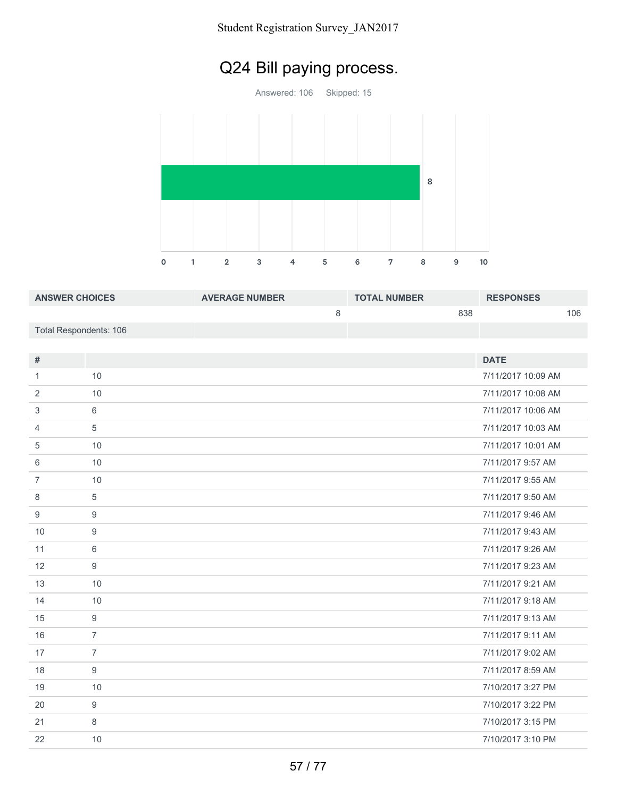#### Student Registration Survey\_JAN2017

# Q24 Bill paying process.

Answered: 106 Skipped: 15



| <b>ANSWER CHOICES</b>  | <b>AVERAGE NUMBER</b> | <b>TOTAL NUMBER</b> | <b>RESPONSES</b> |
|------------------------|-----------------------|---------------------|------------------|
|                        |                       | 838                 | 106              |
| Total Respondents: 106 |                       |                     |                  |

| #              |                | <b>DATE</b>        |
|----------------|----------------|--------------------|
| 1              | 10             | 7/11/2017 10:09 AM |
| 2              | 10             | 7/11/2017 10:08 AM |
| 3              | 6              | 7/11/2017 10:06 AM |
| 4              | 5              | 7/11/2017 10:03 AM |
| 5              | 10             | 7/11/2017 10:01 AM |
| 6              | 10             | 7/11/2017 9:57 AM  |
| $\overline{7}$ | 10             | 7/11/2017 9:55 AM  |
| 8              | 5              | 7/11/2017 9:50 AM  |
| 9              | 9              | 7/11/2017 9:46 AM  |
| 10             | 9              | 7/11/2017 9:43 AM  |
| 11             | 6              | 7/11/2017 9:26 AM  |
| 12             | $9$            | 7/11/2017 9:23 AM  |
| 13             | 10             | 7/11/2017 9:21 AM  |
| 14             | 10             | 7/11/2017 9:18 AM  |
| 15             | 9              | 7/11/2017 9:13 AM  |
| 16             | $\overline{7}$ | 7/11/2017 9:11 AM  |
| 17             | $\overline{7}$ | 7/11/2017 9:02 AM  |
| 18             | 9              | 7/11/2017 8:59 AM  |
| 19             | 10             | 7/10/2017 3:27 PM  |
| 20             | 9              | 7/10/2017 3:22 PM  |
| 21             | 8              | 7/10/2017 3:15 PM  |
| 22             | 10             | 7/10/2017 3:10 PM  |
|                |                |                    |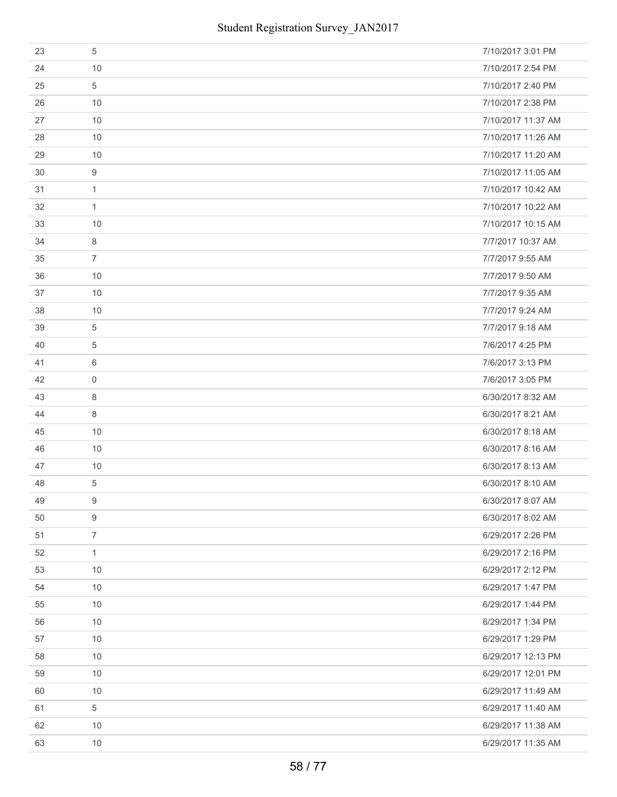| 23 | 5              | 7/10/2017 3:01 PM  |
|----|----------------|--------------------|
| 24 | 10             | 7/10/2017 2:54 PM  |
| 25 | 5              | 7/10/2017 2:40 PM  |
| 26 | 10             | 7/10/2017 2:38 PM  |
| 27 | 10             | 7/10/2017 11:37 AM |
| 28 | 10             | 7/10/2017 11:26 AM |
| 29 | 10             | 7/10/2017 11:20 AM |
| 30 | 9              | 7/10/2017 11:05 AM |
| 31 | $\mathbf{1}$   | 7/10/2017 10:42 AM |
| 32 | $\mathbf{1}$   | 7/10/2017 10:22 AM |
| 33 | 10             | 7/10/2017 10:15 AM |
| 34 | 8              | 7/7/2017 10:37 AM  |
| 35 | $\overline{7}$ | 7/7/2017 9:55 AM   |
| 36 | 10             | 7/7/2017 9:50 AM   |
| 37 | 10             | 7/7/2017 9:35 AM   |
| 38 | 10             | 7/7/2017 9:24 AM   |
| 39 | 5              | 7/7/2017 9:18 AM   |
| 40 | 5              | 7/6/2017 4:25 PM   |
| 41 | 6              | 7/6/2017 3:13 PM   |
| 42 | $\mathbf 0$    | 7/6/2017 3:05 PM   |
| 43 | 8              | 6/30/2017 8:32 AM  |
| 44 | 8              | 6/30/2017 8:21 AM  |
| 45 | 10             | 6/30/2017 8:18 AM  |
| 46 | 10             | 6/30/2017 8:16 AM  |
| 47 | 10             | 6/30/2017 8:13 AM  |
| 48 | 5              | 6/30/2017 8:10 AM  |
| 49 | 9              | 6/30/2017 8:07 AM  |
| 50 | 9              | 6/30/2017 8:02 AM  |
| 51 | $\overline{7}$ | 6/29/2017 2:26 PM  |
| 52 | $\mathbf{1}$   | 6/29/2017 2:16 PM  |
| 53 | 10             | 6/29/2017 2:12 PM  |
| 54 | 10             | 6/29/2017 1:47 PM  |
| 55 | 10             | 6/29/2017 1:44 PM  |
| 56 | 10             | 6/29/2017 1:34 PM  |
| 57 | 10             | 6/29/2017 1:29 PM  |
| 58 | 10             | 6/29/2017 12:13 PM |
| 59 | 10             | 6/29/2017 12:01 PM |
| 60 | 10             | 6/29/2017 11:49 AM |
| 61 | 5              | 6/29/2017 11:40 AM |
| 62 | 10             | 6/29/2017 11:38 AM |
| 63 | 10             | 6/29/2017 11:35 AM |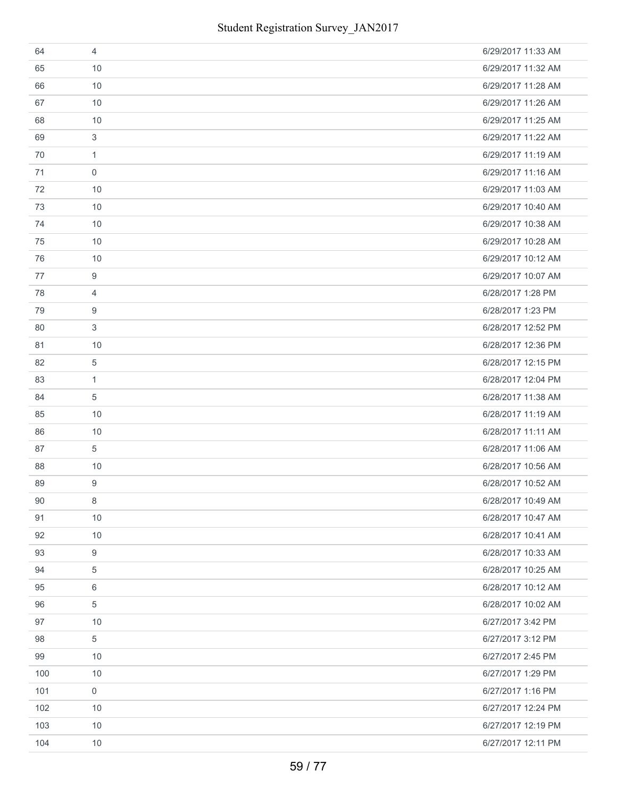| 64  | 4            | 6/29/2017 11:33 AM |
|-----|--------------|--------------------|
| 65  | 10           | 6/29/2017 11:32 AM |
| 66  | 10           | 6/29/2017 11:28 AM |
| 67  | 10           | 6/29/2017 11:26 AM |
| 68  | 10           | 6/29/2017 11:25 AM |
| 69  | 3            | 6/29/2017 11:22 AM |
| 70  | $\mathbf{1}$ | 6/29/2017 11:19 AM |
| 71  | $\mathbf 0$  | 6/29/2017 11:16 AM |
| 72  | 10           | 6/29/2017 11:03 AM |
| 73  | 10           | 6/29/2017 10:40 AM |
| 74  | 10           | 6/29/2017 10:38 AM |
| 75  | 10           | 6/29/2017 10:28 AM |
| 76  | 10           | 6/29/2017 10:12 AM |
| 77  | 9            | 6/29/2017 10:07 AM |
| 78  | 4            | 6/28/2017 1:28 PM  |
| 79  | 9            | 6/28/2017 1:23 PM  |
| 80  | 3            | 6/28/2017 12:52 PM |
| 81  | 10           | 6/28/2017 12:36 PM |
| 82  | 5            | 6/28/2017 12:15 PM |
| 83  | 1            | 6/28/2017 12:04 PM |
| 84  | 5            | 6/28/2017 11:38 AM |
| 85  | 10           | 6/28/2017 11:19 AM |
| 86  | 10           | 6/28/2017 11:11 AM |
| 87  | 5            | 6/28/2017 11:06 AM |
| 88  | 10           | 6/28/2017 10:56 AM |
| 89  | 9            | 6/28/2017 10:52 AM |
| 90  | 8            | 6/28/2017 10:49 AM |
| 91  | 10           | 6/28/2017 10:47 AM |
| 92  | 10           | 6/28/2017 10:41 AM |
| 93  | 9            | 6/28/2017 10:33 AM |
| 94  | 5            | 6/28/2017 10:25 AM |
| 95  | 6            | 6/28/2017 10:12 AM |
| 96  | 5            | 6/28/2017 10:02 AM |
| 97  | 10           | 6/27/2017 3:42 PM  |
| 98  | 5            | 6/27/2017 3:12 PM  |
| 99  | 10           | 6/27/2017 2:45 PM  |
| 100 | 10           | 6/27/2017 1:29 PM  |
| 101 | $\mathbf 0$  | 6/27/2017 1:16 PM  |
| 102 | 10           | 6/27/2017 12:24 PM |
| 103 | 10           | 6/27/2017 12:19 PM |
| 104 | 10           | 6/27/2017 12:11 PM |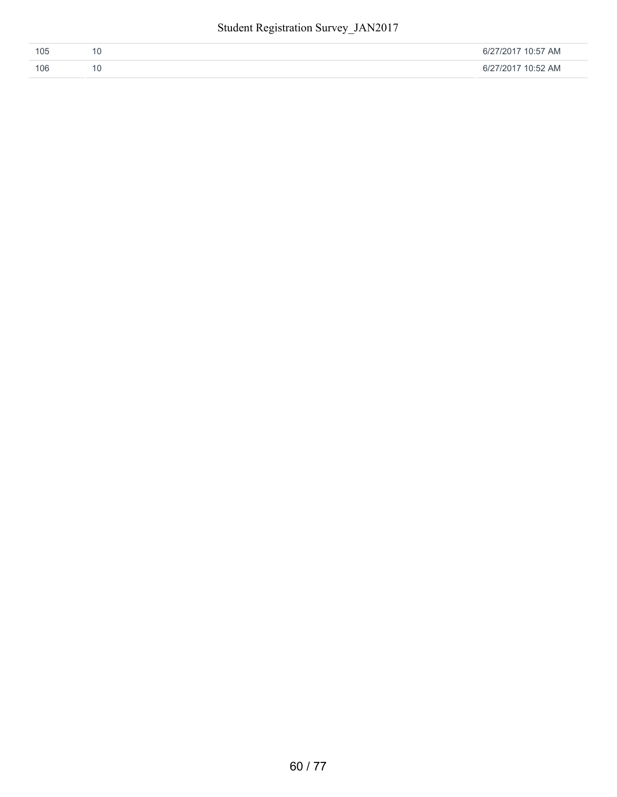| 105 | 6/27/2017 10:57 AM |
|-----|--------------------|
| 106 | 6/27/2017 10:52 AM |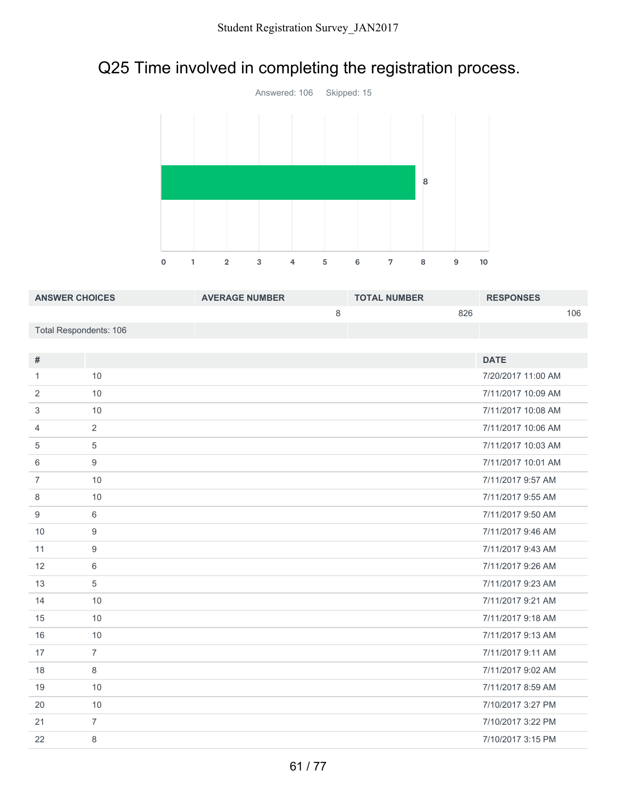# Q25 Time involved in completing the registration process.



| <b>ANSWER CHOICES</b>  | <b>AVERAGE NUMBER</b> | <b>TOTAL NUMBER</b> | <b>RESPONSES</b> |
|------------------------|-----------------------|---------------------|------------------|
|                        |                       | 826                 | 106              |
| Total Respondents: 106 |                       |                     |                  |

| #              |                | <b>DATE</b>        |
|----------------|----------------|--------------------|
| 1              | 10             | 7/20/2017 11:00 AM |
| 2              | 10             | 7/11/2017 10:09 AM |
| 3              | 10             | 7/11/2017 10:08 AM |
| 4              | 2              | 7/11/2017 10:06 AM |
| 5              | $\overline{5}$ | 7/11/2017 10:03 AM |
| 6              | 9              | 7/11/2017 10:01 AM |
| $\overline{7}$ | 10             | 7/11/2017 9:57 AM  |
| 8              | 10             | 7/11/2017 9:55 AM  |
| 9              | 6              | 7/11/2017 9:50 AM  |
| 10             | 9              | 7/11/2017 9:46 AM  |
| 11             | 9              | 7/11/2017 9:43 AM  |
| 12             | 6              | 7/11/2017 9:26 AM  |
| 13             | $\overline{5}$ | 7/11/2017 9:23 AM  |
| 14             | 10             | 7/11/2017 9:21 AM  |
| 15             | 10             | 7/11/2017 9:18 AM  |
| 16             | 10             | 7/11/2017 9:13 AM  |
| 17             | $\overline{7}$ | 7/11/2017 9:11 AM  |
| 18             | 8              | 7/11/2017 9:02 AM  |
| 19             | 10             | 7/11/2017 8:59 AM  |
| 20             | 10             | 7/10/2017 3:27 PM  |
| 21             | $\overline{7}$ | 7/10/2017 3:22 PM  |
| 22             | 8              | 7/10/2017 3:15 PM  |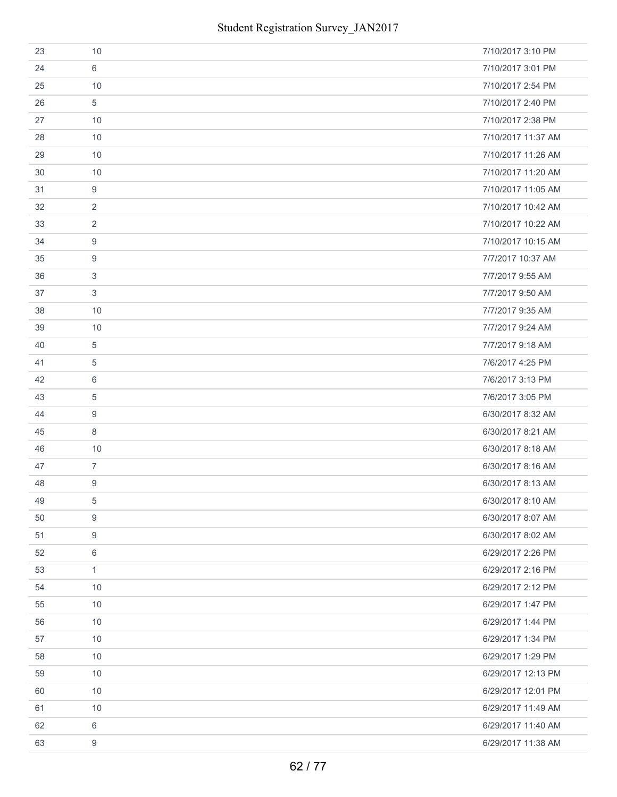| 23 | 10             | 7/10/2017 3:10 PM  |
|----|----------------|--------------------|
| 24 | 6              | 7/10/2017 3:01 PM  |
| 25 | 10             | 7/10/2017 2:54 PM  |
| 26 | 5              | 7/10/2017 2:40 PM  |
| 27 | 10             | 7/10/2017 2:38 PM  |
| 28 | 10             | 7/10/2017 11:37 AM |
| 29 | 10             | 7/10/2017 11:26 AM |
| 30 | 10             | 7/10/2017 11:20 AM |
| 31 | 9              | 7/10/2017 11:05 AM |
| 32 | 2              | 7/10/2017 10:42 AM |
| 33 | $\overline{2}$ | 7/10/2017 10:22 AM |
| 34 | 9              | 7/10/2017 10:15 AM |
| 35 | 9              | 7/7/2017 10:37 AM  |
| 36 | 3              | 7/7/2017 9:55 AM   |
| 37 | 3              | 7/7/2017 9:50 AM   |
| 38 | 10             | 7/7/2017 9:35 AM   |
| 39 | 10             | 7/7/2017 9:24 AM   |
| 40 | 5              | 7/7/2017 9:18 AM   |
| 41 | 5              | 7/6/2017 4:25 PM   |
| 42 | 6              | 7/6/2017 3:13 PM   |
| 43 | 5              | 7/6/2017 3:05 PM   |
| 44 | 9              | 6/30/2017 8:32 AM  |
| 45 | 8              | 6/30/2017 8:21 AM  |
| 46 | 10             | 6/30/2017 8:18 AM  |
| 47 | $\overline{7}$ | 6/30/2017 8:16 AM  |
| 48 | 9              | 6/30/2017 8:13 AM  |
| 49 | 5              | 6/30/2017 8:10 AM  |
| 50 | 9              | 6/30/2017 8:07 AM  |
| 51 | 9              | 6/30/2017 8:02 AM  |
| 52 | 6              | 6/29/2017 2:26 PM  |
| 53 | $\mathbf{1}$   | 6/29/2017 2:16 PM  |
| 54 | 10             | 6/29/2017 2:12 PM  |
| 55 | 10             | 6/29/2017 1:47 PM  |
| 56 | 10             | 6/29/2017 1:44 PM  |
| 57 | 10             | 6/29/2017 1:34 PM  |
| 58 | 10             | 6/29/2017 1:29 PM  |
| 59 | 10             | 6/29/2017 12:13 PM |
| 60 | 10             | 6/29/2017 12:01 PM |
| 61 | 10             | 6/29/2017 11:49 AM |
| 62 | 6              | 6/29/2017 11:40 AM |
| 63 | 9              | 6/29/2017 11:38 AM |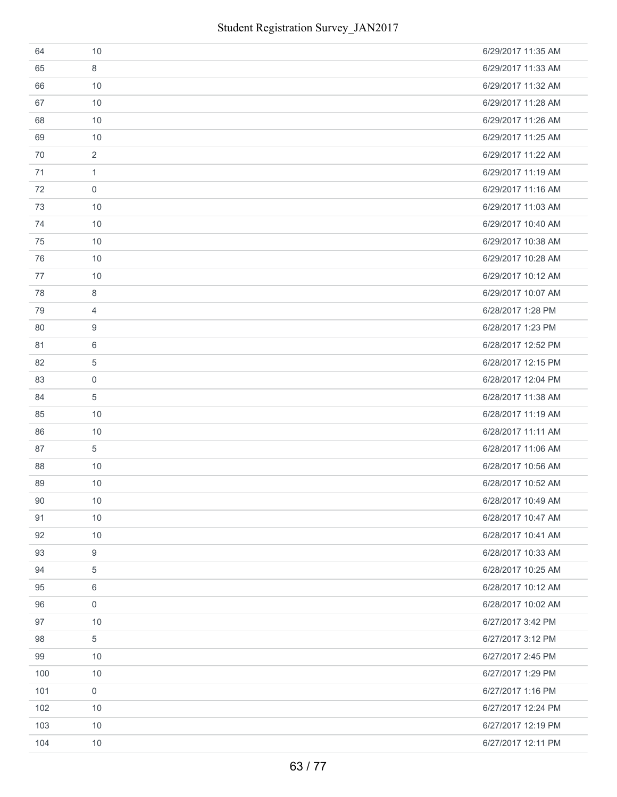| 64  | 10               | 6/29/2017 11:35 AM |
|-----|------------------|--------------------|
| 65  | 8                | 6/29/2017 11:33 AM |
| 66  | 10               | 6/29/2017 11:32 AM |
| 67  | 10               | 6/29/2017 11:28 AM |
| 68  | 10               | 6/29/2017 11:26 AM |
| 69  | 10               | 6/29/2017 11:25 AM |
| 70  | 2                | 6/29/2017 11:22 AM |
| 71  | $\mathbf{1}$     | 6/29/2017 11:19 AM |
| 72  | $\mathbf 0$      | 6/29/2017 11:16 AM |
| 73  | 10               | 6/29/2017 11:03 AM |
| 74  | 10               | 6/29/2017 10:40 AM |
| 75  | 10               | 6/29/2017 10:38 AM |
| 76  | 10               | 6/29/2017 10:28 AM |
| 77  | 10               | 6/29/2017 10:12 AM |
| 78  | 8                | 6/29/2017 10:07 AM |
| 79  | $\overline{4}$   | 6/28/2017 1:28 PM  |
| 80  | 9                | 6/28/2017 1:23 PM  |
| 81  | 6                | 6/28/2017 12:52 PM |
| 82  | $\overline{5}$   | 6/28/2017 12:15 PM |
| 83  | $\mathbf 0$      | 6/28/2017 12:04 PM |
| 84  | 5                | 6/28/2017 11:38 AM |
| 85  | 10               | 6/28/2017 11:19 AM |
| 86  | 10               | 6/28/2017 11:11 AM |
| 87  | 5                | 6/28/2017 11:06 AM |
| 88  | 10               | 6/28/2017 10:56 AM |
| 89  | 10               | 6/28/2017 10:52 AM |
| 90  | 10               | 6/28/2017 10:49 AM |
| 91  | 10               | 6/28/2017 10:47 AM |
| 92  | 10               | 6/28/2017 10:41 AM |
| 93  | $\boldsymbol{9}$ | 6/28/2017 10:33 AM |
| 94  | $\overline{5}$   | 6/28/2017 10:25 AM |
| 95  | 6                | 6/28/2017 10:12 AM |
| 96  | $\mathbf 0$      | 6/28/2017 10:02 AM |
| 97  | 10               | 6/27/2017 3:42 PM  |
| 98  | 5                | 6/27/2017 3:12 PM  |
| 99  | 10               | 6/27/2017 2:45 PM  |
| 100 | 10               | 6/27/2017 1:29 PM  |
| 101 | $\mathbf 0$      | 6/27/2017 1:16 PM  |
| 102 | 10               | 6/27/2017 12:24 PM |
| 103 | 10               | 6/27/2017 12:19 PM |
| 104 | 10               | 6/27/2017 12:11 PM |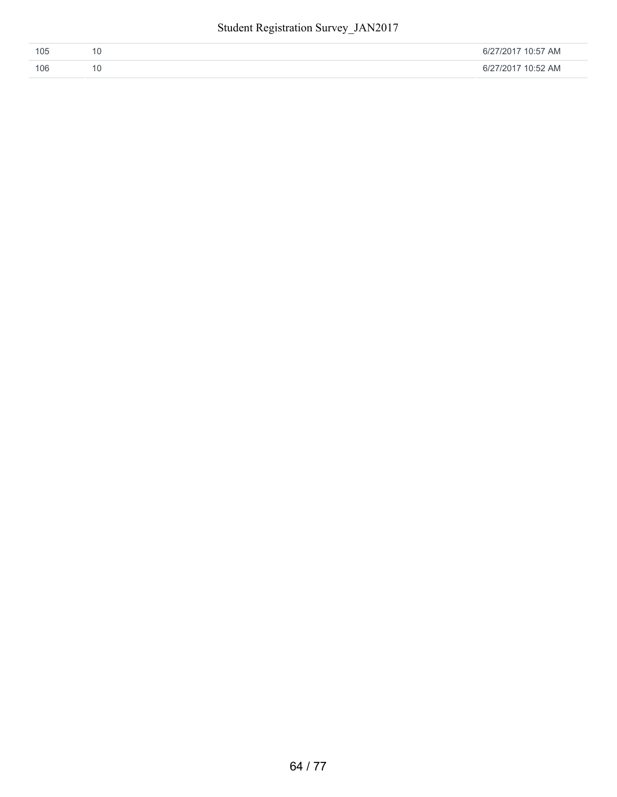| TOS | 7 AM<br>1111<br>$\sim$ |
|-----|------------------------|
| 106 | 2 AM<br>1111<br>$\sim$ |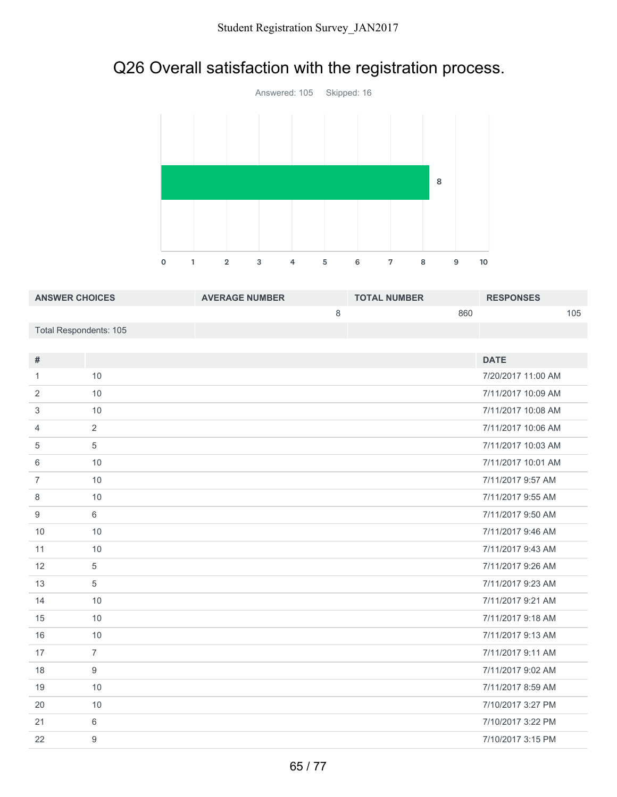# Q26 Overall satisfaction with the registration process.



| <b>ANSWER CHOICES</b>  | <b>AVERAGE NUMBER</b> | <b>TOTAL NUMBER</b> | <b>RESPONSES</b> |
|------------------------|-----------------------|---------------------|------------------|
|                        |                       | 860                 | 105              |
| Total Respondents: 105 |                       |                     |                  |

| $\#$           |                | <b>DATE</b>        |
|----------------|----------------|--------------------|
| 1              | 10             | 7/20/2017 11:00 AM |
| 2              | 10             | 7/11/2017 10:09 AM |
|                |                |                    |
| 3              | 10             | 7/11/2017 10:08 AM |
| 4              | $\overline{2}$ | 7/11/2017 10:06 AM |
| 5              | 5              | 7/11/2017 10:03 AM |
| 6              | 10             | 7/11/2017 10:01 AM |
| $\overline{7}$ | 10             | 7/11/2017 9:57 AM  |
| 8              | 10             | 7/11/2017 9:55 AM  |
| 9              | 6              | 7/11/2017 9:50 AM  |
| 10             | 10             | 7/11/2017 9:46 AM  |
| 11             | 10             | 7/11/2017 9:43 AM  |
| 12             | 5              | 7/11/2017 9:26 AM  |
| 13             | 5              | 7/11/2017 9:23 AM  |
| 14             | 10             | 7/11/2017 9:21 AM  |
| 15             | 10             | 7/11/2017 9:18 AM  |
| 16             | 10             | 7/11/2017 9:13 AM  |
| 17             | $\overline{7}$ | 7/11/2017 9:11 AM  |
| 18             | 9              | 7/11/2017 9:02 AM  |
| 19             | 10             | 7/11/2017 8:59 AM  |
| 20             | 10             | 7/10/2017 3:27 PM  |
| 21             | 6              | 7/10/2017 3:22 PM  |
| 22             | 9              | 7/10/2017 3:15 PM  |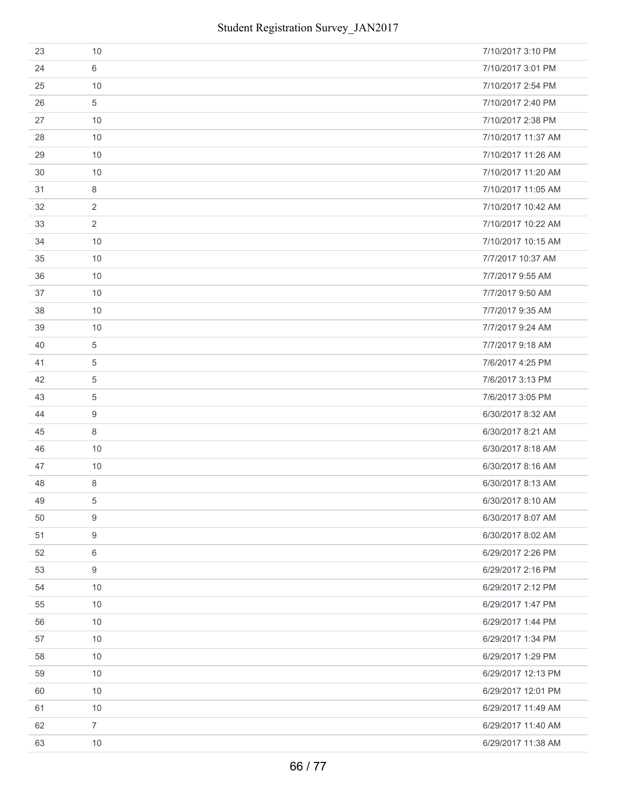| 23 | 10             | 7/10/2017 3:10 PM  |
|----|----------------|--------------------|
| 24 | 6              | 7/10/2017 3:01 PM  |
| 25 | 10             | 7/10/2017 2:54 PM  |
| 26 | 5              | 7/10/2017 2:40 PM  |
| 27 | 10             | 7/10/2017 2:38 PM  |
| 28 | 10             | 7/10/2017 11:37 AM |
| 29 | 10             | 7/10/2017 11:26 AM |
| 30 | 10             | 7/10/2017 11:20 AM |
| 31 | 8              | 7/10/2017 11:05 AM |
| 32 | $\overline{2}$ | 7/10/2017 10:42 AM |
| 33 | 2              | 7/10/2017 10:22 AM |
| 34 | 10             | 7/10/2017 10:15 AM |
| 35 | 10             | 7/7/2017 10:37 AM  |
| 36 | 10             | 7/7/2017 9:55 AM   |
| 37 | 10             | 7/7/2017 9:50 AM   |
| 38 | 10             | 7/7/2017 9:35 AM   |
| 39 | 10             | 7/7/2017 9:24 AM   |
| 40 | 5              | 7/7/2017 9:18 AM   |
| 41 | $\overline{5}$ | 7/6/2017 4:25 PM   |
| 42 | 5              | 7/6/2017 3:13 PM   |
| 43 | $\overline{5}$ | 7/6/2017 3:05 PM   |
| 44 | 9              | 6/30/2017 8:32 AM  |
| 45 | 8              | 6/30/2017 8:21 AM  |
| 46 | 10             | 6/30/2017 8:18 AM  |
| 47 | 10             | 6/30/2017 8:16 AM  |
| 48 | 8              | 6/30/2017 8:13 AM  |
| 49 | 5              | 6/30/2017 8:10 AM  |
| 50 | 9              | 6/30/2017 8:07 AM  |
| 51 | 9              | 6/30/2017 8:02 AM  |
| 52 | 6              | 6/29/2017 2:26 PM  |
| 53 | 9              | 6/29/2017 2:16 PM  |
| 54 | 10             | 6/29/2017 2:12 PM  |
| 55 | 10             | 6/29/2017 1:47 PM  |
| 56 | 10             | 6/29/2017 1:44 PM  |
| 57 | 10             | 6/29/2017 1:34 PM  |
| 58 | 10             | 6/29/2017 1:29 PM  |
| 59 | 10             | 6/29/2017 12:13 PM |
| 60 | 10             | 6/29/2017 12:01 PM |
| 61 | 10             | 6/29/2017 11:49 AM |
| 62 | $\overline{7}$ | 6/29/2017 11:40 AM |
| 63 | 10             | 6/29/2017 11:38 AM |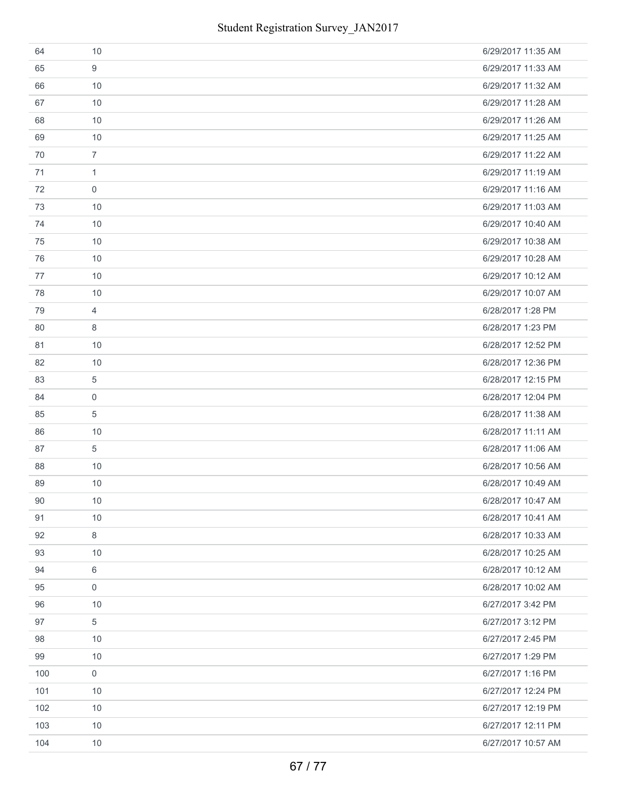| 64  | 10               | 6/29/2017 11:35 AM |
|-----|------------------|--------------------|
| 65  | 9                | 6/29/2017 11:33 AM |
| 66  | 10               | 6/29/2017 11:32 AM |
| 67  | 10               | 6/29/2017 11:28 AM |
| 68  | 10               | 6/29/2017 11:26 AM |
| 69  | 10               | 6/29/2017 11:25 AM |
| 70  | $\overline{7}$   | 6/29/2017 11:22 AM |
| 71  | $\mathbf{1}$     | 6/29/2017 11:19 AM |
| 72  | $\mathbf 0$      | 6/29/2017 11:16 AM |
| 73  | 10               | 6/29/2017 11:03 AM |
| 74  | 10               | 6/29/2017 10:40 AM |
| 75  | 10               | 6/29/2017 10:38 AM |
| 76  | 10               | 6/29/2017 10:28 AM |
| 77  | 10               | 6/29/2017 10:12 AM |
| 78  | 10               | 6/29/2017 10:07 AM |
| 79  | $\overline{4}$   | 6/28/2017 1:28 PM  |
| 80  | 8                | 6/28/2017 1:23 PM  |
| 81  | 10               | 6/28/2017 12:52 PM |
| 82  | 10               | 6/28/2017 12:36 PM |
| 83  | 5                | 6/28/2017 12:15 PM |
| 84  | $\mathbf 0$      | 6/28/2017 12:04 PM |
| 85  | 5                | 6/28/2017 11:38 AM |
| 86  | 10               | 6/28/2017 11:11 AM |
| 87  | 5                | 6/28/2017 11:06 AM |
| 88  | 10               | 6/28/2017 10:56 AM |
| 89  | 10               | 6/28/2017 10:49 AM |
| 90  | 10               | 6/28/2017 10:47 AM |
| 91  | 10               | 6/28/2017 10:41 AM |
| 92  | 8                | 6/28/2017 10:33 AM |
| 93  | 10               | 6/28/2017 10:25 AM |
| 94  | 6                | 6/28/2017 10:12 AM |
| 95  | $\boldsymbol{0}$ | 6/28/2017 10:02 AM |
| 96  | 10               | 6/27/2017 3:42 PM  |
| 97  | $\overline{5}$   | 6/27/2017 3:12 PM  |
| 98  | 10               | 6/27/2017 2:45 PM  |
| 99  | 10               | 6/27/2017 1:29 PM  |
| 100 | $\mathbf 0$      | 6/27/2017 1:16 PM  |
| 101 | 10               | 6/27/2017 12:24 PM |
| 102 | 10               | 6/27/2017 12:19 PM |
| 103 | 10               | 6/27/2017 12:11 PM |
| 104 | 10               | 6/27/2017 10:57 AM |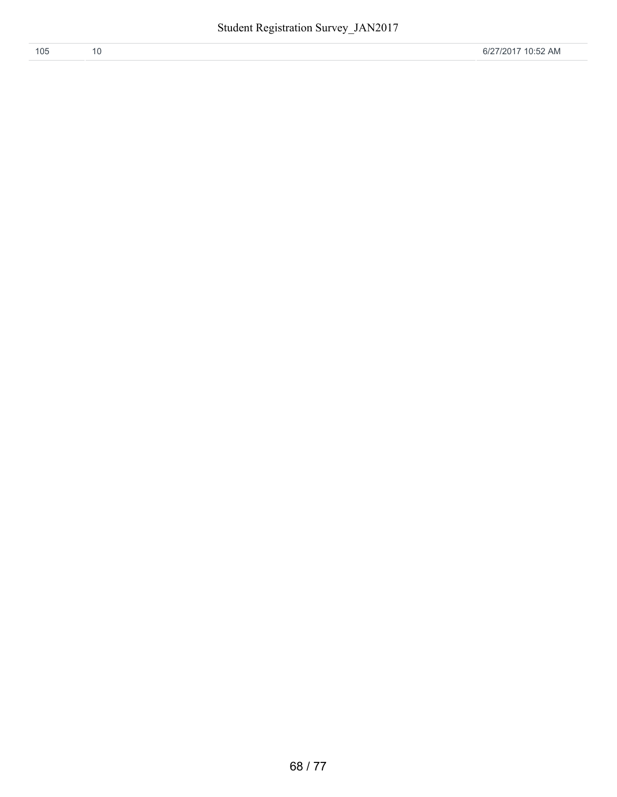| 105 |  | 6/27/2017 10:52 AM |
|-----|--|--------------------|
|     |  |                    |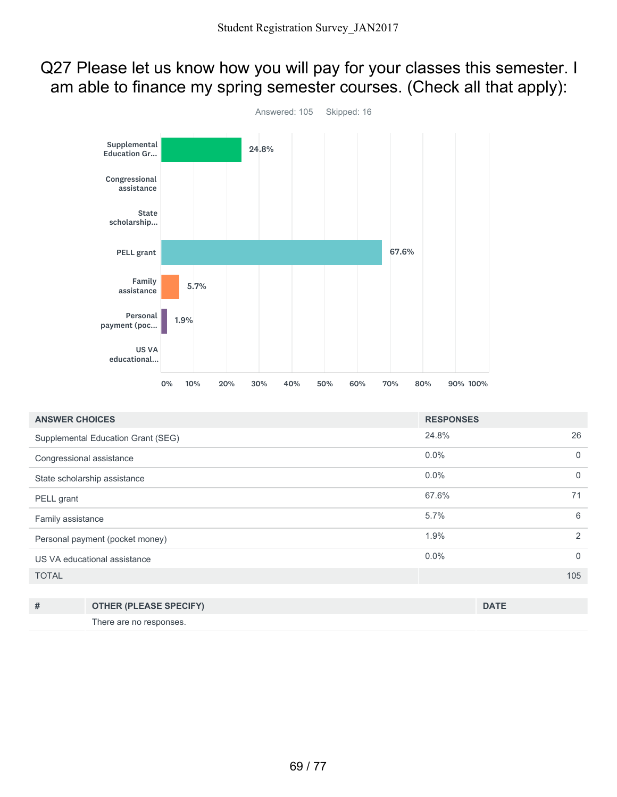### Q27 Please let us know how you will pay for your classes this semester. I am able to finance my spring semester courses. (Check all that apply):



| <b>ANSWER CHOICES</b>           |                                    | <b>RESPONSES</b> |             |
|---------------------------------|------------------------------------|------------------|-------------|
|                                 | Supplemental Education Grant (SEG) | 24.8%            | 26          |
| Congressional assistance        |                                    | 0.0%             | $\mathbf 0$ |
|                                 | State scholarship assistance       | 0.0%             | $\mathbf 0$ |
| PELL grant                      |                                    | 67.6%            | 71          |
| Family assistance               |                                    | 5.7%             | 6           |
| Personal payment (pocket money) |                                    | 1.9%             | 2           |
| US VA educational assistance    |                                    | 0.0%             | $\mathbf 0$ |
| <b>TOTAL</b>                    |                                    |                  | 105         |
|                                 |                                    |                  |             |
| #                               | <b>OTHER (PLEASE SPECIFY)</b>      |                  | <b>DATE</b> |
|                                 | There are no responses.            |                  |             |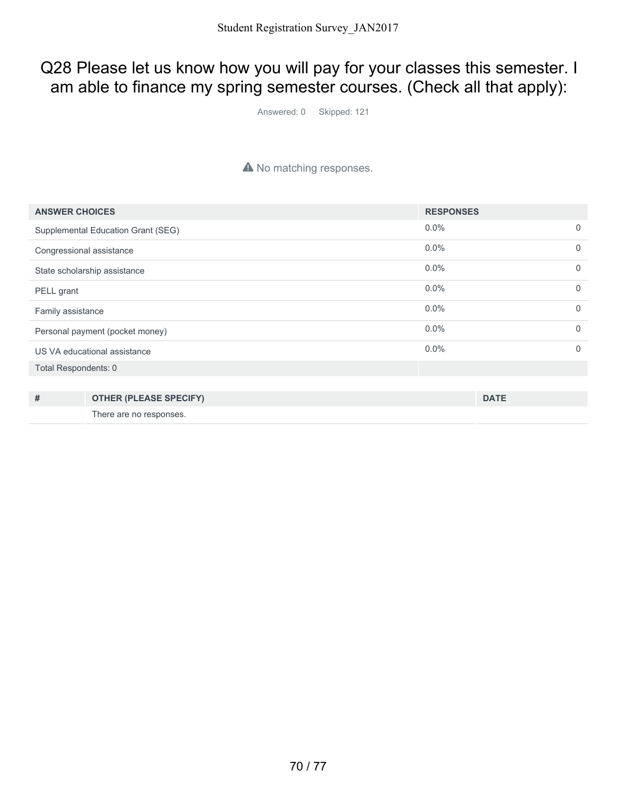### Q28 Please let us know how you will pay for your classes this semester. I am able to finance my spring semester courses. (Check all that apply):

Answered: 0 Skipped: 121

#### A No matching responses.

| <b>ANSWER CHOICES</b>              |                               | <b>RESPONSES</b> |             |             |
|------------------------------------|-------------------------------|------------------|-------------|-------------|
| Supplemental Education Grant (SEG) |                               | 0.0%             |             | $\mathbf 0$ |
| Congressional assistance           |                               | 0.0%             |             | $\mathbf 0$ |
| State scholarship assistance       |                               | 0.0%             |             | $\Omega$    |
| PELL grant                         |                               | 0.0%             |             | $\Omega$    |
| Family assistance                  |                               | 0.0%             |             | $\Omega$    |
| Personal payment (pocket money)    |                               | 0.0%             |             | $\Omega$    |
| US VA educational assistance       |                               | 0.0%             |             | $\Omega$    |
| Total Respondents: 0               |                               |                  |             |             |
|                                    |                               |                  |             |             |
| #                                  | <b>OTHER (PLEASE SPECIFY)</b> |                  | <b>DATE</b> |             |
|                                    | There are no responses.       |                  |             |             |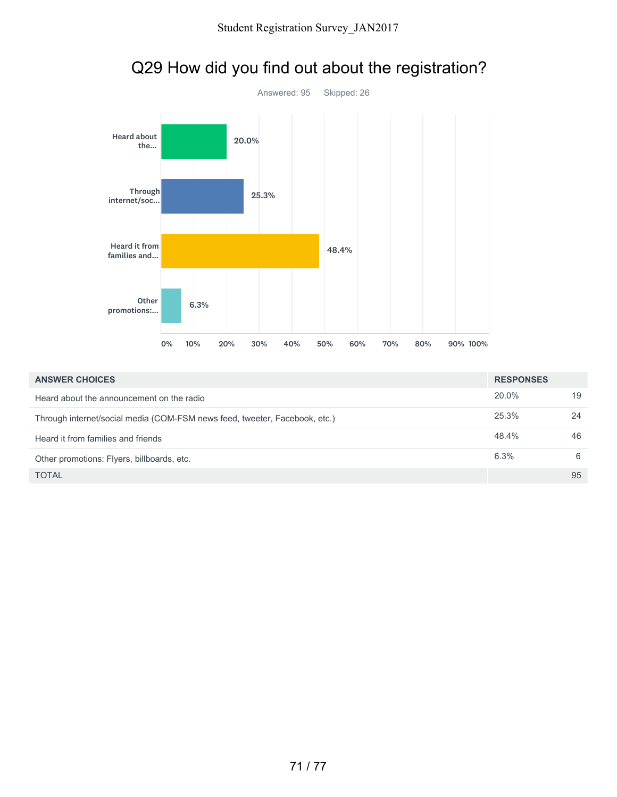

# Q29 How did you find out about the registration?

| <b>ANSWER CHOICES</b>                                                      |       |    |
|----------------------------------------------------------------------------|-------|----|
| Heard about the announcement on the radio                                  | 20.0% | 19 |
| Through internet/social media (COM-FSM news feed, tweeter, Facebook, etc.) | 25.3% | 24 |
| Heard it from families and friends                                         | 48.4% | 46 |
| Other promotions: Flyers, billboards, etc.                                 | 6.3%  | 6  |
| TOTAL                                                                      |       | 95 |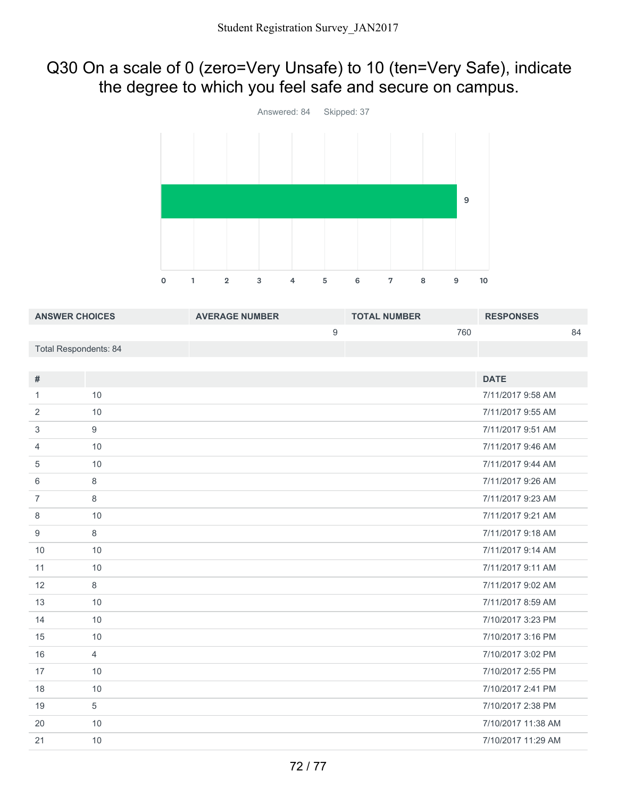### Q30 On a scale of 0 (zero=Very Unsafe) to 10 (ten=Very Safe), indicate the degree to which you feel safe and secure on campus.



| <b>ANSWER CHOICES</b>        |                | <b>AVERAGE NUMBER</b> |                  | <b>TOTAL NUMBER</b> |     | <b>RESPONSES</b>   |    |
|------------------------------|----------------|-----------------------|------------------|---------------------|-----|--------------------|----|
|                              |                |                       | $\boldsymbol{9}$ |                     | 760 |                    | 84 |
| <b>Total Respondents: 84</b> |                |                       |                  |                     |     |                    |    |
|                              |                |                       |                  |                     |     |                    |    |
| $\#$                         |                |                       |                  |                     |     | <b>DATE</b>        |    |
| $\mathbf{1}$                 | 10             |                       |                  |                     |     | 7/11/2017 9:58 AM  |    |
| $\overline{2}$               | 10             |                       |                  |                     |     | 7/11/2017 9:55 AM  |    |
| 3                            | 9              |                       |                  |                     |     | 7/11/2017 9:51 AM  |    |
| $\overline{4}$               | 10             |                       |                  |                     |     | 7/11/2017 9:46 AM  |    |
| 5                            | 10             |                       |                  |                     |     | 7/11/2017 9:44 AM  |    |
| 6                            | 8              |                       |                  |                     |     | 7/11/2017 9:26 AM  |    |
| $\overline{7}$               | 8              |                       |                  |                     |     | 7/11/2017 9:23 AM  |    |
| 8                            | 10             |                       |                  |                     |     | 7/11/2017 9:21 AM  |    |
| $\boldsymbol{9}$             | $\,8\,$        |                       |                  |                     |     | 7/11/2017 9:18 AM  |    |
| 10                           | 10             |                       |                  |                     |     | 7/11/2017 9:14 AM  |    |
| 11                           | 10             |                       |                  |                     |     | 7/11/2017 9:11 AM  |    |
| 12                           | 8              |                       |                  |                     |     | 7/11/2017 9:02 AM  |    |
| 13                           | 10             |                       |                  |                     |     | 7/11/2017 8:59 AM  |    |
| 14                           | 10             |                       |                  |                     |     | 7/10/2017 3:23 PM  |    |
| 15                           | 10             |                       |                  |                     |     | 7/10/2017 3:16 PM  |    |
| 16                           | $\overline{4}$ |                       |                  |                     |     | 7/10/2017 3:02 PM  |    |
| 17                           | 10             |                       |                  |                     |     | 7/10/2017 2:55 PM  |    |
| 18                           | 10             |                       |                  |                     |     | 7/10/2017 2:41 PM  |    |
| 19                           | $\sqrt{5}$     |                       |                  |                     |     | 7/10/2017 2:38 PM  |    |
| 20                           | 10             |                       |                  |                     |     | 7/10/2017 11:38 AM |    |
| 21                           | 10             |                       |                  |                     |     | 7/10/2017 11:29 AM |    |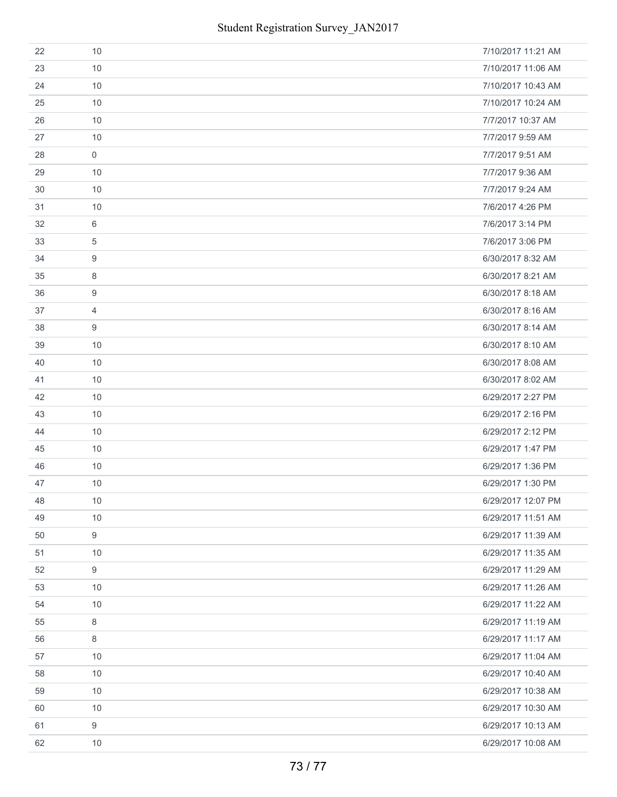| 22 | 10               | 7/10/2017 11:21 AM |
|----|------------------|--------------------|
| 23 | 10               | 7/10/2017 11:06 AM |
| 24 | 10               | 7/10/2017 10:43 AM |
| 25 | 10               | 7/10/2017 10:24 AM |
| 26 | 10               | 7/7/2017 10:37 AM  |
| 27 | 10               | 7/7/2017 9:59 AM   |
| 28 | $\mathbf 0$      | 7/7/2017 9:51 AM   |
| 29 | 10               | 7/7/2017 9:36 AM   |
| 30 | 10               | 7/7/2017 9:24 AM   |
| 31 | 10               | 7/6/2017 4:26 PM   |
| 32 | 6                | 7/6/2017 3:14 PM   |
| 33 | 5                | 7/6/2017 3:06 PM   |
| 34 | 9                | 6/30/2017 8:32 AM  |
| 35 | 8                | 6/30/2017 8:21 AM  |
| 36 | 9                | 6/30/2017 8:18 AM  |
| 37 | $\overline{4}$   | 6/30/2017 8:16 AM  |
| 38 | 9                | 6/30/2017 8:14 AM  |
| 39 | 10               | 6/30/2017 8:10 AM  |
| 40 | 10               | 6/30/2017 8:08 AM  |
| 41 | 10               | 6/30/2017 8:02 AM  |
| 42 | 10               | 6/29/2017 2:27 PM  |
| 43 | 10               | 6/29/2017 2:16 PM  |
| 44 | 10               | 6/29/2017 2:12 PM  |
| 45 | 10               | 6/29/2017 1:47 PM  |
| 46 | 10               | 6/29/2017 1:36 PM  |
| 47 | 10               | 6/29/2017 1:30 PM  |
| 48 | 10               | 6/29/2017 12:07 PM |
| 49 | 10               | 6/29/2017 11:51 AM |
| 50 | 9                | 6/29/2017 11:39 AM |
| 51 | 10               | 6/29/2017 11:35 AM |
| 52 | 9                | 6/29/2017 11:29 AM |
| 53 | 10               | 6/29/2017 11:26 AM |
| 54 | 10               | 6/29/2017 11:22 AM |
| 55 | 8                | 6/29/2017 11:19 AM |
| 56 | 8                | 6/29/2017 11:17 AM |
| 57 | 10               | 6/29/2017 11:04 AM |
| 58 | 10               | 6/29/2017 10:40 AM |
| 59 | 10               | 6/29/2017 10:38 AM |
| 60 | 10               | 6/29/2017 10:30 AM |
| 61 | $\boldsymbol{9}$ | 6/29/2017 10:13 AM |
| 62 | 10               | 6/29/2017 10:08 AM |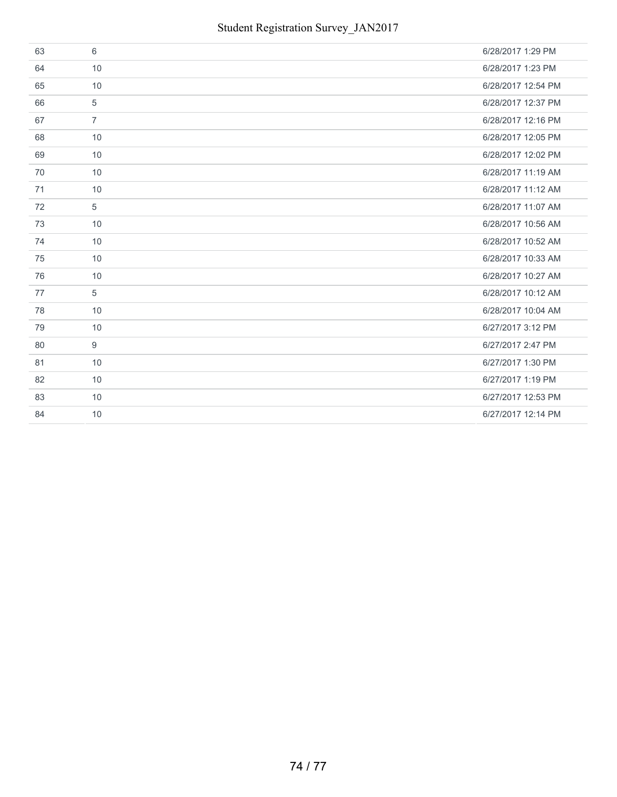| 63 | 6              | 6/28/2017 1:29 PM  |
|----|----------------|--------------------|
| 64 | 10             | 6/28/2017 1:23 PM  |
| 65 | 10             | 6/28/2017 12:54 PM |
| 66 | 5              | 6/28/2017 12:37 PM |
| 67 | $\overline{7}$ | 6/28/2017 12:16 PM |
| 68 | 10             | 6/28/2017 12:05 PM |
| 69 | 10             | 6/28/2017 12:02 PM |
| 70 | 10             | 6/28/2017 11:19 AM |
| 71 | 10             | 6/28/2017 11:12 AM |
| 72 | 5              | 6/28/2017 11:07 AM |
| 73 | 10             | 6/28/2017 10:56 AM |
| 74 | 10             | 6/28/2017 10:52 AM |
| 75 | 10             | 6/28/2017 10:33 AM |
| 76 | 10             | 6/28/2017 10:27 AM |
| 77 | 5              | 6/28/2017 10:12 AM |
| 78 | 10             | 6/28/2017 10:04 AM |
| 79 | 10             | 6/27/2017 3:12 PM  |
| 80 | 9              | 6/27/2017 2:47 PM  |
| 81 | 10             | 6/27/2017 1:30 PM  |
| 82 | 10             | 6/27/2017 1:19 PM  |
| 83 | 10             | 6/27/2017 12:53 PM |
| 84 | 10             | 6/27/2017 12:14 PM |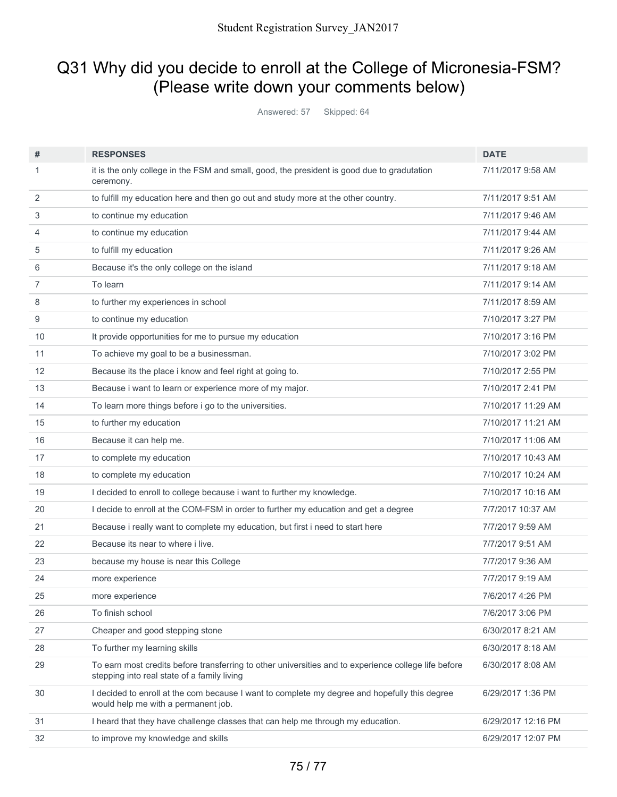## Q31 Why did you decide to enroll at the College of Micronesia-FSM? (Please write down your comments below)

Answered: 57 Skipped: 64

| #  | <b>RESPONSES</b>                                                                                                                                    | <b>DATE</b>        |
|----|-----------------------------------------------------------------------------------------------------------------------------------------------------|--------------------|
| 1  | it is the only college in the FSM and small, good, the president is good due to gradutation<br>ceremony.                                            | 7/11/2017 9:58 AM  |
| 2  | to fulfill my education here and then go out and study more at the other country.                                                                   | 7/11/2017 9:51 AM  |
| 3  | to continue my education                                                                                                                            | 7/11/2017 9:46 AM  |
| 4  | to continue my education                                                                                                                            | 7/11/2017 9:44 AM  |
| 5  | to fulfill my education                                                                                                                             | 7/11/2017 9:26 AM  |
| 6  | Because it's the only college on the island                                                                                                         | 7/11/2017 9:18 AM  |
| 7  | To learn                                                                                                                                            | 7/11/2017 9:14 AM  |
| 8  | to further my experiences in school                                                                                                                 | 7/11/2017 8:59 AM  |
| 9  | to continue my education                                                                                                                            | 7/10/2017 3:27 PM  |
| 10 | It provide opportunities for me to pursue my education                                                                                              | 7/10/2017 3:16 PM  |
| 11 | To achieve my goal to be a businessman.                                                                                                             | 7/10/2017 3:02 PM  |
| 12 | Because its the place i know and feel right at going to.                                                                                            | 7/10/2017 2:55 PM  |
| 13 | Because i want to learn or experience more of my major.                                                                                             | 7/10/2017 2:41 PM  |
| 14 | To learn more things before i go to the universities.                                                                                               | 7/10/2017 11:29 AM |
| 15 | to further my education                                                                                                                             | 7/10/2017 11:21 AM |
| 16 | Because it can help me.                                                                                                                             | 7/10/2017 11:06 AM |
| 17 | to complete my education                                                                                                                            | 7/10/2017 10:43 AM |
| 18 | to complete my education                                                                                                                            | 7/10/2017 10:24 AM |
| 19 | I decided to enroll to college because i want to further my knowledge.                                                                              | 7/10/2017 10:16 AM |
| 20 | I decide to enroll at the COM-FSM in order to further my education and get a degree                                                                 | 7/7/2017 10:37 AM  |
| 21 | Because i really want to complete my education, but first i need to start here                                                                      | 7/7/2017 9:59 AM   |
| 22 | Because its near to where i live.                                                                                                                   | 7/7/2017 9:51 AM   |
| 23 | because my house is near this College                                                                                                               | 7/7/2017 9:36 AM   |
| 24 | more experience                                                                                                                                     | 7/7/2017 9:19 AM   |
| 25 | more experience                                                                                                                                     | 7/6/2017 4:26 PM   |
| 26 | To finish school                                                                                                                                    | 7/6/2017 3:06 PM   |
| 27 | Cheaper and good stepping stone                                                                                                                     | 6/30/2017 8:21 AM  |
| 28 | To further my learning skills                                                                                                                       | 6/30/2017 8:18 AM  |
| 29 | To earn most credits before transferring to other universities and to experience college life before<br>stepping into real state of a family living | 6/30/2017 8:08 AM  |
| 30 | I decided to enroll at the com because I want to complete my degree and hopefully this degree<br>would help me with a permanent job.                | 6/29/2017 1:36 PM  |
| 31 | I heard that they have challenge classes that can help me through my education.                                                                     | 6/29/2017 12:16 PM |
| 32 | to improve my knowledge and skills                                                                                                                  | 6/29/2017 12:07 PM |
|    |                                                                                                                                                     |                    |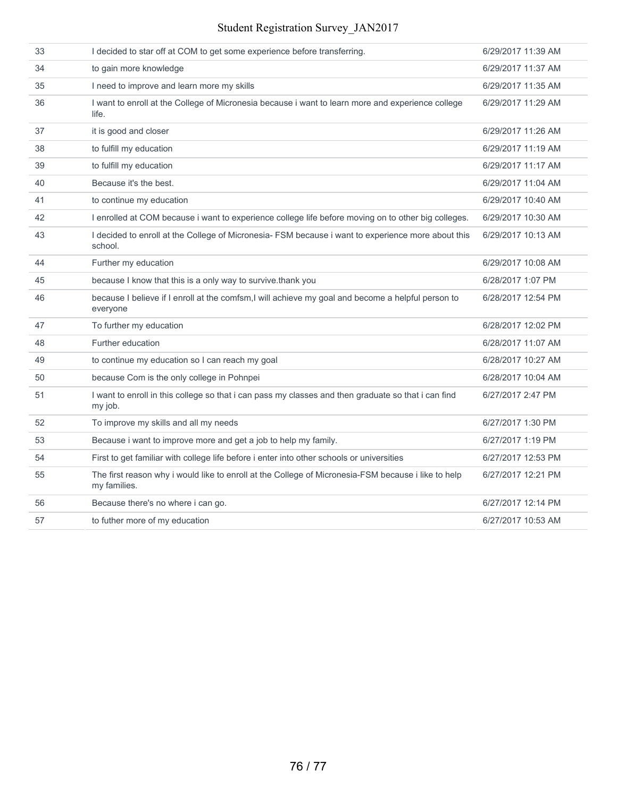## Student Registration Survey\_JAN2017

| 33 | I decided to star off at COM to get some experience before transferring.                                            | 6/29/2017 11:39 AM |
|----|---------------------------------------------------------------------------------------------------------------------|--------------------|
| 34 | to gain more knowledge                                                                                              | 6/29/2017 11:37 AM |
| 35 | I need to improve and learn more my skills                                                                          | 6/29/2017 11:35 AM |
| 36 | I want to enroll at the College of Micronesia because i want to learn more and experience college<br>life.          | 6/29/2017 11:29 AM |
| 37 | it is good and closer                                                                                               | 6/29/2017 11:26 AM |
| 38 | to fulfill my education                                                                                             | 6/29/2017 11:19 AM |
| 39 | to fulfill my education                                                                                             | 6/29/2017 11:17 AM |
| 40 | Because it's the best.                                                                                              | 6/29/2017 11:04 AM |
| 41 | to continue my education                                                                                            | 6/29/2017 10:40 AM |
| 42 | I enrolled at COM because i want to experience college life before moving on to other big colleges.                 | 6/29/2017 10:30 AM |
| 43 | I decided to enroll at the College of Micronesia- FSM because i want to experience more about this<br>school.       | 6/29/2017 10:13 AM |
| 44 | Further my education                                                                                                | 6/29/2017 10:08 AM |
| 45 | because I know that this is a only way to survive.thank you                                                         | 6/28/2017 1:07 PM  |
| 46 | because I believe if I enroll at the comfsm, I will achieve my goal and become a helpful person to<br>everyone      | 6/28/2017 12:54 PM |
| 47 | To further my education                                                                                             | 6/28/2017 12:02 PM |
| 48 | Further education                                                                                                   | 6/28/2017 11:07 AM |
| 49 | to continue my education so I can reach my goal                                                                     | 6/28/2017 10:27 AM |
| 50 | because Com is the only college in Pohnpei                                                                          | 6/28/2017 10:04 AM |
| 51 | I want to enroll in this college so that i can pass my classes and then graduate so that i can find<br>my job.      | 6/27/2017 2:47 PM  |
| 52 | To improve my skills and all my needs                                                                               | 6/27/2017 1:30 PM  |
| 53 | Because i want to improve more and get a job to help my family.                                                     | 6/27/2017 1:19 PM  |
| 54 | First to get familiar with college life before i enter into other schools or universities                           | 6/27/2017 12:53 PM |
| 55 | The first reason why i would like to enroll at the College of Micronesia-FSM because i like to help<br>my families. | 6/27/2017 12:21 PM |
| 56 | Because there's no where i can go.                                                                                  | 6/27/2017 12:14 PM |
| 57 | to futher more of my education                                                                                      | 6/27/2017 10:53 AM |